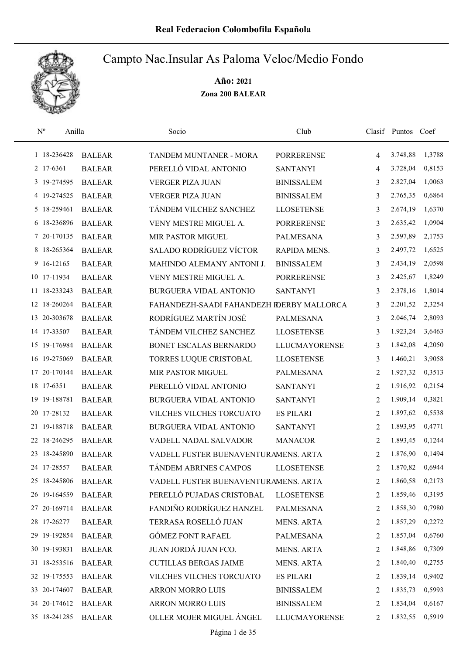

| $\mathrm{N}^{\rm o}$ | Anilla        | Socio                                     | Club                 |                | Clasif Puntos Coef |        |
|----------------------|---------------|-------------------------------------------|----------------------|----------------|--------------------|--------|
| 1 18-236428          | <b>BALEAR</b> | TANDEM MUNTANER - MORA                    | <b>PORRERENSE</b>    | $\overline{4}$ | 3.748,88           | 1,3788 |
| 2 17-6361            | <b>BALEAR</b> | PERELLÓ VIDAL ANTONIO                     | <b>SANTANYI</b>      | 4              | 3.728,04           | 0,8153 |
| 3 19-274595          | <b>BALEAR</b> | <b>VERGER PIZA JUAN</b>                   | <b>BINISSALEM</b>    | 3              | 2.827,04           | 1,0063 |
| 4 19-274525          | <b>BALEAR</b> | <b>VERGER PIZA JUAN</b>                   | <b>BINISSALEM</b>    | 3              | 2.765,35           | 0,6864 |
| 5 18-259461          | <b>BALEAR</b> | TÁNDEM VILCHEZ SANCHEZ                    | <b>LLOSETENSE</b>    | 3              | 2.674,19           | 1,6370 |
| 6 18-236896          | <b>BALEAR</b> | VENY MESTRE MIGUEL A.                     | <b>PORRERENSE</b>    | 3              | 2.635,42           | 1,0904 |
| 7 20-170135          | <b>BALEAR</b> | MIR PASTOR MIGUEL                         | <b>PALMESANA</b>     | 3              | 2.597,89           | 2,1753 |
| 8 18-265364          | <b>BALEAR</b> | <b>SALADO RODRÍGUEZ VÍCTOR</b>            | RAPIDA MENS.         | 3              | 2.497,72           | 1,6525 |
| 9 16-12165           | <b>BALEAR</b> | MAHINDO ALEMANY ANTONI J.                 | <b>BINISSALEM</b>    | 3              | 2.434,19           | 2,0598 |
| 10 17-11934          | <b>BALEAR</b> | VENY MESTRE MIGUEL A.                     | <b>PORRERENSE</b>    | 3              | 2.425,67           | 1,8249 |
| 11 18-233243         | <b>BALEAR</b> | <b>BURGUERA VIDAL ANTONIO</b>             | <b>SANTANYI</b>      | 3              | 2.378,16           | 1,8014 |
| 12 18-260264         | <b>BALEAR</b> | FAHANDEZH-SAADI FAHANDEZH RDERBY MALLORCA |                      | 3              | 2.201,52           | 2,3254 |
| 13 20-303678         | <b>BALEAR</b> | RODRÍGUEZ MARTÍN JOSÉ                     | <b>PALMESANA</b>     | 3              | 2.046,74           | 2,8093 |
| 14 17-33507          | <b>BALEAR</b> | TÁNDEM VILCHEZ SANCHEZ                    | <b>LLOSETENSE</b>    | 3              | 1.923,24           | 3,6463 |
| 15 19-176984         | <b>BALEAR</b> | BONET ESCALAS BERNARDO                    | <b>LLUCMAYORENSE</b> | 3              | 1.842,08           | 4,2050 |
| 16 19-275069         | <b>BALEAR</b> | TORRES LUQUE CRISTOBAL                    | <b>LLOSETENSE</b>    | 3              | 1.460,21           | 3,9058 |
| 17 20-170144         | <b>BALEAR</b> | MIR PASTOR MIGUEL                         | <b>PALMESANA</b>     | 2              | 1.927,32           | 0,3513 |
| 18 17-6351           | <b>BALEAR</b> | PERELLÓ VIDAL ANTONIO                     | <b>SANTANYI</b>      | 2              | 1.916,92           | 0,2154 |
| 19-188781<br>19      | <b>BALEAR</b> | <b>BURGUERA VIDAL ANTONIO</b>             | <b>SANTANYI</b>      | 2              | 1.909,14           | 0,3821 |
| 17-28132<br>20       | <b>BALEAR</b> | VILCHES VILCHES TORCUATO                  | <b>ES PILARI</b>     | 2              | 1.897,62           | 0,5538 |
| 21 19-188718         | <b>BALEAR</b> | <b>BURGUERA VIDAL ANTONIO</b>             | <b>SANTANYI</b>      | 2              | 1.893,95           | 0,4771 |
| 22 18-246295         | <b>BALEAR</b> | VADELL NADAL SALVADOR                     | <b>MANACOR</b>       | 2              | 1.893,45           | 0,1244 |
| 23 18-245890         | <b>BALEAR</b> | VADELL FUSTER BUENAVENTURAMENS. ARTA      |                      | 2              | 1.876,90           | 0,1494 |
| 24 17-28557          | <b>BALEAR</b> | TÁNDEM ABRINES CAMPOS                     | <b>LLOSETENSE</b>    | $\overline{2}$ | 1.870,82           | 0,6944 |
| 25 18-245806         | <b>BALEAR</b> | VADELL FUSTER BUENAVENTURAMENS. ARTA      |                      | 2              | 1.860,58           | 0,2173 |
| 26 19-164559         | <b>BALEAR</b> | PERELLÓ PUJADAS CRISTOBAL                 | <b>LLOSETENSE</b>    | 2              | 1.859,46           | 0,3195 |
| 27 20-169714         | <b>BALEAR</b> | FANDIÑO RODRÍGUEZ HANZEL                  | <b>PALMESANA</b>     | 2              | 1.858,30           | 0,7980 |
| 28 17-26277          | <b>BALEAR</b> | TERRASA ROSELLÓ JUAN                      | <b>MENS. ARTA</b>    | 2              | 1.857,29           | 0,2272 |
| 29 19-192854         | <b>BALEAR</b> | <b>GÓMEZ FONT RAFAEL</b>                  | PALMESANA            | 2              | 1.857,04           | 0,6760 |
| 30 19-193831         | <b>BALEAR</b> | JUAN JORDÁ JUAN FCO.                      | <b>MENS. ARTA</b>    | 2              | 1.848,86           | 0,7309 |
| 31 18-253516         | <b>BALEAR</b> | <b>CUTILLAS BERGAS JAIME</b>              | <b>MENS. ARTA</b>    | 2              | 1.840,40           | 0,2755 |
| 32 19-175553         | <b>BALEAR</b> | VILCHES VILCHES TORCUATO                  | <b>ES PILARI</b>     | 2              | 1.839,14           | 0,9402 |
| 33 20-174607         | <b>BALEAR</b> | ARRON MORRO LUIS                          | <b>BINISSALEM</b>    | 2              | 1.835,73           | 0,5993 |
| 34 20-174612         | <b>BALEAR</b> | ARRON MORRO LUIS                          | <b>BINISSALEM</b>    | 2              | 1.834,04           | 0,6167 |
| 35 18-241285         | <b>BALEAR</b> | OLLER MOJER MIGUEL ÁNGEL                  | <b>LLUCMAYORENSE</b> | 2              | 1.832,55           | 0,5919 |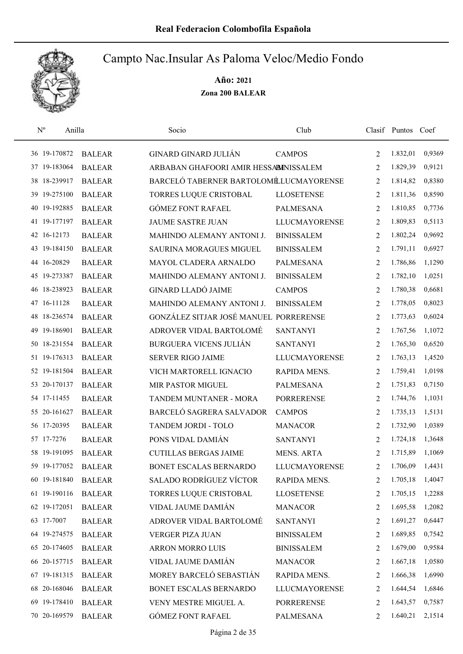

| $N^{o}$ | Anilla       |               | Socio                                  | Club                 |                | Clasif Puntos Coef |        |
|---------|--------------|---------------|----------------------------------------|----------------------|----------------|--------------------|--------|
|         | 36 19-170872 | <b>BALEAR</b> | <b>GINARD GINARD JULIÁN</b>            | <b>CAMPOS</b>        | 2              | 1.832,01           | 0,9369 |
|         | 37 19-183064 | <b>BALEAR</b> | ARBABAN GHAFOORI AMIR HESSABINISSALEM  |                      | 2              | 1.829,39           | 0,9121 |
|         | 38 18-239917 | <b>BALEAR</b> | BARCELÓ TABERNER BARTOLOMÉLUCMAYORENSE |                      | 2              | 1.814,82           | 0,8380 |
|         | 39 19-275100 | <b>BALEAR</b> | TORRES LUQUE CRISTOBAL                 | <b>LLOSETENSE</b>    | 2              | 1.811,36           | 0,8590 |
|         | 40 19-192885 | <b>BALEAR</b> | <b>GÓMEZ FONT RAFAEL</b>               | <b>PALMESANA</b>     | 2              | 1.810,85           | 0,7736 |
|         | 41 19-177197 | <b>BALEAR</b> | <b>JAUME SASTRE JUAN</b>               | <b>LLUCMAYORENSE</b> | 2              | 1.809,83           | 0,5113 |
|         | 42 16-12173  | <b>BALEAR</b> | MAHINDO ALEMANY ANTONI J.              | <b>BINISSALEM</b>    | 2              | 1.802,24           | 0,9692 |
|         | 43 19-184150 | <b>BALEAR</b> | SAURINA MORAGUES MIGUEL                | <b>BINISSALEM</b>    | 2              | 1.791,11           | 0,6927 |
|         | 44 16-20829  | <b>BALEAR</b> | MAYOL CLADERA ARNALDO                  | <b>PALMESANA</b>     | 2              | 1.786,86           | 1,1290 |
|         | 45 19-273387 | <b>BALEAR</b> | MAHINDO ALEMANY ANTONI J.              | <b>BINISSALEM</b>    | 2              | 1.782,10           | 1,0251 |
|         | 46 18-238923 | <b>BALEAR</b> | <b>GINARD LLADÓ JAIME</b>              | <b>CAMPOS</b>        | 2              | 1.780,38           | 0,6681 |
|         | 47 16-11128  | <b>BALEAR</b> | MAHINDO ALEMANY ANTONI J.              | <b>BINISSALEM</b>    | 2              | 1.778,05           | 0,8023 |
|         | 48 18-236574 | <b>BALEAR</b> | GONZÁLEZ SITJAR JOSÉ MANUEL PORRERENSE |                      | 2              | 1.773,63           | 0,6024 |
| 49      | 19-186901    | <b>BALEAR</b> | ADROVER VIDAL BARTOLOMÉ                | <b>SANTANYI</b>      | 2              | 1.767,56           | 1,1072 |
|         | 50 18-231554 | <b>BALEAR</b> | <b>BURGUERA VICENS JULIÁN</b>          | <b>SANTANYI</b>      | $\overline{2}$ | 1.765,30           | 0,6520 |
|         | 51 19-176313 | <b>BALEAR</b> | <b>SERVER RIGO JAIME</b>               | <b>LLUCMAYORENSE</b> | 2              | 1.763,13           | 1,4520 |
|         | 52 19-181504 | <b>BALEAR</b> | VICH MARTORELL IGNACIO                 | RAPIDA MENS.         | 2              | 1.759,41           | 1,0198 |
|         | 53 20-170137 | <b>BALEAR</b> | MIR PASTOR MIGUEL                      | <b>PALMESANA</b>     | 2              | 1.751,83           | 0,7150 |
|         | 54 17-11455  | <b>BALEAR</b> | TANDEM MUNTANER - MORA                 | <b>PORRERENSE</b>    | 2              | 1.744,76           | 1,1031 |
|         | 55 20-161627 | <b>BALEAR</b> | BARCELÓ SAGRERA SALVADOR               | <b>CAMPOS</b>        | 2              | 1.735,13           | 1,5131 |
|         | 56 17-20395  | <b>BALEAR</b> | TANDEM JORDI - TOLO                    | <b>MANACOR</b>       | 2              | 1.732,90           | 1,0389 |
|         | 57 17-7276   | <b>BALEAR</b> | PONS VIDAL DAMIÁN                      | <b>SANTANYI</b>      | 2              | 1.724,18           | 1,3648 |
|         | 58 19-191095 | <b>BALEAR</b> | <b>CUTILLAS BERGAS JAIME</b>           | <b>MENS. ARTA</b>    | 2              | 1.715,89           | 1,1069 |
|         | 59 19-177052 | <b>BALEAR</b> | BONET ESCALAS BERNARDO                 | <b>LLUCMAYORENSE</b> | $\overline{2}$ | 1.706,09           | 1,4431 |
|         | 60 19-181840 | <b>BALEAR</b> | SALADO RODRÍGUEZ VÍCTOR                | RAPIDA MENS.         | 2              | 1.705,18           | 1,4047 |
|         | 61 19-190116 | <b>BALEAR</b> | TORRES LUQUE CRISTOBAL                 | <b>LLOSETENSE</b>    | 2              | 1.705,15           | 1,2288 |
|         | 62 19-172051 | <b>BALEAR</b> | VIDAL JAUME DAMIÁN                     | <b>MANACOR</b>       | 2              | 1.695,58           | 1,2082 |
|         | 63 17-7007   | <b>BALEAR</b> | ADROVER VIDAL BARTOLOMÉ                | <b>SANTANYI</b>      | 2              | 1.691,27           | 0,6447 |
|         | 64 19-274575 | <b>BALEAR</b> | VERGER PIZA JUAN                       | <b>BINISSALEM</b>    | 2              | 1.689,85           | 0,7542 |
|         | 65 20-174605 | <b>BALEAR</b> | <b>ARRON MORRO LUIS</b>                | <b>BINISSALEM</b>    | 2              | 1.679,00           | 0,9584 |
|         | 66 20-157715 | <b>BALEAR</b> | VIDAL JAUME DAMIÁN                     | <b>MANACOR</b>       | 2              | 1.667,18           | 1,0580 |
|         | 67 19-181315 | <b>BALEAR</b> | MOREY BARCELÓ SEBASTIÁN                | RAPIDA MENS.         | 2              | 1.666,38           | 1,6990 |
|         | 68 20-168046 | <b>BALEAR</b> | BONET ESCALAS BERNARDO                 | <b>LLUCMAYORENSE</b> | 2              | 1.644,54           | 1,6846 |
|         | 69 19-178410 | <b>BALEAR</b> | VENY MESTRE MIGUEL A.                  | <b>PORRERENSE</b>    | 2              | 1.643,57           | 0,7587 |
|         | 70 20-169579 | <b>BALEAR</b> | <b>GÓMEZ FONT RAFAEL</b>               | PALMESANA            | 2              | 1.640,21           | 2,1514 |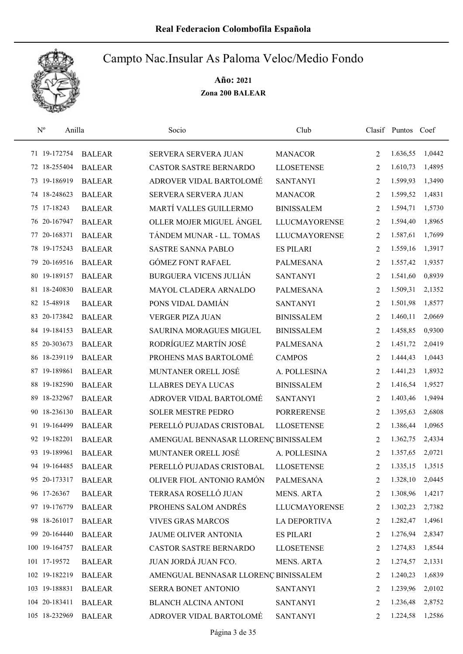

| $\mathbf{N}^{\mathrm{o}}$ | Anilla                     | Socio                                | Club                 |                | Clasif Puntos Coef |        |
|---------------------------|----------------------------|--------------------------------------|----------------------|----------------|--------------------|--------|
| 71 19-172754              | <b>BALEAR</b>              | SERVERA SERVERA JUAN                 | <b>MANACOR</b>       | 2              | 1.636,55           | 1,0442 |
| 72 18-255404              | <b>BALEAR</b>              | CASTOR SASTRE BERNARDO               | <b>LLOSETENSE</b>    | $\overline{2}$ | 1.610,73           | 1,4895 |
| 73 19-186919              | <b>BALEAR</b>              | ADROVER VIDAL BARTOLOMÉ              | <b>SANTANYI</b>      | 2              | 1.599,93           | 1,3490 |
| 74 18-248623              | <b>BALEAR</b>              | SERVERA SERVERA JUAN                 | <b>MANACOR</b>       | 2              | 1.599,52           | 1,4831 |
| 75 17-18243               | <b>BALEAR</b>              | MARTÍ VALLES GUILLERMO               | <b>BINISSALEM</b>    | 2              | 1.594,71           | 1,5730 |
| 76 20-167947              | <b>BALEAR</b>              | OLLER MOJER MIGUEL ÁNGEL             | <b>LLUCMAYORENSE</b> | 2              | 1.594,40           | 1,8965 |
| 77 20-168371              | <b>BALEAR</b>              | TÁNDEM MUNAR - LL. TOMAS             | <b>LLUCMAYORENSE</b> | 2              | 1.587,61           | 1,7699 |
| 78 19-175243              | <b>BALEAR</b>              | <b>SASTRE SANNA PABLO</b>            | <b>ES PILARI</b>     | 2              | 1.559,16           | 1,3917 |
| 79 20-169516              | <b>BALEAR</b>              | <b>GÓMEZ FONT RAFAEL</b>             | <b>PALMESANA</b>     | 2              | 1.557,42           | 1,9357 |
| 80 19-189157              | <b>BALEAR</b>              | <b>BURGUERA VICENS JULIÁN</b>        | <b>SANTANYI</b>      | 2              | 1.541,60           | 0,8939 |
| 81 18-240830              | <b>BALEAR</b>              | MAYOL CLADERA ARNALDO                | <b>PALMESANA</b>     | 2              | 1.509,31           | 2,1352 |
| 82 15-48918               | <b>BALEAR</b>              | PONS VIDAL DAMIÁN                    | <b>SANTANYI</b>      | 2              | 1.501,98           | 1,8577 |
| 83 20-173842              | <b>BALEAR</b>              | <b>VERGER PIZA JUAN</b>              | <b>BINISSALEM</b>    | $\overline{2}$ | 1.460,11           | 2,0669 |
| 84 19-184153              | <b>BALEAR</b>              | <b>SAURINA MORAGUES MIGUEL</b>       | <b>BINISSALEM</b>    | $\overline{2}$ | 1.458,85           | 0,9300 |
| 85 20-303673              | <b>BALEAR</b>              | RODRÍGUEZ MARTÍN JOSÉ                | <b>PALMESANA</b>     | $\overline{2}$ | 1.451,72           | 2,0419 |
| 86 18-239119              | <b>BALEAR</b>              | PROHENS MAS BARTOLOMÉ                | <b>CAMPOS</b>        | 2              | 1.444,43           | 1,0443 |
| 87 19-189861              | <b>BALEAR</b>              | MUNTANER ORELL JOSÉ                  | A. POLLESINA         | 2              | 1.441,23           | 1,8932 |
| 88 19-182590              | <b>BALEAR</b>              | <b>LLABRES DEYA LUCAS</b>            | <b>BINISSALEM</b>    | 2              | 1.416,54           | 1,9527 |
| 89.                       | 18-232967<br><b>BALEAR</b> | ADROVER VIDAL BARTOLOMÉ              | <b>SANTANYI</b>      | 2              | 1.403,46           | 1,9494 |
| 90 18-236130              | <b>BALEAR</b>              | <b>SOLER MESTRE PEDRO</b>            | <b>PORRERENSE</b>    | 2              | 1.395,63           | 2,6808 |
| 91 19-164499              | <b>BALEAR</b>              | PERELLÓ PUJADAS CRISTOBAL            | <b>LLOSETENSE</b>    | 2              | 1.386,44           | 1,0965 |
| 92 19-182201              | <b>BALEAR</b>              | AMENGUAL BENNASAR LLORENÇ BINISSALEM |                      | 2              | 1.362,75           | 2,4334 |
| 93 19-189961              | <b>BALEAR</b>              | MUNTANER ORELL JOSÉ                  | A. POLLESINA         | 2              | 1.357,65           | 2,0721 |
| 94 19-164485              | <b>BALEAR</b>              | PERELLÓ PUJADAS CRISTOBAL            | <b>LLOSETENSE</b>    | $\overline{2}$ | 1.335,15           | 1,3515 |
| 95 20-173317              | <b>BALEAR</b>              | OLIVER FIOL ANTONIO RAMÓN            | PALMESANA            | 2              | 1.328,10           | 2,0445 |
| 96 17-26367               | <b>BALEAR</b>              | TERRASA ROSELLÓ JUAN                 | MENS. ARTA           | 2              | 1.308,96           | 1,4217 |
| 97 19-176779              | <b>BALEAR</b>              | PROHENS SALOM ANDRÉS                 | <b>LLUCMAYORENSE</b> | 2              | 1.302,23           | 2,7382 |
| 98 18-261017              | <b>BALEAR</b>              | <b>VIVES GRAS MARCOS</b>             | LA DEPORTIVA         | 2              | 1.282,47           | 1,4961 |
| 99 20-164440              | <b>BALEAR</b>              | JAUME OLIVER ANTONIA                 | <b>ES PILARI</b>     | 2              | 1.276,94           | 2,8347 |
| 100 19-164757             | <b>BALEAR</b>              | CASTOR SASTRE BERNARDO               | <b>LLOSETENSE</b>    | 2              | 1.274,83           | 1,8544 |
| 101 17-19572              | <b>BALEAR</b>              | JUAN JORDÁ JUAN FCO.                 | MENS. ARTA           | 2              | 1.274,57           | 2,1331 |
| 102 19-182219             | <b>BALEAR</b>              | AMENGUAL BENNASAR LLORENÇ BINISSALEM |                      | 2              | 1.240,23           | 1,6839 |
| 103 19-188831             | <b>BALEAR</b>              | SERRA BONET ANTONIO                  | <b>SANTANYI</b>      | 2              | 1.239,96           | 2,0102 |
| 104 20-183411             | <b>BALEAR</b>              | <b>BLANCH ALCINA ANTONI</b>          | <b>SANTANYI</b>      | 2              | 1.236,48 2,8752    |        |
| 105 18-232969             | <b>BALEAR</b>              | ADROVER VIDAL BARTOLOMÉ              | SANTANYI             | 2              | 1.224,58           | 1,2586 |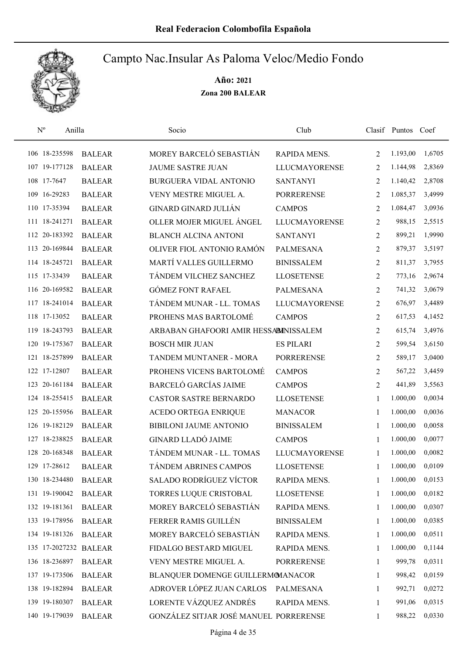

| $\rm N^o$     | Anilla |                       | Socio                                  | Club                 |              | Clasif Puntos Coef |        |
|---------------|--------|-----------------------|----------------------------------------|----------------------|--------------|--------------------|--------|
| 106 18-235598 |        | <b>BALEAR</b>         | MOREY BARCELÓ SEBASTIÁN                | RAPIDA MENS.         | 2            | 1.193,00           | 1,6705 |
| 107 19-177128 |        | <b>BALEAR</b>         | <b>JAUME SASTRE JUAN</b>               | <b>LLUCMAYORENSE</b> | 2            | 1.144,98           | 2,8369 |
| 108 17-7647   |        | <b>BALEAR</b>         | <b>BURGUERA VIDAL ANTONIO</b>          | <b>SANTANYI</b>      | 2            | 1.140,42           | 2,8708 |
| 109 16-29283  |        | <b>BALEAR</b>         | VENY MESTRE MIGUEL A.                  | <b>PORRERENSE</b>    | 2            | 1.085,37           | 3,4999 |
| 110 17-35394  |        | <b>BALEAR</b>         | <b>GINARD GINARD JULIÁN</b>            | <b>CAMPOS</b>        | 2            | 1.084,47           | 3,0936 |
| 111 18-241271 |        | <b>BALEAR</b>         | OLLER MOJER MIGUEL ÁNGEL               | <b>LLUCMAYORENSE</b> | 2            | 988,15             | 2,5515 |
| 112 20-183392 |        | <b>BALEAR</b>         | <b>BLANCH ALCINA ANTONI</b>            | <b>SANTANYI</b>      | 2            | 899,21             | 1,9990 |
| 113 20-169844 |        | <b>BALEAR</b>         | OLIVER FIOL ANTONIO RAMÓN              | <b>PALMESANA</b>     | 2            | 879,37             | 3,5197 |
| 114 18-245721 |        | <b>BALEAR</b>         | MARTÍ VALLES GUILLERMO                 | <b>BINISSALEM</b>    | 2            | 811,37             | 3,7955 |
| 115 17-33439  |        | <b>BALEAR</b>         | TÁNDEM VILCHEZ SANCHEZ                 | <b>LLOSETENSE</b>    | 2            | 773,16             | 2,9674 |
| 116 20-169582 |        | <b>BALEAR</b>         | <b>GÓMEZ FONT RAFAEL</b>               | <b>PALMESANA</b>     | 2            | 741,32             | 3,0679 |
| 117 18-241014 |        | <b>BALEAR</b>         | TÁNDEM MUNAR - LL. TOMAS               | <b>LLUCMAYORENSE</b> | 2            | 676,97             | 3,4489 |
| 118 17-13052  |        | <b>BALEAR</b>         | PROHENS MAS BARTOLOMÉ                  | <b>CAMPOS</b>        | 2            | 617,53             | 4,1452 |
| 119 18-243793 |        | <b>BALEAR</b>         | ARBABAN GHAFOORI AMIR HESSABINISSALEM  |                      | 2            | 615,74             | 3,4976 |
| 120 19-175367 |        | <b>BALEAR</b>         | <b>BOSCH MIR JUAN</b>                  | <b>ES PILARI</b>     | 2            | 599,54             | 3,6150 |
| 121 18-257899 |        | <b>BALEAR</b>         | TANDEM MUNTANER - MORA                 | <b>PORRERENSE</b>    | 2            | 589,17             | 3,0400 |
| 122 17-12807  |        | <b>BALEAR</b>         | PROHENS VICENS BARTOLOMÉ               | <b>CAMPOS</b>        | 2            | 567,22             | 3,4459 |
| 123 20-161184 |        | <b>BALEAR</b>         | <b>BARCELÓ GARCÍAS JAIME</b>           | <b>CAMPOS</b>        | 2            | 441,89             | 3,5563 |
| 124 18-255415 |        | <b>BALEAR</b>         | CASTOR SASTRE BERNARDO                 | <b>LLOSETENSE</b>    | $\mathbf{1}$ | 1.000,00           | 0,0034 |
| 125 20-155956 |        | <b>BALEAR</b>         | ACEDO ORTEGA ENRIQUE                   | <b>MANACOR</b>       | 1            | 1.000,00           | 0,0036 |
| 126 19-182129 |        | <b>BALEAR</b>         | <b>BIBILONI JAUME ANTONIO</b>          | <b>BINISSALEM</b>    | 1            | 1.000,00           | 0,0058 |
| 127 18-238825 |        | <b>BALEAR</b>         | <b>GINARD LLADÓ JAIME</b>              | <b>CAMPOS</b>        | 1            | 1.000,00           | 0,0077 |
| 128 20-168348 |        | <b>BALEAR</b>         | TÁNDEM MUNAR - LL. TOMAS               | <b>LLUCMAYORENSE</b> | 1            | 1.000,00           | 0,0082 |
| 129 17-28612  |        | <b>BALEAR</b>         | TÁNDEM ABRINES CAMPOS                  | <b>LLOSETENSE</b>    | 1            | 1.000,00           | 0,0109 |
| 130 18-234480 |        | <b>BALEAR</b>         | SALADO RODRÍGUEZ VÍCTOR                | RAPIDA MENS.         | 1            | 1.000,00           | 0,0153 |
| 131 19-190042 |        | <b>BALEAR</b>         | TORRES LUQUE CRISTOBAL                 | <b>LLOSETENSE</b>    | 1            | 1.000,00           | 0,0182 |
| 132 19-181361 |        | <b>BALEAR</b>         | MOREY BARCELÓ SEBASTIÁN                | RAPIDA MENS.         | 1            | 1.000,00           | 0,0307 |
| 133 19-178956 |        | <b>BALEAR</b>         | FERRER RAMIS GUILLÉN                   | <b>BINISSALEM</b>    | 1            | 1.000,00           | 0,0385 |
| 134 19-181326 |        | <b>BALEAR</b>         | MOREY BARCELÓ SEBASTIÁN                | RAPIDA MENS.         | 1            | 1.000,00           | 0,0511 |
|               |        | 135 17-2027232 BALEAR | FIDALGO BESTARD MIGUEL                 | RAPIDA MENS.         | $\mathbf{1}$ | 1.000,00           | 0,1144 |
| 136 18-236897 |        | <b>BALEAR</b>         | VENY MESTRE MIGUEL A.                  | <b>PORRERENSE</b>    | 1            | 999,78             | 0,0311 |
| 137 19-173506 |        | <b>BALEAR</b>         | BLANQUER DOMENGE GUILLERMOMANACOR      |                      | 1            | 998,42             | 0,0159 |
| 138 19-182894 |        | <b>BALEAR</b>         | ADROVER LÓPEZ JUAN CARLOS              | <b>PALMESANA</b>     | 1            | 992,71             | 0,0272 |
| 139 19-180307 |        | <b>BALEAR</b>         | LORENTE VÁZQUEZ ANDRÉS                 | RAPIDA MENS.         | 1            | 991,06             | 0,0315 |
| 140 19-179039 |        | <b>BALEAR</b>         | GONZÁLEZ SITJAR JOSÉ MANUEL PORRERENSE |                      | 1            | 988,22             | 0,0330 |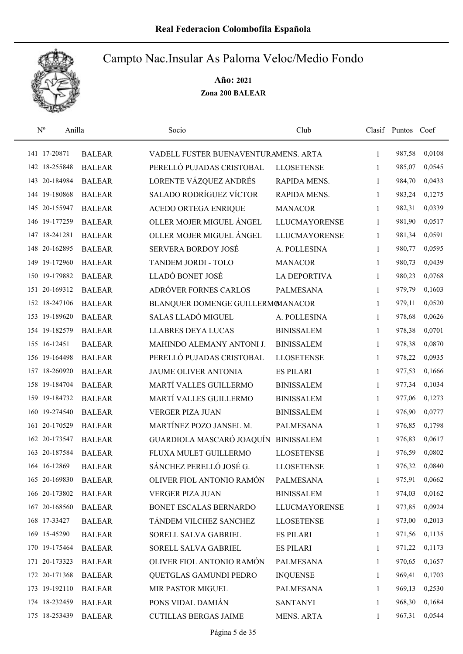

| $\mathbf{N}^{\text{o}}$ | Anilla        | Socio                                | Club                 |              | Clasif Puntos Coef |        |
|-------------------------|---------------|--------------------------------------|----------------------|--------------|--------------------|--------|
| 141 17-20871            | <b>BALEAR</b> | VADELL FUSTER BUENAVENTURAMENS. ARTA |                      | 1            | 987,58             | 0,0108 |
| 142 18-255848           | <b>BALEAR</b> | PERELLÓ PUJADAS CRISTOBAL            | <b>LLOSETENSE</b>    | 1            | 985,07             | 0,0545 |
| 143 20-184984           | <b>BALEAR</b> | LORENTE VÁZQUEZ ANDRÉS               | RAPIDA MENS.         | $\mathbf{1}$ | 984,70             | 0,0433 |
| 144 19-180868           | <b>BALEAR</b> | SALADO RODRÍGUEZ VÍCTOR              | RAPIDA MENS.         | 1            | 983,24             | 0,1275 |
| 145 20-155947           | <b>BALEAR</b> | <b>ACEDO ORTEGA ENRIQUE</b>          | <b>MANACOR</b>       | 1            | 982,31             | 0,0339 |
| 146 19-177259           | <b>BALEAR</b> | OLLER MOJER MIGUEL ÁNGEL             | <b>LLUCMAYORENSE</b> | $\mathbf{1}$ | 981,90             | 0,0517 |
| 147 18-241281           | <b>BALEAR</b> | OLLER MOJER MIGUEL ÁNGEL             | <b>LLUCMAYORENSE</b> | 1            | 981,34             | 0,0591 |
| 148 20-162895           | <b>BALEAR</b> | <b>SERVERA BORDOY JOSÉ</b>           | A. POLLESINA         | 1            | 980,77             | 0,0595 |
| 149 19-172960           | <b>BALEAR</b> | TANDEM JORDI - TOLO                  | <b>MANACOR</b>       | 1            | 980,73             | 0,0439 |
| 150 19-179882           | <b>BALEAR</b> | LLADÓ BONET JOSÉ                     | <b>LA DEPORTIVA</b>  | 1            | 980,23             | 0,0768 |
| 151 20-169312           | <b>BALEAR</b> | ADRÓVER FORNES CARLOS                | <b>PALMESANA</b>     | 1            | 979,79             | 0,1603 |
| 152 18-247106           | <b>BALEAR</b> | BLANQUER DOMENGE GUILLERMOMANACOR    |                      | 1            | 979,11             | 0,0520 |
| 153 19-189620           | <b>BALEAR</b> | <b>SALAS LLADÓ MIGUEL</b>            | A. POLLESINA         | 1            | 978,68             | 0,0626 |
| 154 19-182579           | <b>BALEAR</b> | <b>LLABRES DEYA LUCAS</b>            | <b>BINISSALEM</b>    | 1            | 978,38             | 0,0701 |
| 155 16-12451            | <b>BALEAR</b> | MAHINDO ALEMANY ANTONI J.            | <b>BINISSALEM</b>    | $\mathbf{1}$ | 978,38             | 0,0870 |
| 156 19-164498           | <b>BALEAR</b> | PERELLÓ PUJADAS CRISTOBAL            | <b>LLOSETENSE</b>    | 1            | 978,22             | 0,0935 |
| 157 18-260920           | <b>BALEAR</b> | JAUME OLIVER ANTONIA                 | <b>ES PILARI</b>     | 1            | 977,53             | 0,1666 |
| 158 19-184704           | <b>BALEAR</b> | MARTÍ VALLES GUILLERMO               | <b>BINISSALEM</b>    | 1            | 977,34             | 0,1034 |
| 159 19-184732           | <b>BALEAR</b> | MARTÍ VALLES GUILLERMO               | <b>BINISSALEM</b>    | 1            | 977,06             | 0,1273 |
| 160 19-274540           | <b>BALEAR</b> | <b>VERGER PIZA JUAN</b>              | <b>BINISSALEM</b>    | 1            | 976,90             | 0,0777 |
| 161 20-170529           | <b>BALEAR</b> | MARTÍNEZ POZO JANSEL M.              | <b>PALMESANA</b>     | 1            | 976,85             | 0,1798 |
| 162 20-173547           | <b>BALEAR</b> | GUARDIOLA MASCARÓ JOAQUÍN            | <b>BINISSALEM</b>    | 1            | 976,83             | 0,0617 |
| 163 20-187584           | <b>BALEAR</b> | FLUXA MULET GUILLERMO                | <b>LLOSETENSE</b>    | 1            | 976,59             | 0,0802 |
| 164 16-12869            | <b>BALEAR</b> | SÁNCHEZ PERELLÓ JOSÉ G.              | <b>LLOSETENSE</b>    | 1            | 976,32             | 0,0840 |
| 165 20-169830           | <b>BALEAR</b> | OLIVER FIOL ANTONIO RAMÓN            | PALMESANA            | 1            | 975,91             | 0,0662 |
| 166 20-173802           | <b>BALEAR</b> | VERGER PIZA JUAN                     | <b>BINISSALEM</b>    | 1            | 974,03             | 0,0162 |
| 167 20-168560           | <b>BALEAR</b> | BONET ESCALAS BERNARDO               | <b>LLUCMAYORENSE</b> | 1            | 973,85             | 0,0924 |
| 168 17-33427            | <b>BALEAR</b> | TÁNDEM VILCHEZ SANCHEZ               | <b>LLOSETENSE</b>    | 1            | 973,00             | 0,2013 |
| 169 15-45290            | <b>BALEAR</b> | SORELL SALVA GABRIEL                 | <b>ES PILARI</b>     | 1            | 971,56             | 0,1135 |
| 170 19-175464           | <b>BALEAR</b> | SORELL SALVA GABRIEL                 | <b>ES PILARI</b>     | 1            | 971,22             | 0,1173 |
| 171 20-173323           | <b>BALEAR</b> | OLIVER FIOL ANTONIO RAMÓN            | PALMESANA            | 1            | 970,65             | 0,1657 |
| 172 20-171368           | <b>BALEAR</b> | QUETGLAS GAMUNDI PEDRO               | <b>INQUENSE</b>      | 1            | 969,41             | 0,1703 |
| 173 19-192110           | <b>BALEAR</b> | MIR PASTOR MIGUEL                    | PALMESANA            | 1            | 969,13             | 0,2530 |
| 174 18-232459           | <b>BALEAR</b> | PONS VIDAL DAMIÁN                    | <b>SANTANYI</b>      | 1            | 968,30             | 0,1684 |
| 175 18-253439           | <b>BALEAR</b> | <b>CUTILLAS BERGAS JAIME</b>         | MENS. ARTA           | 1            | 967,31             | 0,0544 |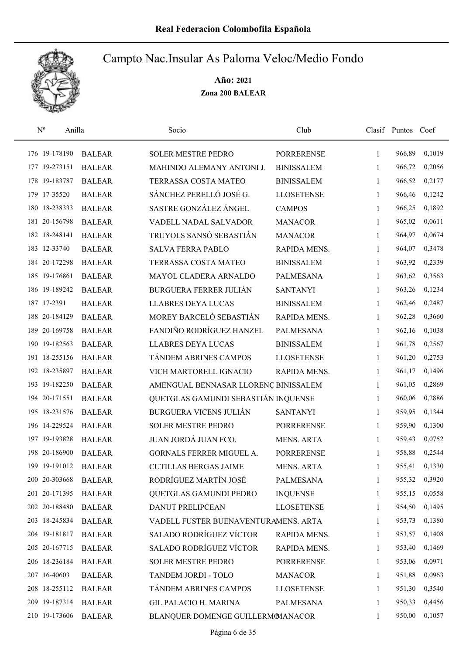

| $\mathrm{N}^{\rm o}$ | Anilla        | Socio                                | Club              |              | Clasif Puntos | Coef   |
|----------------------|---------------|--------------------------------------|-------------------|--------------|---------------|--------|
| 176 19-178190        | <b>BALEAR</b> | <b>SOLER MESTRE PEDRO</b>            | <b>PORRERENSE</b> | $\mathbf{1}$ | 966,89        | 0,1019 |
| 177 19-273151        | <b>BALEAR</b> | MAHINDO ALEMANY ANTONI J.            | <b>BINISSALEM</b> | 1            | 966,72        | 0,2056 |
| 178 19-183787        | <b>BALEAR</b> | TERRASSA COSTA MATEO                 | <b>BINISSALEM</b> | $\mathbf{1}$ | 966,52        | 0,2177 |
| 179 17-35520         | <b>BALEAR</b> | SÁNCHEZ PERELLÓ JOSÉ G.              | <b>LLOSETENSE</b> | 1            | 966,46        | 0,1242 |
| 180 18-238333        | <b>BALEAR</b> | SASTRE GONZÁLEZ ÁNGEL                | <b>CAMPOS</b>     | $\mathbf{1}$ | 966,25        | 0,1892 |
| 20-156798<br>181     | <b>BALEAR</b> | VADELL NADAL SALVADOR                | <b>MANACOR</b>    | $\mathbf{1}$ | 965,02        | 0,0611 |
| 182 18-248141        | <b>BALEAR</b> | TRUYOLS SANSÓ SEBASTIÁN              | <b>MANACOR</b>    | $\mathbf{1}$ | 964,97        | 0,0674 |
| 183 12-33740         | <b>BALEAR</b> | <b>SALVA FERRA PABLO</b>             | RAPIDA MENS.      | 1            | 964,07        | 0,3478 |
| 184 20-172298        | <b>BALEAR</b> | TERRASSA COSTA MATEO                 | <b>BINISSALEM</b> | 1            | 963,92        | 0,2339 |
| 185 19-176861        | <b>BALEAR</b> | MAYOL CLADERA ARNALDO                | <b>PALMESANA</b>  | 1            | 963,62        | 0,3563 |
| 186 19-189242        | <b>BALEAR</b> | <b>BURGUERA FERRER JULIÁN</b>        | <b>SANTANYI</b>   | 1            | 963,26        | 0,1234 |
| 187 17-2391          | <b>BALEAR</b> | <b>LLABRES DEYA LUCAS</b>            | <b>BINISSALEM</b> | $\mathbf{1}$ | 962,46        | 0,2487 |
| 188 20-184129        | <b>BALEAR</b> | MOREY BARCELÓ SEBASTIÁN              | RAPIDA MENS.      | 1            | 962,28        | 0,3660 |
| 20-169758<br>189     | <b>BALEAR</b> | FANDIÑO RODRÍGUEZ HANZEL             | <b>PALMESANA</b>  | 1            | 962,16        | 0,1038 |
| 190 19-182563        | <b>BALEAR</b> | <b>LLABRES DEYA LUCAS</b>            | <b>BINISSALEM</b> | $\mathbf{1}$ | 961,78        | 0,2567 |
| 191 18-255156        | <b>BALEAR</b> | TÁNDEM ABRINES CAMPOS                | <b>LLOSETENSE</b> | $\mathbf{1}$ | 961,20        | 0,2753 |
| 192 18-235897        | <b>BALEAR</b> | VICH MARTORELL IGNACIO               | RAPIDA MENS.      | 1            | 961,17        | 0,1496 |
| 193 19-182250        | <b>BALEAR</b> | AMENGUAL BENNASAR LLORENÇ BINISSALEM |                   | $\mathbf{1}$ | 961,05        | 0,2869 |
| 194 20-171551        | <b>BALEAR</b> | QUETGLAS GAMUNDI SEBASTIÁN INQUENSE  |                   | $\mathbf{1}$ | 960,06        | 0,2886 |
| 195 18-231576        | <b>BALEAR</b> | <b>BURGUERA VICENS JULIÁN</b>        | <b>SANTANYI</b>   | $\mathbf{1}$ | 959,95        | 0,1344 |
| 196 14-229524        | <b>BALEAR</b> | <b>SOLER MESTRE PEDRO</b>            | <b>PORRERENSE</b> | 1            | 959,90        | 0,1300 |
| 197 19-193828        | <b>BALEAR</b> | JUAN JORDÁ JUAN FCO.                 | <b>MENS. ARTA</b> | 1            | 959,43        | 0,0752 |
| 198 20-186900        | <b>BALEAR</b> | GORNALS FERRER MIGUEL A.             | <b>PORRERENSE</b> | 1            | 958,88        | 0,2544 |
| 199 19-191012        | <b>BALEAR</b> | <b>CUTILLAS BERGAS JAIME</b>         | <b>MENS. ARTA</b> | 1            | 955,41        | 0,1330 |
| 200 20-303668        | <b>BALEAR</b> | RODRÍGUEZ MARTÍN JOSÉ                | <b>PALMESANA</b>  | 1            | 955,32        | 0,3920 |
| 201 20-171395        | <b>BALEAR</b> | QUETGLAS GAMUNDI PEDRO               | <b>INQUENSE</b>   | 1            | 955,15        | 0,0558 |
| 202 20-188480        | <b>BALEAR</b> | <b>DANUT PRELIPCEAN</b>              | <b>LLOSETENSE</b> | 1            | 954,50        | 0,1495 |
| 203 18-245834        | <b>BALEAR</b> | VADELL FUSTER BUENAVENTURAMENS. ARTA |                   | 1            | 953,73        | 0,1380 |
| 204 19-181817        | <b>BALEAR</b> | <b>SALADO RODRÍGUEZ VÍCTOR</b>       | RAPIDA MENS.      | 1            | 953,57        | 0,1408 |
| 205 20-167715        | <b>BALEAR</b> | <b>SALADO RODRÍGUEZ VÍCTOR</b>       | RAPIDA MENS.      | 1            | 953,40        | 0,1469 |
| 206 18-236184        | <b>BALEAR</b> | <b>SOLER MESTRE PEDRO</b>            | <b>PORRERENSE</b> | 1            | 953,06        | 0,0971 |
| 207 16-40603         | <b>BALEAR</b> | TANDEM JORDI - TOLO                  | <b>MANACOR</b>    | 1            | 951,88        | 0,0963 |
| 208 18-255112        | <b>BALEAR</b> | TÁNDEM ABRINES CAMPOS                | <b>LLOSETENSE</b> | 1            | 951,30        | 0,3540 |
| 209 19-187314        | <b>BALEAR</b> | <b>GIL PALACIO H. MARINA</b>         | PALMESANA         | 1            | 950,33        | 0,4456 |
| 210 19-173606        | <b>BALEAR</b> | BLANQUER DOMENGE GUILLERMOMANACOR    |                   | 1            | 950,00        | 0,1057 |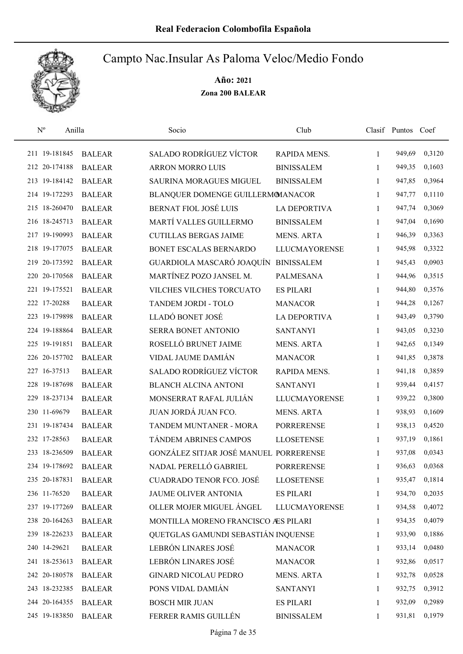

| $\rm N^o$     | Anilla |               | Socio                                  | Club                 |              | Clasif Puntos Coef |        |
|---------------|--------|---------------|----------------------------------------|----------------------|--------------|--------------------|--------|
| 211 19-181845 |        | <b>BALEAR</b> | <b>SALADO RODRÍGUEZ VÍCTOR</b>         | RAPIDA MENS.         | 1            | 949,69             | 0,3120 |
| 212 20-174188 |        | <b>BALEAR</b> | <b>ARRON MORRO LUIS</b>                | <b>BINISSALEM</b>    | 1            | 949,35             | 0,1603 |
| 213 19-184142 |        | <b>BALEAR</b> | <b>SAURINA MORAGUES MIGUEL</b>         | <b>BINISSALEM</b>    | 1            | 947,85             | 0,3964 |
| 214 19-172293 |        | <b>BALEAR</b> | BLANQUER DOMENGE GUILLERMOMANACOR      |                      | 1            | 947,77             | 0,1110 |
| 215 18-260470 |        | <b>BALEAR</b> | <b>BERNAT FIOL JOSÉ LUIS</b>           | <b>LA DEPORTIVA</b>  | 1            | 947,74             | 0,3069 |
| 216 18-245713 |        | <b>BALEAR</b> | MARTÍ VALLES GUILLERMO                 | <b>BINISSALEM</b>    | $\mathbf{1}$ | 947,04             | 0,1690 |
| 217 19-190993 |        | <b>BALEAR</b> | <b>CUTILLAS BERGAS JAIME</b>           | <b>MENS. ARTA</b>    | 1            | 946,39             | 0,3363 |
| 218 19-177075 |        | <b>BALEAR</b> | BONET ESCALAS BERNARDO                 | <b>LLUCMAYORENSE</b> | 1            | 945,98             | 0,3322 |
| 219 20-173592 |        | <b>BALEAR</b> | GUARDIOLA MASCARÓ JOAQUÍN              | <b>BINISSALEM</b>    | 1            | 945,43             | 0,0903 |
| 220 20-170568 |        | <b>BALEAR</b> | MARTÍNEZ POZO JANSEL M.                | <b>PALMESANA</b>     | 1            | 944,96             | 0,3515 |
| 221 19-175521 |        | <b>BALEAR</b> | VILCHES VILCHES TORCUATO               | <b>ES PILARI</b>     | 1            | 944,80             | 0,3576 |
| 222 17-20288  |        | <b>BALEAR</b> | TANDEM JORDI - TOLO                    | <b>MANACOR</b>       | 1            | 944,28             | 0,1267 |
| 223 19-179898 |        | <b>BALEAR</b> | LLADÓ BONET JOSÉ                       | <b>LA DEPORTIVA</b>  | 1            | 943,49             | 0,3790 |
| 224 19-188864 |        | <b>BALEAR</b> | <b>SERRA BONET ANTONIO</b>             | <b>SANTANYI</b>      | 1            | 943,05             | 0,3230 |
| 225 19-191851 |        | <b>BALEAR</b> | ROSELLÓ BRUNET JAIME                   | <b>MENS. ARTA</b>    | 1            | 942,65             | 0,1349 |
| 226 20-157702 |        | <b>BALEAR</b> | VIDAL JAUME DAMIÁN                     | <b>MANACOR</b>       | 1            | 941,85             | 0,3878 |
| 227 16-37513  |        | <b>BALEAR</b> | <b>SALADO RODRÍGUEZ VÍCTOR</b>         | RAPIDA MENS.         | 1            | 941,18             | 0,3859 |
| 228 19-187698 |        | <b>BALEAR</b> | <b>BLANCH ALCINA ANTONI</b>            | <b>SANTANYI</b>      | $\mathbf{1}$ | 939,44             | 0,4157 |
| 229 18-237134 |        | <b>BALEAR</b> | MONSERRAT RAFAL JULIÁN                 | <b>LLUCMAYORENSE</b> | $\mathbf{1}$ | 939,22             | 0,3800 |
| 230 11-69679  |        | <b>BALEAR</b> | JUAN JORDÁ JUAN FCO.                   | <b>MENS. ARTA</b>    | $\mathbf{1}$ | 938,93             | 0,1609 |
| 231 19-187434 |        | <b>BALEAR</b> | TANDEM MUNTANER - MORA                 | <b>PORRERENSE</b>    | $\mathbf{1}$ | 938,13             | 0,4520 |
| 232 17-28563  |        | <b>BALEAR</b> | TÁNDEM ABRINES CAMPOS                  | <b>LLOSETENSE</b>    | 1            | 937,19             | 0,1861 |
| 233 18-236509 |        | <b>BALEAR</b> | GONZÁLEZ SITJAR JOSÉ MANUEL PORRERENSE |                      | 1            | 937,08             | 0,0343 |
| 234 19-178692 |        | <b>BALEAR</b> | NADAL PERELLÓ GABRIEL                  | <b>PORRERENSE</b>    | 1            | 936,63             | 0,0368 |
| 235 20-187831 |        | <b>BALEAR</b> | <b>CUADRADO TENOR FCO. JOSÉ</b>        | <b>LLOSETENSE</b>    | 1            | 935,47             | 0,1814 |
| 236 11-76520  |        | <b>BALEAR</b> | JAUME OLIVER ANTONIA                   | <b>ES PILARI</b>     | 1            | 934,70             | 0,2035 |
| 237 19-177269 |        | <b>BALEAR</b> | OLLER MOJER MIGUEL ÁNGEL               | LLUCMAYORENSE        | 1            | 934,58             | 0,4072 |
| 238 20-164263 |        | <b>BALEAR</b> | MONTILLA MORENO FRANCISCO AES PILARI   |                      | 1            | 934,35             | 0,4079 |
| 239 18-226233 |        | <b>BALEAR</b> | QUETGLAS GAMUNDI SEBASTIÁN INQUENSE    |                      | 1            | 933,90             | 0,1886 |
| 240 14-29621  |        | <b>BALEAR</b> | LEBRÓN LINARES JOSÉ                    | <b>MANACOR</b>       | 1            | 933,14             | 0,0480 |
| 241 18-253613 |        | <b>BALEAR</b> | LEBRÓN LINARES JOSÉ                    | <b>MANACOR</b>       | 1            | 932,86             | 0,0517 |
| 242 20-180578 |        | <b>BALEAR</b> | <b>GINARD NICOLAU PEDRO</b>            | <b>MENS. ARTA</b>    | 1            | 932,78             | 0,0528 |
| 243 18-232385 |        | <b>BALEAR</b> | PONS VIDAL DAMIÁN                      | <b>SANTANYI</b>      | 1            | 932,75             | 0,3912 |
| 244 20-164355 |        | <b>BALEAR</b> | <b>BOSCH MIR JUAN</b>                  | <b>ES PILARI</b>     | 1            | 932,09             | 0,2989 |
| 245 19-183850 |        | <b>BALEAR</b> | FERRER RAMIS GUILLÉN                   | <b>BINISSALEM</b>    | 1            | 931,81             | 0,1979 |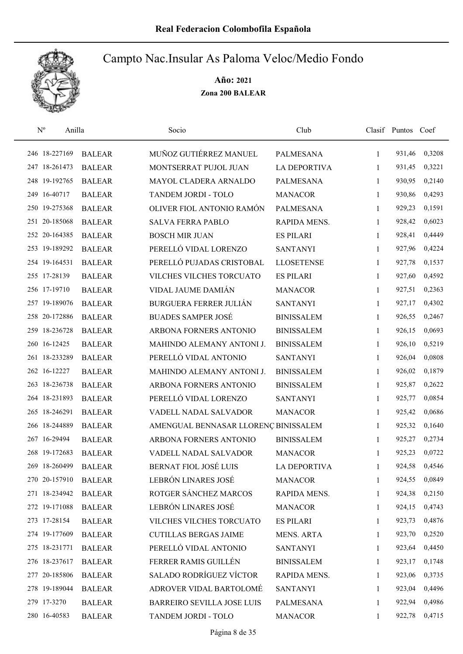

| $\mathbf{N}^{\text{o}}$ | Anilla        | Socio                                | Club                |              | Clasif Puntos | Coef   |
|-------------------------|---------------|--------------------------------------|---------------------|--------------|---------------|--------|
| 246 18-227169           | <b>BALEAR</b> | MUÑOZ GUTIÉRREZ MANUEL               | PALMESANA           | 1            | 931,46        | 0,3208 |
| 247 18-261473           | <b>BALEAR</b> | MONTSERRAT PUJOL JUAN                | <b>LA DEPORTIVA</b> | 1            | 931,45        | 0,3221 |
| 248 19-192765           | <b>BALEAR</b> | MAYOL CLADERA ARNALDO                | <b>PALMESANA</b>    | $\mathbf{1}$ | 930,95        | 0,2140 |
| 249 16-40717            | <b>BALEAR</b> | TANDEM JORDI - TOLO                  | <b>MANACOR</b>      | 1            | 930,86        | 0,4293 |
| 250 19-275368           | <b>BALEAR</b> | OLIVER FIOL ANTONIO RAMÓN            | <b>PALMESANA</b>    | 1            | 929,23        | 0,1591 |
| 251 20-185068           | <b>BALEAR</b> | <b>SALVA FERRA PABLO</b>             | RAPIDA MENS.        | $\mathbf{1}$ | 928,42        | 0,6023 |
| 252 20-164385           | <b>BALEAR</b> | <b>BOSCH MIR JUAN</b>                | <b>ES PILARI</b>    | $\mathbf{1}$ | 928,41        | 0,4449 |
| 253 19-189292           | <b>BALEAR</b> | PERELLÓ VIDAL LORENZO                | <b>SANTANYI</b>     | $\mathbf{1}$ | 927,96        | 0,4224 |
| 254 19-164531           | <b>BALEAR</b> | PERELLÓ PUJADAS CRISTOBAL            | <b>LLOSETENSE</b>   | $\mathbf{1}$ | 927,78        | 0,1537 |
| 255 17-28139            | <b>BALEAR</b> | VILCHES VILCHES TORCUATO             | <b>ES PILARI</b>    | 1            | 927,60        | 0,4592 |
| 256 17-19710            | <b>BALEAR</b> | VIDAL JAUME DAMIÁN                   | <b>MANACOR</b>      | 1            | 927,51        | 0,2363 |
| 257 19-189076           | <b>BALEAR</b> | <b>BURGUERA FERRER JULIÁN</b>        | <b>SANTANYI</b>     | 1            | 927,17        | 0,4302 |
| 258 20-172886           | <b>BALEAR</b> | <b>BUADES SAMPER JOSÉ</b>            | <b>BINISSALEM</b>   | 1            | 926,55        | 0,2467 |
| 259 18-236728           | <b>BALEAR</b> | ARBONA FORNERS ANTONIO               | <b>BINISSALEM</b>   | 1            | 926,15        | 0,0693 |
| 260 16-12425            | <b>BALEAR</b> | MAHINDO ALEMANY ANTONI J.            | <b>BINISSALEM</b>   | 1            | 926,10        | 0,5219 |
| 261 18-233289           | <b>BALEAR</b> | PERELLÓ VIDAL ANTONIO                | <b>SANTANYI</b>     | 1            | 926,04        | 0,0808 |
| 262 16-12227            | <b>BALEAR</b> | MAHINDO ALEMANY ANTONI J.            | <b>BINISSALEM</b>   | $\mathbf{1}$ | 926,02        | 0,1879 |
| 263 18-236738           | <b>BALEAR</b> | ARBONA FORNERS ANTONIO               | <b>BINISSALEM</b>   | $\mathbf{1}$ | 925,87        | 0,2622 |
| 264 18-231893           | <b>BALEAR</b> | PERELLÓ VIDAL LORENZO                | <b>SANTANYI</b>     | 1            | 925,77        | 0,0854 |
| 265 18-246291           | <b>BALEAR</b> | VADELL NADAL SALVADOR                | <b>MANACOR</b>      | $\mathbf{1}$ | 925,42        | 0,0686 |
| 266 18-244889           | <b>BALEAR</b> | AMENGUAL BENNASAR LLORENÇ BINISSALEM |                     | $\mathbf{1}$ | 925,32        | 0,1640 |
| 267 16-29494            | <b>BALEAR</b> | ARBONA FORNERS ANTONIO               | <b>BINISSALEM</b>   | 1            | 925,27        | 0,2734 |
| 268 19-172683           | <b>BALEAR</b> | VADELL NADAL SALVADOR                | <b>MANACOR</b>      | 1            | 925,23        | 0,0722 |
| 269 18-260499           | <b>BALEAR</b> | <b>BERNAT FIOL JOSÉ LUIS</b>         | <b>LA DEPORTIVA</b> | 1            | 924,58        | 0,4546 |
| 270 20-157910           | <b>BALEAR</b> | LEBRÓN LINARES JOSÉ                  | <b>MANACOR</b>      | 1            | 924,55        | 0,0849 |
| 271 18-234942           | <b>BALEAR</b> | ROTGER SÁNCHEZ MARCOS                | RAPIDA MENS.        | 1            | 924,38        | 0,2150 |
| 272 19-171088           | <b>BALEAR</b> | LEBRÓN LINARES JOSÉ                  | <b>MANACOR</b>      | 1            | 924,15        | 0,4743 |
| 273 17-28154            | <b>BALEAR</b> | VILCHES VILCHES TORCUATO             | <b>ES PILARI</b>    | 1            | 923,73        | 0,4876 |
| 274 19-177609           | <b>BALEAR</b> | <b>CUTILLAS BERGAS JAIME</b>         | <b>MENS. ARTA</b>   | 1            | 923,70        | 0,2520 |
| 275 18-231771           | <b>BALEAR</b> | PERELLÓ VIDAL ANTONIO                | <b>SANTANYI</b>     | $\mathbf{1}$ | 923,64        | 0,4450 |
| 276 18-237617           | <b>BALEAR</b> | FERRER RAMIS GUILLÉN                 | <b>BINISSALEM</b>   | 1            | 923,17        | 0,1748 |
| 277 20-185806           | <b>BALEAR</b> | <b>SALADO RODRÍGUEZ VÍCTOR</b>       | RAPIDA MENS.        | 1            | 923,06        | 0,3735 |
| 278 19-189044           | <b>BALEAR</b> | ADROVER VIDAL BARTOLOMÉ              | <b>SANTANYI</b>     | 1            | 923,04        | 0,4496 |
| 279 17-3270             | <b>BALEAR</b> | <b>BARREIRO SEVILLA JOSE LUIS</b>    | <b>PALMESANA</b>    | 1            | 922,94        | 0,4986 |
| 280 16-40583            | <b>BALEAR</b> | TANDEM JORDI - TOLO                  | <b>MANACOR</b>      | 1            | 922,78        | 0,4715 |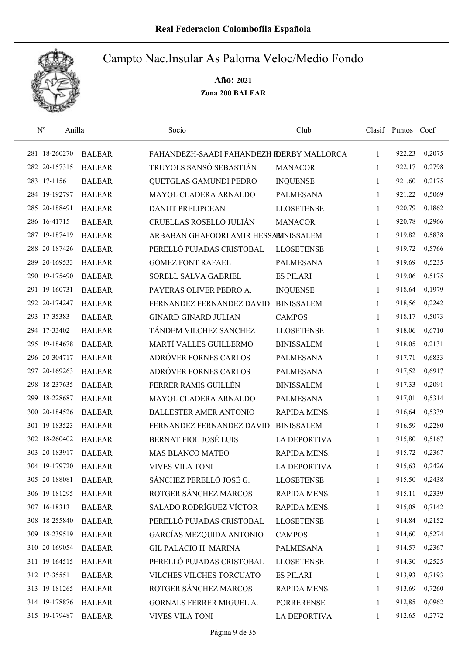

| $N^{o}$<br>Anilla |               | Socio                                     | Club                |              | Clasif Puntos Coef |        |
|-------------------|---------------|-------------------------------------------|---------------------|--------------|--------------------|--------|
| 281 18-260270     | <b>BALEAR</b> | FAHANDEZH-SAADI FAHANDEZH RDERBY MALLORCA |                     | 1            | 922,23             | 0,2075 |
| 282 20-157315     | <b>BALEAR</b> | TRUYOLS SANSÓ SEBASTIÁN                   | <b>MANACOR</b>      | 1            | 922,17             | 0,2798 |
| 283 17-1156       | <b>BALEAR</b> | QUETGLAS GAMUNDI PEDRO                    | <b>INQUENSE</b>     | $\mathbf{1}$ | 921,60             | 0,2175 |
| 284 19-192797     | <b>BALEAR</b> | MAYOL CLADERA ARNALDO                     | <b>PALMESANA</b>    | $\mathbf{1}$ | 921,22             | 0,5069 |
| 285 20-188491     | <b>BALEAR</b> | <b>DANUT PRELIPCEAN</b>                   | <b>LLOSETENSE</b>   | 1            | 920,79             | 0,1862 |
| 286 16-41715      | <b>BALEAR</b> | CRUELLAS ROSELLÓ JULIÁN                   | <b>MANACOR</b>      | 1            | 920,78             | 0,2966 |
| 287 19-187419     | <b>BALEAR</b> | ARBABAN GHAFOORI AMIR HESSABINISSALEM     |                     | $\mathbf{1}$ | 919,82             | 0,5838 |
| 288 20-187426     | <b>BALEAR</b> | PERELLÓ PUJADAS CRISTOBAL                 | <b>LLOSETENSE</b>   | 1            | 919,72             | 0,5766 |
| 289 20-169533     | <b>BALEAR</b> | <b>GÓMEZ FONT RAFAEL</b>                  | <b>PALMESANA</b>    | 1            | 919,69             | 0,5235 |
| 290 19-175490     | <b>BALEAR</b> | SORELL SALVA GABRIEL                      | <b>ES PILARI</b>    | 1            | 919,06             | 0,5175 |
| 291 19-160731     | <b>BALEAR</b> | PAYERAS OLIVER PEDRO A.                   | <b>INQUENSE</b>     | 1            | 918,64             | 0,1979 |
| 292 20-174247     | <b>BALEAR</b> | FERNANDEZ FERNANDEZ DAVID                 | <b>BINISSALEM</b>   | 1            | 918,56             | 0,2242 |
| 293 17-35383      | <b>BALEAR</b> | <b>GINARD GINARD JULIÁN</b>               | <b>CAMPOS</b>       | 1            | 918,17             | 0,5073 |
| 294 17-33402      | <b>BALEAR</b> | TÁNDEM VILCHEZ SANCHEZ                    | <b>LLOSETENSE</b>   | 1            | 918,06             | 0,6710 |
| 295 19-184678     | <b>BALEAR</b> | MARTÍ VALLES GUILLERMO                    | <b>BINISSALEM</b>   | 1            | 918,05             | 0,2131 |
| 296 20-304717     | <b>BALEAR</b> | ADRÓVER FORNES CARLOS                     | <b>PALMESANA</b>    | 1            | 917,71             | 0,6833 |
| 297 20-169263     | <b>BALEAR</b> | ADRÓVER FORNES CARLOS                     | <b>PALMESANA</b>    | 1            | 917,52             | 0,6917 |
| 298 18-237635     | <b>BALEAR</b> | FERRER RAMIS GUILLÉN                      | <b>BINISSALEM</b>   | $\mathbf{1}$ | 917,33             | 0,2091 |
| 299 18-228687     | <b>BALEAR</b> | MAYOL CLADERA ARNALDO                     | <b>PALMESANA</b>    | $\mathbf{1}$ | 917,01             | 0,5314 |
| 300 20-184526     | <b>BALEAR</b> | <b>BALLESTER AMER ANTONIO</b>             | RAPIDA MENS.        | $\mathbf{1}$ | 916,64             | 0,5339 |
| 301 19-183523     | <b>BALEAR</b> | FERNANDEZ FERNANDEZ DAVID                 | <b>BINISSALEM</b>   | 1            | 916,59             | 0,2280 |
| 302 18-260402     | <b>BALEAR</b> | <b>BERNAT FIOL JOSÉ LUIS</b>              | <b>LA DEPORTIVA</b> | 1            | 915,80             | 0,5167 |
| 303 20-183917     | <b>BALEAR</b> | <b>MAS BLANCO MATEO</b>                   | RAPIDA MENS.        | 1            | 915,72             | 0,2367 |
| 304 19-179720     | <b>BALEAR</b> | <b>VIVES VILA TONI</b>                    | <b>LA DEPORTIVA</b> | 1            | 915,63             | 0,2426 |
| 305 20-188081     | <b>BALEAR</b> | SÁNCHEZ PERELLÓ JOSÉ G.                   | <b>LLOSETENSE</b>   | 1            | 915,50             | 0,2438 |
| 306 19-181295     | <b>BALEAR</b> | ROTGER SÁNCHEZ MARCOS                     | RAPIDA MENS.        | 1            | 915,11             | 0,2339 |
| 307 16-18313      | <b>BALEAR</b> | <b>SALADO RODRÍGUEZ VÍCTOR</b>            | RAPIDA MENS.        | 1            | 915,08             | 0,7142 |
| 308 18-255840     | <b>BALEAR</b> | PERELLÓ PUJADAS CRISTOBAL                 | <b>LLOSETENSE</b>   | 1            | 914,84             | 0,2152 |
| 309 18-239519     | <b>BALEAR</b> | <b>GARCÍAS MEZQUIDA ANTONIO</b>           | <b>CAMPOS</b>       | $\mathbf{1}$ | 914,60             | 0,5274 |
| 310 20-169054     | <b>BALEAR</b> | <b>GIL PALACIO H. MARINA</b>              | <b>PALMESANA</b>    | $\mathbf{1}$ | 914,57             | 0,2367 |
| 311 19-164515     | <b>BALEAR</b> | PERELLÓ PUJADAS CRISTOBAL                 | <b>LLOSETENSE</b>   | 1            | 914,30             | 0,2525 |
| 312 17-35551      | <b>BALEAR</b> | VILCHES VILCHES TORCUATO                  | <b>ES PILARI</b>    | 1            | 913,93             | 0,7193 |
| 313 19-181265     | <b>BALEAR</b> | ROTGER SÁNCHEZ MARCOS                     | RAPIDA MENS.        | $\mathbf{1}$ | 913,69             | 0,7260 |
| 314 19-178876     | <b>BALEAR</b> | GORNALS FERRER MIGUEL A.                  | <b>PORRERENSE</b>   | 1            | 912,85             | 0,0962 |
| 315 19-179487     | <b>BALEAR</b> | <b>VIVES VILA TONI</b>                    | <b>LA DEPORTIVA</b> | 1            | 912,65             | 0,2772 |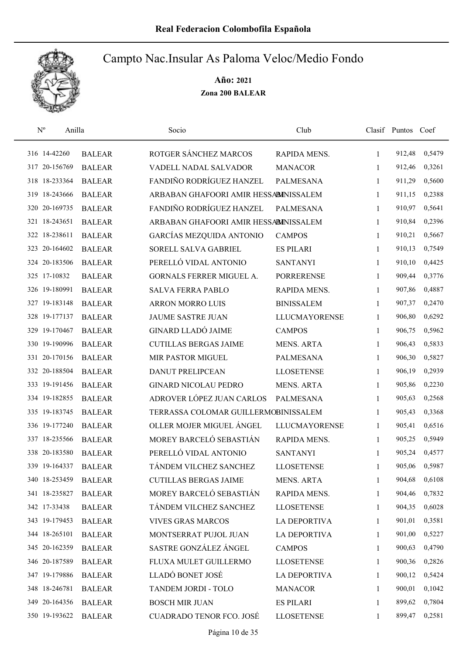

| $N^{o}$       | Anilla        | Socio                                 | Club                 |              | Clasif Puntos Coef |        |
|---------------|---------------|---------------------------------------|----------------------|--------------|--------------------|--------|
| 316 14-42260  | <b>BALEAR</b> | ROTGER SÁNCHEZ MARCOS                 | RAPIDA MENS.         | 1            | 912,48             | 0,5479 |
| 317 20-156769 | <b>BALEAR</b> | VADELL NADAL SALVADOR                 | <b>MANACOR</b>       | 1            | 912,46             | 0,3261 |
| 318 18-233364 | <b>BALEAR</b> | FANDIÑO RODRÍGUEZ HANZEL              | <b>PALMESANA</b>     | 1            | 911,29             | 0,5600 |
| 319 18-243666 | <b>BALEAR</b> | ARBABAN GHAFOORI AMIR HESSABINISSALEM |                      | 1            | 911,15             | 0,2388 |
| 320 20-169735 | <b>BALEAR</b> | FANDIÑO RODRÍGUEZ HANZEL              | <b>PALMESANA</b>     | 1            | 910,97             | 0,5641 |
| 321 18-243651 | <b>BALEAR</b> | ARBABAN GHAFOORI AMIR HESSABINISSALEM |                      | 1            | 910,84             | 0,2396 |
| 322 18-238611 | <b>BALEAR</b> | <b>GARCÍAS MEZQUIDA ANTONIO</b>       | <b>CAMPOS</b>        | $\mathbf{1}$ | 910,21             | 0,5667 |
| 323 20-164602 | <b>BALEAR</b> | SORELL SALVA GABRIEL                  | <b>ES PILARI</b>     | $\mathbf{1}$ | 910,13             | 0,7549 |
| 324 20-183506 | <b>BALEAR</b> | PERELLÓ VIDAL ANTONIO                 | <b>SANTANYI</b>      | 1            | 910,10             | 0,4425 |
| 325 17-10832  | <b>BALEAR</b> | GORNALS FERRER MIGUEL A.              | <b>PORRERENSE</b>    | 1            | 909,44             | 0,3776 |
| 326 19-180991 | <b>BALEAR</b> | <b>SALVA FERRA PABLO</b>              | RAPIDA MENS.         | 1            | 907,86             | 0,4887 |
| 327 19-183148 | <b>BALEAR</b> | <b>ARRON MORRO LUIS</b>               | <b>BINISSALEM</b>    | 1            | 907,37             | 0,2470 |
| 328 19-177137 | <b>BALEAR</b> | <b>JAUME SASTRE JUAN</b>              | <b>LLUCMAYORENSE</b> | 1            | 906,80             | 0,6292 |
| 329 19-170467 | <b>BALEAR</b> | <b>GINARD LLADÓ JAIME</b>             | <b>CAMPOS</b>        | 1            | 906,75             | 0,5962 |
| 330 19-190996 | <b>BALEAR</b> | <b>CUTILLAS BERGAS JAIME</b>          | <b>MENS. ARTA</b>    | 1            | 906,43             | 0,5833 |
| 331 20-170156 | <b>BALEAR</b> | MIR PASTOR MIGUEL                     | <b>PALMESANA</b>     | 1            | 906,30             | 0,5827 |
| 332 20-188504 | <b>BALEAR</b> | <b>DANUT PRELIPCEAN</b>               | <b>LLOSETENSE</b>    | 1            | 906,19             | 0,2939 |
| 333 19-191456 | <b>BALEAR</b> | <b>GINARD NICOLAU PEDRO</b>           | <b>MENS. ARTA</b>    | 1            | 905,86             | 0,2230 |
| 334 19-182855 | <b>BALEAR</b> | ADROVER LÓPEZ JUAN CARLOS             | <b>PALMESANA</b>     | 1            | 905,63             | 0,2568 |
| 335 19-183745 | <b>BALEAR</b> | TERRASSA COLOMAR GUILLERMOBINISSALEM  |                      | $\mathbf{1}$ | 905,43             | 0,3368 |
| 336 19-177240 | <b>BALEAR</b> | OLLER MOJER MIGUEL ÁNGEL              | <b>LLUCMAYORENSE</b> | $\mathbf{1}$ | 905,41             | 0,6516 |
| 337 18-235566 | <b>BALEAR</b> | MOREY BARCELÓ SEBASTIÁN               | RAPIDA MENS.         | 1            | 905,25             | 0,5949 |
| 338 20-183580 | <b>BALEAR</b> | PERELLÓ VIDAL ANTONIO                 | <b>SANTANYI</b>      | 1            | 905,24             | 0,4577 |
| 339 19-164337 | <b>BALEAR</b> | TÁNDEM VILCHEZ SANCHEZ                | <b>LLOSETENSE</b>    | 1            | 905,06             | 0,5987 |
| 340 18-253459 | <b>BALEAR</b> | <b>CUTILLAS BERGAS JAIME</b>          | <b>MENS. ARTA</b>    | 1            | 904,68             | 0,6108 |
| 341 18-235827 | <b>BALEAR</b> | MOREY BARCELÓ SEBASTIÁN               | RAPIDA MENS.         | 1            | 904,46             | 0,7832 |
| 342 17-33438  | <b>BALEAR</b> | TÁNDEM VILCHEZ SANCHEZ                | <b>LLOSETENSE</b>    | 1            | 904,35             | 0,6028 |
| 343 19-179453 | <b>BALEAR</b> | <b>VIVES GRAS MARCOS</b>              | LA DEPORTIVA         | 1            | 901,01             | 0,3581 |
| 344 18-265101 | <b>BALEAR</b> | MONTSERRAT PUJOL JUAN                 | LA DEPORTIVA         | 1            | 901,00             | 0,5227 |
| 345 20-162359 | <b>BALEAR</b> | SASTRE GONZÁLEZ ÁNGEL                 | <b>CAMPOS</b>        | 1            | 900,63             | 0,4790 |
| 346 20-187589 | <b>BALEAR</b> | FLUXA MULET GUILLERMO                 | <b>LLOSETENSE</b>    | 1            | 900,36             | 0,2826 |
| 347 19-179886 | <b>BALEAR</b> | LLADÓ BONET JOSÉ                      | <b>LA DEPORTIVA</b>  | 1            | 900,12             | 0,5424 |
| 348 18-246781 | <b>BALEAR</b> | TANDEM JORDI - TOLO                   | <b>MANACOR</b>       | 1            | 900,01             | 0,1042 |
| 349 20-164356 | <b>BALEAR</b> | <b>BOSCH MIR JUAN</b>                 | <b>ES PILARI</b>     | 1            | 899,62             | 0,7804 |
| 350 19-193622 | <b>BALEAR</b> | <b>CUADRADO TENOR FCO. JOSÉ</b>       | <b>LLOSETENSE</b>    | 1            | 899,47             | 0,2581 |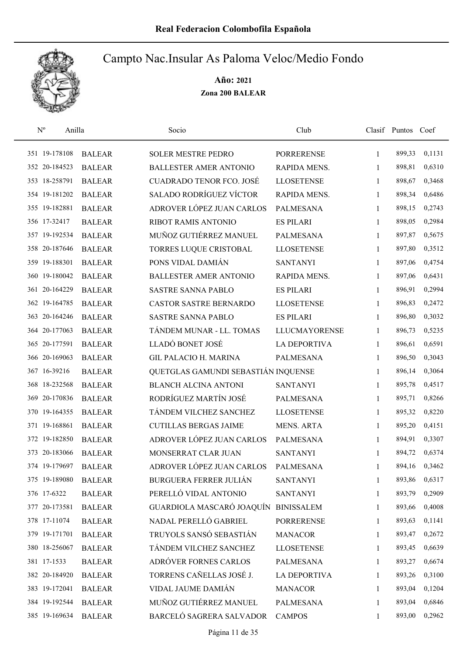

| $\mathbf{N}^{\text{o}}$ | Anilla        | Socio                               | Club                 |              | Clasif Puntos Coef |        |
|-------------------------|---------------|-------------------------------------|----------------------|--------------|--------------------|--------|
| 351 19-178108           | <b>BALEAR</b> | <b>SOLER MESTRE PEDRO</b>           | <b>PORRERENSE</b>    | 1            | 899,33             | 0,1131 |
| 352 20-184523           | <b>BALEAR</b> | <b>BALLESTER AMER ANTONIO</b>       | RAPIDA MENS.         | 1            | 898,81             | 0,6310 |
| 353 18-258791           | <b>BALEAR</b> | <b>CUADRADO TENOR FCO. JOSÉ</b>     | <b>LLOSETENSE</b>    | 1            | 898,67             | 0,3468 |
| 354 19-181202           | <b>BALEAR</b> | <b>SALADO RODRÍGUEZ VÍCTOR</b>      | RAPIDA MENS.         | 1            | 898,34             | 0,6486 |
| 355 19-182881           | <b>BALEAR</b> | ADROVER LÓPEZ JUAN CARLOS           | <b>PALMESANA</b>     | $\mathbf{1}$ | 898,15             | 0,2743 |
| 356 17-32417            | <b>BALEAR</b> | RIBOT RAMIS ANTONIO                 | <b>ES PILARI</b>     | $\mathbf{1}$ | 898,05             | 0,2984 |
| 357 19-192534           | <b>BALEAR</b> | MUÑOZ GUTIÉRREZ MANUEL              | <b>PALMESANA</b>     | 1            | 897,87             | 0,5675 |
| 358 20-187646           | <b>BALEAR</b> | TORRES LUQUE CRISTOBAL              | <b>LLOSETENSE</b>    | 1            | 897,80             | 0,3512 |
| 359 19-188301           | <b>BALEAR</b> | PONS VIDAL DAMIÁN                   | <b>SANTANYI</b>      | 1            | 897,06             | 0,4754 |
| 360 19-180042           | <b>BALEAR</b> | <b>BALLESTER AMER ANTONIO</b>       | RAPIDA MENS.         | 1            | 897,06             | 0,6431 |
| 361 20-164229           | <b>BALEAR</b> | <b>SASTRE SANNA PABLO</b>           | <b>ES PILARI</b>     | 1            | 896,91             | 0,2994 |
| 362 19-164785           | <b>BALEAR</b> | <b>CASTOR SASTRE BERNARDO</b>       | <b>LLOSETENSE</b>    | 1            | 896,83             | 0,2472 |
| 363 20-164246           | <b>BALEAR</b> | <b>SASTRE SANNA PABLO</b>           | <b>ES PILARI</b>     | 1            | 896,80             | 0,3032 |
| 364 20-177063           | <b>BALEAR</b> | TÁNDEM MUNAR - LL. TOMAS            | <b>LLUCMAYORENSE</b> | 1            | 896,73             | 0,5235 |
| 365 20-177591           | <b>BALEAR</b> | LLADÓ BONET JOSÉ                    | <b>LA DEPORTIVA</b>  | 1            | 896,61             | 0,6591 |
| 366 20-169063           | <b>BALEAR</b> | <b>GIL PALACIO H. MARINA</b>        | <b>PALMESANA</b>     | 1            | 896,50             | 0,3043 |
| 367 16-39216            | <b>BALEAR</b> | QUETGLAS GAMUNDI SEBASTIÁN INQUENSE |                      | 1            | 896,14             | 0,3064 |
| 368 18-232568           | <b>BALEAR</b> | <b>BLANCH ALCINA ANTONI</b>         | <b>SANTANYI</b>      | $\mathbf{1}$ | 895,78             | 0,4517 |
| 369 20-170836           | <b>BALEAR</b> | RODRÍGUEZ MARTÍN JOSÉ               | <b>PALMESANA</b>     | $\mathbf{1}$ | 895,71             | 0,8266 |
| 370 19-164355           | <b>BALEAR</b> | TÁNDEM VILCHEZ SANCHEZ              | <b>LLOSETENSE</b>    | $\mathbf{1}$ | 895,32             | 0,8220 |
| 371 19-168861           | <b>BALEAR</b> | <b>CUTILLAS BERGAS JAIME</b>        | <b>MENS. ARTA</b>    | $\mathbf{1}$ | 895,20             | 0,4151 |
| 372 19-182850           | <b>BALEAR</b> | ADROVER LÓPEZ JUAN CARLOS           | <b>PALMESANA</b>     | 1            | 894,91             | 0,3307 |
| 373 20-183066           | <b>BALEAR</b> | MONSERRAT CLAR JUAN                 | <b>SANTANYI</b>      | 1            | 894,72             | 0,6374 |
| 374 19-179697           | <b>BALEAR</b> | ADROVER LÓPEZ JUAN CARLOS           | <b>PALMESANA</b>     | 1            | 894,16             | 0,3462 |
| 375 19-189080           | <b>BALEAR</b> | <b>BURGUERA FERRER JULIÁN</b>       | <b>SANTANYI</b>      | 1            | 893,86             | 0,6317 |
| 376 17-6322             | <b>BALEAR</b> | PERELLÓ VIDAL ANTONIO               | <b>SANTANYI</b>      | 1            | 893,79             | 0,2909 |
| 377 20-173581           | <b>BALEAR</b> | GUARDIOLA MASCARÓ JOAQUÍN           | <b>BINISSALEM</b>    | 1            | 893,66             | 0,4008 |
| 378 17-11074            | <b>BALEAR</b> | NADAL PERELLÓ GABRIEL               | <b>PORRERENSE</b>    | 1            | 893,63             | 0,1141 |
| 379 19-171701           | <b>BALEAR</b> | TRUYOLS SANSÓ SEBASTIÁN             | <b>MANACOR</b>       | 1            | 893,47             | 0,2672 |
| 380 18-256067           | <b>BALEAR</b> | TÁNDEM VILCHEZ SANCHEZ              | <b>LLOSETENSE</b>    | 1            | 893,45             | 0,6639 |
| 381 17-1533             | <b>BALEAR</b> | ADRÓVER FORNES CARLOS               | <b>PALMESANA</b>     | 1            | 893,27             | 0,6674 |
| 382 20-184920           | <b>BALEAR</b> | TORRENS CAÑELLAS JOSÉ J.            | <b>LA DEPORTIVA</b>  | 1            | 893,26             | 0,3100 |
| 383 19-172041           | <b>BALEAR</b> | VIDAL JAUME DAMIÁN                  | <b>MANACOR</b>       | 1            | 893,04             | 0,1204 |
| 384 19-192544           | <b>BALEAR</b> | MUÑOZ GUTIÉRREZ MANUEL              | PALMESANA            | 1            | 893,04             | 0,6846 |
| 385 19-169634           | <b>BALEAR</b> | BARCELÓ SAGRERA SALVADOR            | <b>CAMPOS</b>        | 1            | 893,00             | 0,2962 |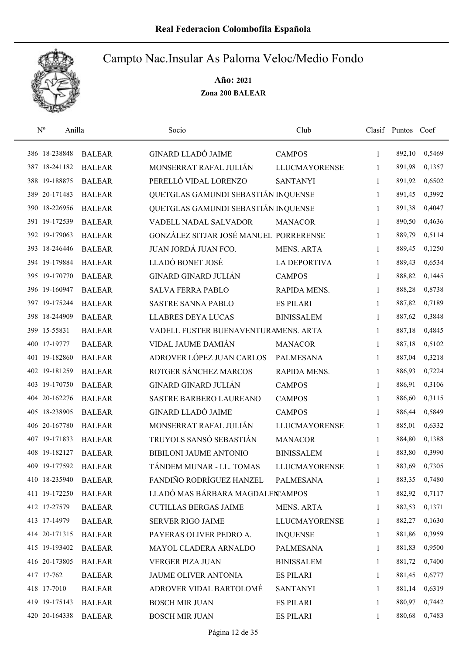

| $\mathbf{N}^{\text{o}}$ | Anilla        | Socio                                  | Club                 |              | Clasif Puntos Coef |        |
|-------------------------|---------------|----------------------------------------|----------------------|--------------|--------------------|--------|
| 386 18-238848           | <b>BALEAR</b> | <b>GINARD LLADÓ JAIME</b>              | <b>CAMPOS</b>        | 1            | 892,10             | 0,5469 |
| 387 18-241182           | <b>BALEAR</b> | MONSERRAT RAFAL JULIÁN                 | <b>LLUCMAYORENSE</b> | 1            | 891,98             | 0,1357 |
| 388 19-188875           | <b>BALEAR</b> | PERELLÓ VIDAL LORENZO                  | <b>SANTANYI</b>      | $\mathbf{1}$ | 891,92             | 0,6502 |
| 389 20-171483           | <b>BALEAR</b> | QUETGLAS GAMUNDI SEBASTIÁN INQUENSE    |                      | 1            | 891,45             | 0,3992 |
| 390 18-226956           | <b>BALEAR</b> | QUETGLAS GAMUNDI SEBASTIÁN INQUENSE    |                      | $\mathbf{1}$ | 891,38             | 0,4047 |
| 391 19-172539           | <b>BALEAR</b> | VADELL NADAL SALVADOR                  | <b>MANACOR</b>       | 1            | 890,50             | 0,4636 |
| 392 19-179063           | <b>BALEAR</b> | GONZÁLEZ SITJAR JOSÉ MANUEL PORRERENSE |                      | $\mathbf{1}$ | 889,79             | 0,5114 |
| 393 18-246446           | <b>BALEAR</b> | JUAN JORDÁ JUAN FCO.                   | <b>MENS. ARTA</b>    | $\mathbf{1}$ | 889,45             | 0,1250 |
| 394 19-179884           | <b>BALEAR</b> | LLADÓ BONET JOSÉ                       | <b>LA DEPORTIVA</b>  | 1            | 889,43             | 0,6534 |
| 395 19-170770           | <b>BALEAR</b> | GINARD GINARD JULIÁN                   | <b>CAMPOS</b>        | 1            | 888,82             | 0,1445 |
| 396 19-160947           | <b>BALEAR</b> | <b>SALVA FERRA PABLO</b>               | RAPIDA MENS.         | 1            | 888,28             | 0,8738 |
| 397 19-175244           | <b>BALEAR</b> | <b>SASTRE SANNA PABLO</b>              | <b>ES PILARI</b>     | 1            | 887,82             | 0,7189 |
| 398 18-244909           | <b>BALEAR</b> | <b>LLABRES DEYA LUCAS</b>              | <b>BINISSALEM</b>    | 1            | 887,62             | 0,3848 |
| 399 15-55831            | <b>BALEAR</b> | VADELL FUSTER BUENAVENTURAMENS. ARTA   |                      | 1            | 887,18             | 0,4845 |
| 400 17-19777            | <b>BALEAR</b> | VIDAL JAUME DAMIÁN                     | <b>MANACOR</b>       | $\mathbf{1}$ | 887,18             | 0,5102 |
| 401 19-182860           | <b>BALEAR</b> | ADROVER LÓPEZ JUAN CARLOS              | <b>PALMESANA</b>     | 1            | 887,04             | 0,3218 |
| 402 19-181259           | <b>BALEAR</b> | ROTGER SÁNCHEZ MARCOS                  | RAPIDA MENS.         | 1            | 886,93             | 0,7224 |
| 403 19-170750           | <b>BALEAR</b> | <b>GINARD GINARD JULIÁN</b>            | <b>CAMPOS</b>        | $\mathbf{1}$ | 886,91             | 0,3106 |
| 404 20-162276           | <b>BALEAR</b> | SASTRE BARBERO LAUREANO                | <b>CAMPOS</b>        | 1            | 886,60             | 0,3115 |
| 405 18-238905           | <b>BALEAR</b> | <b>GINARD LLADÓ JAIME</b>              | <b>CAMPOS</b>        | $\mathbf{1}$ | 886,44             | 0,5849 |
| 406 20-167780           | <b>BALEAR</b> | MONSERRAT RAFAL JULIÁN                 | <b>LLUCMAYORENSE</b> | $\mathbf{1}$ | 885,01             | 0,6332 |
| 407 19-171833           | <b>BALEAR</b> | TRUYOLS SANSÓ SEBASTIÁN                | <b>MANACOR</b>       | 1            | 884,80             | 0,1388 |
| 408 19-182127           | <b>BALEAR</b> | <b>BIBILONI JAUME ANTONIO</b>          | <b>BINISSALEM</b>    | 1            | 883,80             | 0,3990 |
| 409 19-177592           | <b>BALEAR</b> | TÁNDEM MUNAR - LL. TOMAS               | <b>LLUCMAYORENSE</b> | 1            | 883,69             | 0,7305 |
| 410 18-235940           | <b>BALEAR</b> | FANDIÑO RODRÍGUEZ HANZEL               | <b>PALMESANA</b>     | 1            | 883,35             | 0,7480 |
| 411 19-172250           | <b>BALEAR</b> | LLADÓ MAS BÁRBARA MAGDALEN AMPOS       |                      | 1            | 882,92             | 0,7117 |
| 412 17-27579            | <b>BALEAR</b> | <b>CUTILLAS BERGAS JAIME</b>           | MENS. ARTA           | 1            | 882,53             | 0,1371 |
| 413 17-14979            | <b>BALEAR</b> | <b>SERVER RIGO JAIME</b>               | <b>LLUCMAYORENSE</b> | 1            | 882,27             | 0,1630 |
| 414 20-171315           | <b>BALEAR</b> | PAYERAS OLIVER PEDRO A.                | <b>INQUENSE</b>      | 1            | 881,86             | 0,3959 |
| 415 19-193402           | <b>BALEAR</b> | MAYOL CLADERA ARNALDO                  | PALMESANA            | 1            | 881,83             | 0,9500 |
| 416 20-173805           | <b>BALEAR</b> | VERGER PIZA JUAN                       | <b>BINISSALEM</b>    | 1            | 881,72             | 0,7400 |
| 417 17-762              | <b>BALEAR</b> | JAUME OLIVER ANTONIA                   | <b>ES PILARI</b>     | $\mathbf{1}$ | 881,45             | 0,6777 |
| 418 17-7010             | <b>BALEAR</b> | ADROVER VIDAL BARTOLOMÉ                | <b>SANTANYI</b>      | 1            | 881,14             | 0,6319 |
| 419 19-175143           | <b>BALEAR</b> | <b>BOSCH MIR JUAN</b>                  | <b>ES PILARI</b>     | 1            | 880,97             | 0,7442 |
| 420 20-164338           | <b>BALEAR</b> | <b>BOSCH MIR JUAN</b>                  | <b>ES PILARI</b>     | 1            | 880,68             | 0,7483 |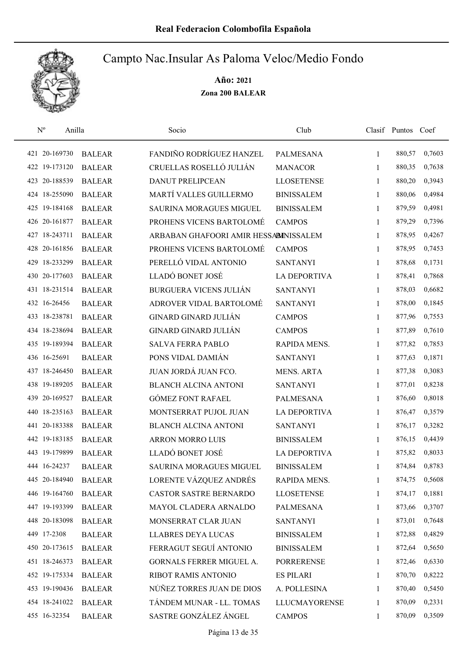

| $\rm N^o$<br>Anilla |               | Socio                                 | Club                 |              | Clasif Puntos Coef |        |
|---------------------|---------------|---------------------------------------|----------------------|--------------|--------------------|--------|
| 421 20-169730       | <b>BALEAR</b> | FANDIÑO RODRÍGUEZ HANZEL              | <b>PALMESANA</b>     | $\mathbf{1}$ | 880,57             | 0,7603 |
| 422 19-173120       | <b>BALEAR</b> | CRUELLAS ROSELLÓ JULIÁN               | <b>MANACOR</b>       | 1            | 880,35             | 0,7638 |
| 423 20-188539       | <b>BALEAR</b> | <b>DANUT PRELIPCEAN</b>               | <b>LLOSETENSE</b>    | 1            | 880,20             | 0,3943 |
| 424 18-255090       | <b>BALEAR</b> | MARTÍ VALLES GUILLERMO                | <b>BINISSALEM</b>    | 1            | 880,06             | 0,4984 |
| 425 19-184168       | <b>BALEAR</b> | <b>SAURINA MORAGUES MIGUEL</b>        | <b>BINISSALEM</b>    | 1            | 879,59             | 0,4981 |
| 426 20-161877       | <b>BALEAR</b> | PROHENS VICENS BARTOLOMÉ              | <b>CAMPOS</b>        | 1            | 879,29             | 0,7396 |
| 427 18-243711       | <b>BALEAR</b> | ARBABAN GHAFOORI AMIR HESSABINISSALEM |                      | 1            | 878,95             | 0,4267 |
| 428 20-161856       | <b>BALEAR</b> | PROHENS VICENS BARTOLOMÉ              | <b>CAMPOS</b>        | 1            | 878,95             | 0,7453 |
| 429 18-233299       | <b>BALEAR</b> | PERELLÓ VIDAL ANTONIO                 | <b>SANTANYI</b>      | 1            | 878,68             | 0,1731 |
| 430 20-177603       | <b>BALEAR</b> | LLADÓ BONET JOSÉ                      | <b>LA DEPORTIVA</b>  | 1            | 878,41             | 0,7868 |
| 431 18-231514       | <b>BALEAR</b> | <b>BURGUERA VICENS JULIÁN</b>         | <b>SANTANYI</b>      | 1            | 878,03             | 0,6682 |
| 432 16-26456        | <b>BALEAR</b> | ADROVER VIDAL BARTOLOMÉ               | <b>SANTANYI</b>      | 1            | 878,00             | 0,1845 |
| 433 18-238781       | <b>BALEAR</b> | <b>GINARD GINARD JULIÁN</b>           | <b>CAMPOS</b>        | 1            | 877,96             | 0,7553 |
| 434 18-238694       | <b>BALEAR</b> | <b>GINARD GINARD JULIÁN</b>           | <b>CAMPOS</b>        | 1            | 877,89             | 0,7610 |
| 435 19-189394       | <b>BALEAR</b> | <b>SALVA FERRA PABLO</b>              | RAPIDA MENS.         | $\mathbf{1}$ | 877,82             | 0,7853 |
| 436 16-25691        | <b>BALEAR</b> | PONS VIDAL DAMIÁN                     | <b>SANTANYI</b>      | 1            | 877,63             | 0,1871 |
| 437 18-246450       | <b>BALEAR</b> | JUAN JORDÁ JUAN FCO.                  | <b>MENS. ARTA</b>    | 1            | 877,38             | 0,3083 |
| 438 19-189205       | <b>BALEAR</b> | <b>BLANCH ALCINA ANTONI</b>           | <b>SANTANYI</b>      | 1            | 877,01             | 0,8238 |
| 439 20-169527       | <b>BALEAR</b> | <b>GÓMEZ FONT RAFAEL</b>              | <b>PALMESANA</b>     | 1            | 876,60             | 0,8018 |
| 440 18-235163       | <b>BALEAR</b> | MONTSERRAT PUJOL JUAN                 | <b>LA DEPORTIVA</b>  | 1            | 876,47             | 0,3579 |
| 441 20-183388       | <b>BALEAR</b> | <b>BLANCH ALCINA ANTONI</b>           | <b>SANTANYI</b>      | 1            | 876,17             | 0,3282 |
| 442 19-183185       | <b>BALEAR</b> | <b>ARRON MORRO LUIS</b>               | <b>BINISSALEM</b>    | 1            | 876,15             | 0,4439 |
| 443 19-179899       | <b>BALEAR</b> | LLADÓ BONET JOSÉ                      | <b>LA DEPORTIVA</b>  | 1            | 875,82             | 0,8033 |
| 444 16-24237        | <b>BALEAR</b> | <b>SAURINA MORAGUES MIGUEL</b>        | <b>BINISSALEM</b>    | 1            | 874,84             | 0,8783 |
| 445 20-184940       | <b>BALEAR</b> | LORENTE VÁZQUEZ ANDRÉS                | RAPIDA MENS.         | 1            | 874,75             | 0,5608 |
| 446 19-164760       | <b>BALEAR</b> | CASTOR SASTRE BERNARDO                | <b>LLOSETENSE</b>    | 1            | 874,17             | 0,1881 |
| 447 19-193399       | <b>BALEAR</b> | MAYOL CLADERA ARNALDO                 | PALMESANA            | 1            | 873,66             | 0,3707 |
| 448 20-183098       | <b>BALEAR</b> | MONSERRAT CLAR JUAN                   | <b>SANTANYI</b>      | 1            | 873,01             | 0,7648 |
| 449 17-2308         | <b>BALEAR</b> | <b>LLABRES DEYA LUCAS</b>             | <b>BINISSALEM</b>    | 1            | 872,88             | 0,4829 |
| 450 20-173615       | <b>BALEAR</b> | FERRAGUT SEGUÍ ANTONIO                | <b>BINISSALEM</b>    | 1            | 872,64             | 0,5650 |
| 451 18-246373       | <b>BALEAR</b> | GORNALS FERRER MIGUEL A.              | <b>PORRERENSE</b>    | 1            | 872,46             | 0,6330 |
| 452 19-175334       | <b>BALEAR</b> | RIBOT RAMIS ANTONIO                   | <b>ES PILARI</b>     | 1            | 870,70             | 0,8222 |
| 453 19-190436       | <b>BALEAR</b> | NÚÑEZ TORRES JUAN DE DIOS             | A. POLLESINA         | 1            | 870,40             | 0,5450 |
| 454 18-241022       | <b>BALEAR</b> | TÁNDEM MUNAR - LL. TOMAS              | <b>LLUCMAYORENSE</b> | 1            | 870,09             | 0,2331 |
| 455 16-32354        | <b>BALEAR</b> | SASTRE GONZÁLEZ ÁNGEL                 | <b>CAMPOS</b>        | 1            | 870,09             | 0,3509 |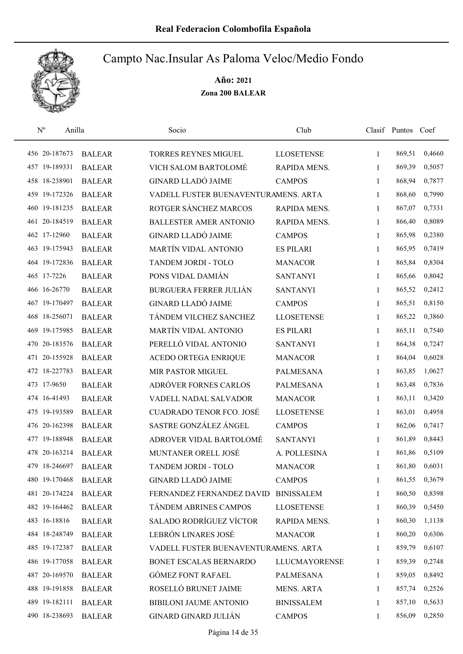

| $N^{o}$       | Anilla |               | Socio                                | Club                 |              | Clasif Puntos Coef |        |
|---------------|--------|---------------|--------------------------------------|----------------------|--------------|--------------------|--------|
| 456 20-187673 |        | <b>BALEAR</b> | <b>TORRES REYNES MIGUEL</b>          | <b>LLOSETENSE</b>    | 1            | 869,51             | 0,4660 |
| 457 19-189331 |        | <b>BALEAR</b> | VICH SALOM BARTOLOMÉ                 | RAPIDA MENS.         | 1            | 869,39             | 0,5057 |
| 458 18-238901 |        | <b>BALEAR</b> | <b>GINARD LLADÓ JAIME</b>            | <b>CAMPOS</b>        | 1            | 868,94             | 0,7877 |
| 459 19-172326 |        | <b>BALEAR</b> | VADELL FUSTER BUENAVENTURAMENS. ARTA |                      | 1            | 868,60             | 0,7990 |
| 460 19-181235 |        | <b>BALEAR</b> | ROTGER SÁNCHEZ MARCOS                | RAPIDA MENS.         | 1            | 867,07             | 0,7331 |
| 461 20-184519 |        | <b>BALEAR</b> | <b>BALLESTER AMER ANTONIO</b>        | RAPIDA MENS.         | $\mathbf{1}$ | 866,40             | 0,8089 |
| 462 17-12960  |        | <b>BALEAR</b> | <b>GINARD LLADÓ JAIME</b>            | <b>CAMPOS</b>        | $\mathbf{1}$ | 865,98             | 0,2380 |
| 463 19-175943 |        | <b>BALEAR</b> | MARTÍN VIDAL ANTONIO                 | <b>ES PILARI</b>     | 1            | 865,95             | 0,7419 |
| 464 19-172836 |        | <b>BALEAR</b> | TANDEM JORDI - TOLO                  | <b>MANACOR</b>       | 1            | 865,84             | 0,8304 |
| 465 17-7226   |        | <b>BALEAR</b> | PONS VIDAL DAMIÁN                    | <b>SANTANYI</b>      | 1            | 865,66             | 0,8042 |
| 466 16-26770  |        | <b>BALEAR</b> | <b>BURGUERA FERRER JULIÁN</b>        | <b>SANTANYI</b>      | 1            | 865,52             | 0,2412 |
| 467 19-170497 |        | <b>BALEAR</b> | <b>GINARD LLADÓ JAIME</b>            | <b>CAMPOS</b>        | 1            | 865,51             | 0,8150 |
| 468 18-256071 |        | <b>BALEAR</b> | TÁNDEM VILCHEZ SANCHEZ               | <b>LLOSETENSE</b>    | 1            | 865,22             | 0,3860 |
| 469 19-175985 |        | <b>BALEAR</b> | <b>MARTÍN VIDAL ANTONIO</b>          | <b>ES PILARI</b>     | 1            | 865,11             | 0,7540 |
| 470 20-183576 |        | <b>BALEAR</b> | PERELLÓ VIDAL ANTONIO                | <b>SANTANYI</b>      | 1            | 864,38             | 0,7247 |
| 471 20-155928 |        | <b>BALEAR</b> | ACEDO ORTEGA ENRIQUE                 | <b>MANACOR</b>       | 1            | 864,04             | 0,6028 |
| 472 18-227783 |        | <b>BALEAR</b> | <b>MIR PASTOR MIGUEL</b>             | <b>PALMESANA</b>     | 1            | 863,85             | 1,0627 |
| 473 17-9650   |        | <b>BALEAR</b> | ADRÓVER FORNES CARLOS                | <b>PALMESANA</b>     | $\mathbf{1}$ | 863,48             | 0,7836 |
| 474 16-41493  |        | <b>BALEAR</b> | VADELL NADAL SALVADOR                | <b>MANACOR</b>       | 1            | 863,11             | 0,3420 |
| 475 19-193589 |        | <b>BALEAR</b> | <b>CUADRADO TENOR FCO. JOSÉ</b>      | <b>LLOSETENSE</b>    | $\mathbf{1}$ | 863,01             | 0,4958 |
| 476 20-162398 |        | <b>BALEAR</b> | SASTRE GONZÁLEZ ÁNGEL                | <b>CAMPOS</b>        | $\mathbf{1}$ | 862,06             | 0,7417 |
| 477 19-188948 |        | <b>BALEAR</b> | ADROVER VIDAL BARTOLOMÉ              | <b>SANTANYI</b>      | 1            | 861,89             | 0,8443 |
| 478 20-163214 |        | <b>BALEAR</b> | MUNTANER ORELL JOSÉ                  | A. POLLESINA         | 1            | 861,86             | 0,5109 |
| 479 18-246697 |        | <b>BALEAR</b> | TANDEM JORDI - TOLO                  | <b>MANACOR</b>       | 1            | 861,80             | 0,6031 |
| 480 19-170468 |        | <b>BALEAR</b> | <b>GINARD LLADÓ JAIME</b>            | <b>CAMPOS</b>        | 1            | 861,55             | 0,3679 |
| 481 20-174224 |        | <b>BALEAR</b> | FERNANDEZ FERNANDEZ DAVID            | <b>BINISSALEM</b>    | 1            | 860,50             | 0,8398 |
| 482 19-164462 |        | <b>BALEAR</b> | TÁNDEM ABRINES CAMPOS                | <b>LLOSETENSE</b>    | 1            | 860,39             | 0,5450 |
| 483 16-18816  |        | <b>BALEAR</b> | SALADO RODRÍGUEZ VÍCTOR              | RAPIDA MENS.         | 1            | 860,30             | 1,1138 |
| 484 18-248749 |        | <b>BALEAR</b> | LEBRÓN LINARES JOSÉ                  | <b>MANACOR</b>       | 1            | 860,20             | 0,6306 |
| 485 19-172387 |        | <b>BALEAR</b> | VADELL FUSTER BUENAVENTURAMENS. ARTA |                      | 1            | 859,79             | 0,6107 |
| 486 19-177058 |        | <b>BALEAR</b> | BONET ESCALAS BERNARDO               | <b>LLUCMAYORENSE</b> | 1            | 859,39             | 0,2748 |
| 487 20-169570 |        | <b>BALEAR</b> | <b>GÓMEZ FONT RAFAEL</b>             | PALMESANA            | 1            | 859,05             | 0,8492 |
| 488 19-191858 |        | <b>BALEAR</b> | ROSELLÓ BRUNET JAIME                 | <b>MENS. ARTA</b>    | 1            | 857,74             | 0,2526 |
| 489 19-182111 |        | <b>BALEAR</b> | BIBILONI JAUME ANTONIO               | <b>BINISSALEM</b>    | 1            | 857,10             | 0,5633 |
| 490 18-238693 |        | <b>BALEAR</b> | <b>GINARD GINARD JULIÁN</b>          | <b>CAMPOS</b>        | 1            | 856,09             | 0,2850 |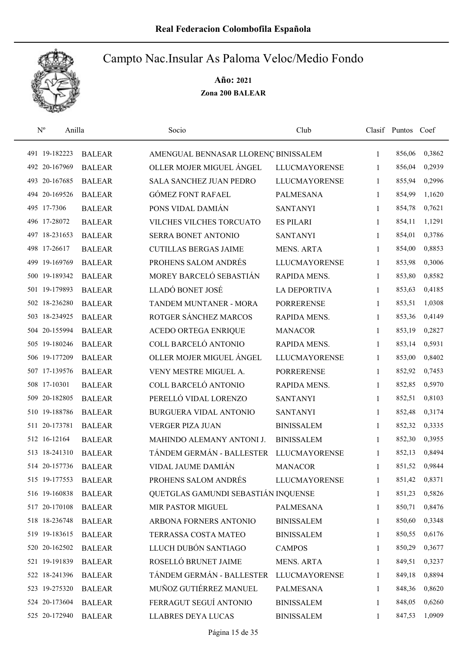

| $\mathbf{N}^{\text{o}}$<br>Anilla |               | Socio                                | Club                 |              | Clasif Puntos Coef |        |
|-----------------------------------|---------------|--------------------------------------|----------------------|--------------|--------------------|--------|
| 491 19-182223                     | <b>BALEAR</b> | AMENGUAL BENNASAR LLORENÇ BINISSALEM |                      | 1            | 856,06             | 0,3862 |
| 492 20-167969                     | <b>BALEAR</b> | OLLER MOJER MIGUEL ÁNGEL             | <b>LLUCMAYORENSE</b> | 1            | 856,04             | 0,2939 |
| 493 20-167685                     | <b>BALEAR</b> | <b>SALA SANCHEZ JUAN PEDRO</b>       | <b>LLUCMAYORENSE</b> | 1            | 855,94             | 0,2996 |
| 494 20-169526                     | <b>BALEAR</b> | <b>GÓMEZ FONT RAFAEL</b>             | <b>PALMESANA</b>     | 1            | 854,99             | 1,1620 |
| 495 17-7306                       | <b>BALEAR</b> | PONS VIDAL DAMIÁN                    | <b>SANTANYI</b>      | $\mathbf{1}$ | 854,78             | 0,7621 |
| 496 17-28072                      | <b>BALEAR</b> | VILCHES VILCHES TORCUATO             | <b>ES PILARI</b>     | $\mathbf{1}$ | 854,11             | 1,1291 |
| 497 18-231653                     | <b>BALEAR</b> | SERRA BONET ANTONIO                  | <b>SANTANYI</b>      | 1            | 854,01             | 0,3786 |
| 498 17-26617                      | <b>BALEAR</b> | <b>CUTILLAS BERGAS JAIME</b>         | <b>MENS. ARTA</b>    | 1            | 854,00             | 0,8853 |
| 499 19-169769                     | <b>BALEAR</b> | PROHENS SALOM ANDRÉS                 | <b>LLUCMAYORENSE</b> | 1            | 853,98             | 0,3006 |
| 500 19-189342                     | <b>BALEAR</b> | MOREY BARCELÓ SEBASTIÁN              | RAPIDA MENS.         | 1            | 853,80             | 0,8582 |
| 501 19-179893                     | <b>BALEAR</b> | LLADÓ BONET JOSÉ                     | <b>LA DEPORTIVA</b>  | 1            | 853,63             | 0,4185 |
| 502 18-236280                     | <b>BALEAR</b> | TANDEM MUNTANER - MORA               | <b>PORRERENSE</b>    | 1            | 853,51             | 1,0308 |
| 503 18-234925                     | <b>BALEAR</b> | ROTGER SÁNCHEZ MARCOS                | RAPIDA MENS.         | 1            | 853,36             | 0,4149 |
| 504 20-155994                     | <b>BALEAR</b> | <b>ACEDO ORTEGA ENRIQUE</b>          | <b>MANACOR</b>       | $\mathbf{1}$ | 853,19             | 0,2827 |
| 505 19-180246                     | <b>BALEAR</b> | COLL BARCELÓ ANTONIO                 | RAPIDA MENS.         | $\mathbf{1}$ | 853,14             | 0,5931 |
| 506 19-177209                     | <b>BALEAR</b> | OLLER MOJER MIGUEL ÁNGEL             | <b>LLUCMAYORENSE</b> | 1            | 853,00             | 0,8402 |
| 507 17-139576                     | <b>BALEAR</b> | VENY MESTRE MIGUEL A.                | <b>PORRERENSE</b>    | 1            | 852,92             | 0,7453 |
| 508 17-10301                      | <b>BALEAR</b> | COLL BARCELÓ ANTONIO                 | RAPIDA MENS.         | $\mathbf{1}$ | 852,85             | 0,5970 |
| 509 20-182805                     | <b>BALEAR</b> | PERELLÓ VIDAL LORENZO                | <b>SANTANYI</b>      | $\mathbf{1}$ | 852,51             | 0,8103 |
| 510 19-188786                     | <b>BALEAR</b> | BURGUERA VIDAL ANTONIO               | <b>SANTANYI</b>      | $\mathbf{1}$ | 852,48             | 0,3174 |
| 511 20-173781                     | <b>BALEAR</b> | <b>VERGER PIZA JUAN</b>              | <b>BINISSALEM</b>    | $\mathbf{1}$ | 852,32             | 0,3335 |
| 512 16-12164                      | <b>BALEAR</b> | MAHINDO ALEMANY ANTONI J.            | <b>BINISSALEM</b>    | 1            | 852,30             | 0,3955 |
| 513 18-241310                     | <b>BALEAR</b> | TÁNDEM GERMÁN - BALLESTER            | <b>LLUCMAYORENSE</b> | 1            | 852,13             | 0,8494 |
| 514 20-157736                     | <b>BALEAR</b> | VIDAL JAUME DAMIÁN                   | <b>MANACOR</b>       | 1            | 851,52             | 0,9844 |
| 515 19-177553                     | <b>BALEAR</b> | PROHENS SALOM ANDRÉS                 | <b>LLUCMAYORENSE</b> | 1            | 851,42             | 0,8371 |
| 516 19-160838                     | <b>BALEAR</b> | QUETGLAS GAMUNDI SEBASTIÁN INQUENSE  |                      | 1            | 851,23             | 0,5826 |
| 517 20-170108                     | <b>BALEAR</b> | MIR PASTOR MIGUEL                    | PALMESANA            | 1            | 850,71             | 0,8476 |
| 518 18-236748                     | <b>BALEAR</b> | ARBONA FORNERS ANTONIO               | <b>BINISSALEM</b>    | 1            | 850,60             | 0,3348 |
| 519 19-183615                     | <b>BALEAR</b> | TERRASSA COSTA MATEO                 | <b>BINISSALEM</b>    | 1            | 850,55             | 0,6176 |
| 520 20-162502                     | <b>BALEAR</b> | LLUCH DUBÓN SANTIAGO                 | <b>CAMPOS</b>        | 1            | 850,29             | 0,3677 |
| 521 19-191839                     | <b>BALEAR</b> | ROSELLÓ BRUNET JAIME                 | <b>MENS. ARTA</b>    | 1            | 849,51             | 0,3237 |
| 522 18-241396                     | <b>BALEAR</b> | TÁNDEM GERMÁN - BALLESTER            | <b>LLUCMAYORENSE</b> | 1            | 849,18             | 0,8894 |
| 523 19-275320                     | <b>BALEAR</b> | MUÑOZ GUTIÉRREZ MANUEL               | PALMESANA            | 1            | 848,36             | 0,8620 |
| 524 20-173604                     | <b>BALEAR</b> | FERRAGUT SEGUÍ ANTONIO               | <b>BINISSALEM</b>    | 1            | 848,05             | 0,6260 |
| 525 20-172940                     | <b>BALEAR</b> | <b>LLABRES DEYA LUCAS</b>            | <b>BINISSALEM</b>    | 1            | 847,53             | 1,0909 |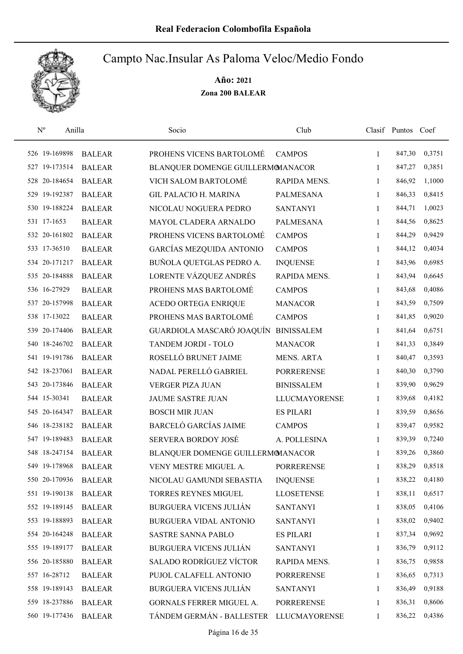

| $\mathbf{N}^{\text{o}}$<br>Anilla |               | Socio                             | Club                 |              | Clasif Puntos Coef |        |
|-----------------------------------|---------------|-----------------------------------|----------------------|--------------|--------------------|--------|
| 526 19-169898                     | <b>BALEAR</b> | PROHENS VICENS BARTOLOMÉ          | <b>CAMPOS</b>        | 1            | 847,30             | 0,3751 |
| 527 19-173514                     | <b>BALEAR</b> | BLANQUER DOMENGE GUILLERMOMANACOR |                      | 1            | 847,27             | 0,3851 |
| 528 20-184654                     | <b>BALEAR</b> | VICH SALOM BARTOLOMÉ              | RAPIDA MENS.         | 1            | 846,92             | 1,1000 |
| 529 19-192387                     | <b>BALEAR</b> | <b>GIL PALACIO H. MARINA</b>      | <b>PALMESANA</b>     | 1            | 846,33             | 0,8415 |
| 530 19-188224                     | <b>BALEAR</b> | NICOLAU NOGUERA PEDRO             | <b>SANTANYI</b>      | $\mathbf{1}$ | 844,71             | 1,0023 |
| 531 17-1653                       | <b>BALEAR</b> | MAYOL CLADERA ARNALDO             | <b>PALMESANA</b>     | 1            | 844,56             | 0,8625 |
| 532 20-161802                     | <b>BALEAR</b> | PROHENS VICENS BARTOLOMÉ          | <b>CAMPOS</b>        | 1            | 844,29             | 0,9429 |
| 533 17-36510                      | <b>BALEAR</b> | GARCÍAS MEZQUIDA ANTONIO          | <b>CAMPOS</b>        | 1            | 844,12             | 0,4034 |
| 534 20-171217                     | <b>BALEAR</b> | BUÑOLA QUETGLAS PEDRO A.          | <b>INQUENSE</b>      | 1            | 843,96             | 0,6985 |
| 535 20-184888                     | <b>BALEAR</b> | LORENTE VÁZQUEZ ANDRÉS            | RAPIDA MENS.         | 1            | 843,94             | 0,6645 |
| 536 16-27929                      | <b>BALEAR</b> | PROHENS MAS BARTOLOMÉ             | <b>CAMPOS</b>        | 1            | 843,68             | 0,4086 |
| 537 20-157998                     | <b>BALEAR</b> | ACEDO ORTEGA ENRIQUE              | <b>MANACOR</b>       | 1            | 843,59             | 0,7509 |
| 538 17-13022                      | <b>BALEAR</b> | PROHENS MAS BARTOLOMÉ             | <b>CAMPOS</b>        | 1            | 841,85             | 0,9020 |
| 539 20-174406                     | <b>BALEAR</b> | GUARDIOLA MASCARÓ JOAQUÍN         | <b>BINISSALEM</b>    | $\mathbf{1}$ | 841,64             | 0,6751 |
| 540 18-246702                     | <b>BALEAR</b> | TANDEM JORDI - TOLO               | <b>MANACOR</b>       | $\mathbf{1}$ | 841,33             | 0,3849 |
| 541 19-191786                     | <b>BALEAR</b> | ROSELLÓ BRUNET JAIME              | <b>MENS. ARTA</b>    | 1            | 840,47             | 0,3593 |
| 542 18-237061                     | <b>BALEAR</b> | NADAL PERELLÓ GABRIEL             | <b>PORRERENSE</b>    | 1            | 840,30             | 0,3790 |
| 543 20-173846                     | <b>BALEAR</b> | <b>VERGER PIZA JUAN</b>           | <b>BINISSALEM</b>    | 1            | 839,90             | 0,9629 |
| 544 15-30341                      | <b>BALEAR</b> | <b>JAUME SASTRE JUAN</b>          | <b>LLUCMAYORENSE</b> | 1            | 839,68             | 0,4182 |
| 545 20-164347                     | <b>BALEAR</b> | <b>BOSCH MIR JUAN</b>             | <b>ES PILARI</b>     | $\mathbf{1}$ | 839,59             | 0,8656 |
| 546 18-238182                     | <b>BALEAR</b> | <b>BARCELÓ GARCÍAS JAIME</b>      | <b>CAMPOS</b>        | $\mathbf{1}$ | 839,47             | 0,9582 |
| 547 19-189483                     | <b>BALEAR</b> | SERVERA BORDOY JOSÉ               | A. POLLESINA         | 1            | 839,39             | 0,7240 |
| 548 18-247154                     | <b>BALEAR</b> | BLANQUER DOMENGE GUILLERMOMANACOR |                      | 1            | 839,26             | 0,3860 |
| 549 19-178968                     | <b>BALEAR</b> | VENY MESTRE MIGUEL A.             | <b>PORRERENSE</b>    | 1            | 838,29             | 0,8518 |
| 550 20-170936                     | <b>BALEAR</b> | NICOLAU GAMUNDI SEBASTIA          | <b>INQUENSE</b>      | 1            | 838,22             | 0,4180 |
| 551 19-190138                     | <b>BALEAR</b> | TORRES REYNES MIGUEL              | <b>LLOSETENSE</b>    | 1            | 838,11             | 0,6517 |
| 552 19-189145                     | <b>BALEAR</b> | <b>BURGUERA VICENS JULIÁN</b>     | <b>SANTANYI</b>      | 1            | 838,05             | 0,4106 |
| 553 19-188893                     | <b>BALEAR</b> | BURGUERA VIDAL ANTONIO            | <b>SANTANYI</b>      | 1            | 838,02             | 0,9402 |
| 554 20-164248                     | <b>BALEAR</b> | <b>SASTRE SANNA PABLO</b>         | <b>ES PILARI</b>     | 1            | 837,34             | 0,9692 |
| 555 19-189177                     | <b>BALEAR</b> | <b>BURGUERA VICENS JULIÁN</b>     | <b>SANTANYI</b>      | 1            | 836,79             | 0,9112 |
| 556 20-185880                     | <b>BALEAR</b> | <b>SALADO RODRÍGUEZ VÍCTOR</b>    | RAPIDA MENS.         | 1            | 836,75             | 0,9858 |
| 557 16-28712                      | <b>BALEAR</b> | PUJOL CALAFELL ANTONIO            | <b>PORRERENSE</b>    | 1            | 836,65             | 0,7313 |
| 558 19-189143                     | <b>BALEAR</b> | <b>BURGUERA VICENS JULIÁN</b>     | <b>SANTANYI</b>      | 1            | 836,49             | 0,9188 |
| 559 18-237886                     | <b>BALEAR</b> | GORNALS FERRER MIGUEL A.          | <b>PORRERENSE</b>    | 1            | 836,31             | 0,8606 |
| 560 19-177436                     | <b>BALEAR</b> | TÁNDEM GERMÁN - BALLESTER         | <b>LLUCMAYORENSE</b> | 1            | 836,22             | 0,4386 |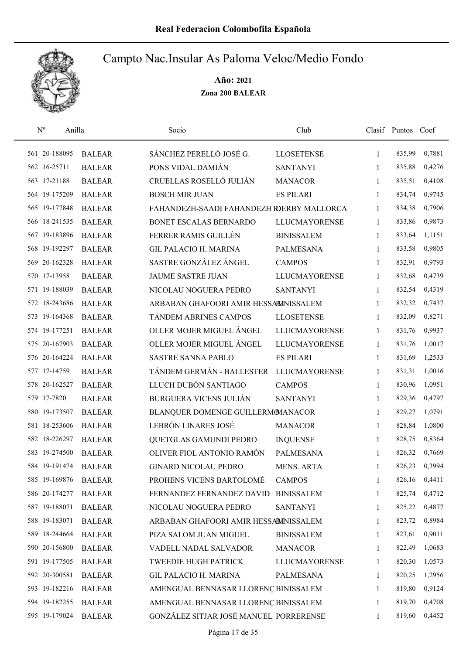

| $N^{\rm o}$<br>Anilla |               | Socio                                     | Club                 |              | Clasif Puntos Coef |        |
|-----------------------|---------------|-------------------------------------------|----------------------|--------------|--------------------|--------|
| 561 20-188095         | <b>BALEAR</b> | SÁNCHEZ PERELLÓ JOSÉ G.                   | <b>LLOSETENSE</b>    | 1            | 835,99             | 0,7881 |
| 562 16-25711          | <b>BALEAR</b> | PONS VIDAL DAMIÁN                         | <b>SANTANYI</b>      | 1            | 835,88             | 0,4276 |
| 563 17-21188          | <b>BALEAR</b> | CRUELLAS ROSELLÓ JULIÁN                   | <b>MANACOR</b>       | 1            | 835,51             | 0,4108 |
| 564 19-175209         | <b>BALEAR</b> | <b>BOSCH MIR JUAN</b>                     | <b>ES PILARI</b>     | 1            | 834,74             | 0,9745 |
| 565 19-177848         | <b>BALEAR</b> | FAHANDEZH-SAADI FAHANDEZH RDERBY MALLORCA |                      | $\mathbf{1}$ | 834,38             | 0,7906 |
| 566 18-241535         | <b>BALEAR</b> | BONET ESCALAS BERNARDO                    | <b>LLUCMAYORENSE</b> | 1            | 833,86             | 0,9873 |
| 567 19-183896         | <b>BALEAR</b> | FERRER RAMIS GUILLÉN                      | <b>BINISSALEM</b>    | 1            | 833,64             | 1,1151 |
| 568 19-192297         | <b>BALEAR</b> | <b>GIL PALACIO H. MARINA</b>              | PALMESANA            | 1            | 833,58             | 0,9805 |
| 569 20-162328         | <b>BALEAR</b> | SASTRE GONZÁLEZ ÁNGEL                     | <b>CAMPOS</b>        | 1            | 832,91             | 0,9793 |
| 570 17-13958          | <b>BALEAR</b> | <b>JAUME SASTRE JUAN</b>                  | <b>LLUCMAYORENSE</b> | 1            | 832,68             | 0,4739 |
| 571 19-188039         | <b>BALEAR</b> | NICOLAU NOGUERA PEDRO                     | <b>SANTANYI</b>      | 1            | 832,54             | 0,4319 |
| 572 18-243686         | <b>BALEAR</b> | ARBABAN GHAFOORI AMIR HESSABINISSALEM     |                      | 1            | 832,32             | 0,7437 |
| 573 19-164368         | <b>BALEAR</b> | <b>TÁNDEM ABRINES CAMPOS</b>              | <b>LLOSETENSE</b>    | 1            | 832,09             | 0,8271 |
| 574 19-177251         | <b>BALEAR</b> | OLLER MOJER MIGUEL ÁNGEL                  | <b>LLUCMAYORENSE</b> | 1            | 831,76             | 0,9937 |
| 575 20-167903         | <b>BALEAR</b> | OLLER MOJER MIGUEL ÁNGEL                  | <b>LLUCMAYORENSE</b> | $\mathbf{1}$ | 831,76             | 1,0017 |
| 576 20-164224         | <b>BALEAR</b> | SASTRE SANNA PABLO                        | <b>ES PILARI</b>     | 1            | 831,69             | 1,2533 |
| 577 17-14759          | <b>BALEAR</b> | TÁNDEM GERMÁN - BALLESTER                 | <b>LLUCMAYORENSE</b> | 1            | 831,31             | 1,0016 |
| 578 20-162527         | <b>BALEAR</b> | LLUCH DUBÓN SANTIAGO                      | <b>CAMPOS</b>        | $\mathbf{1}$ | 830,96             | 1,0951 |
| 579 17-7820           | <b>BALEAR</b> | <b>BURGUERA VICENS JULIÁN</b>             | <b>SANTANYI</b>      | $\mathbf{1}$ | 829,36             | 0,4797 |
| 580 19-173507         | <b>BALEAR</b> | BLANQUER DOMENGE GUILLERMOMANACOR         |                      | $\mathbf{1}$ | 829,27             | 1,0791 |
| 581 18-253606         | <b>BALEAR</b> | LEBRÓN LINARES JOSÉ                       | <b>MANACOR</b>       | $\mathbf{1}$ | 828,84             | 1,0800 |
| 582 18-226297         | <b>BALEAR</b> | QUETGLAS GAMUNDI PEDRO                    | <b>INQUENSE</b>      | 1            | 828,75             | 0,8364 |
| 583 19-274500         | <b>BALEAR</b> | OLIVER FIOL ANTONIO RAMÓN                 | <b>PALMESANA</b>     | 1            | 826,32             | 0,7669 |
| 584 19-191474         | <b>BALEAR</b> | <b>GINARD NICOLAU PEDRO</b>               | <b>MENS. ARTA</b>    | 1            | 826,23             | 0,3994 |
| 585 19-169876         | <b>BALEAR</b> | PROHENS VICENS BARTOLOMÉ                  | <b>CAMPOS</b>        | 1            | 826,16             | 0,4411 |
| 586 20-174277         | <b>BALEAR</b> | FERNANDEZ FERNANDEZ DAVID                 | <b>BINISSALEM</b>    | 1            | 825,74             | 0,4712 |
| 587 19-188071         | <b>BALEAR</b> | NICOLAU NOGUERA PEDRO                     | <b>SANTANYI</b>      | 1            | 825,22             | 0,4877 |
| 588 19-183071         | <b>BALEAR</b> | ARBABAN GHAFOORI AMIR HESSABINISSALEM     |                      | 1            | 823,72             | 0,8984 |
| 589 18-244664         | <b>BALEAR</b> | PIZA SALOM JUAN MIGUEL                    | <b>BINISSALEM</b>    | 1            | 823,61             | 0,9011 |
| 590 20-156800         | <b>BALEAR</b> | VADELL NADAL SALVADOR                     | <b>MANACOR</b>       | 1            | 822,49             | 1,0683 |
| 591 19-177505         | <b>BALEAR</b> | TWEEDIE HUGH PATRICK                      | <b>LLUCMAYORENSE</b> | 1            | 820,30             | 1,0573 |
| 592 20-300581         | <b>BALEAR</b> | GIL PALACIO H. MARINA                     | PALMESANA            | 1            | 820,25             | 1,2956 |
| 593 19-182216         | <b>BALEAR</b> | AMENGUAL BENNASAR LLORENÇ BINISSALEM      |                      | 1            | 819,80             | 0,9124 |
| 594 19-182255         | <b>BALEAR</b> | AMENGUAL BENNASAR LLORENÇ BINISSALEM      |                      | 1            | 819,70             | 0,4708 |
| 595 19-179024         | <b>BALEAR</b> | GONZÁLEZ SITJAR JOSÉ MANUEL PORRERENSE    |                      | 1            | 819,60             | 0,4452 |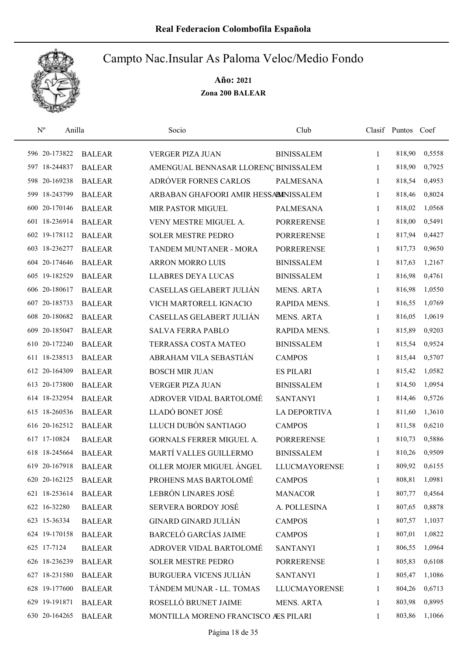

| $\rm N^o$<br>Anilla |               | Socio                                 | Club                 |              | Clasif Puntos Coef |        |
|---------------------|---------------|---------------------------------------|----------------------|--------------|--------------------|--------|
| 596 20-173822       | <b>BALEAR</b> | <b>VERGER PIZA JUAN</b>               | <b>BINISSALEM</b>    | 1            | 818,90             | 0,5558 |
| 597 18-244837       | <b>BALEAR</b> | AMENGUAL BENNASAR LLORENÇ BINISSALEM  |                      | 1            | 818,90             | 0,7925 |
| 598 20-169238       | <b>BALEAR</b> | ADRÓVER FORNES CARLOS                 | <b>PALMESANA</b>     | 1            | 818,54             | 0,4953 |
| 599 18-243799       | <b>BALEAR</b> | ARBABAN GHAFOORI AMIR HESSABINISSALEM |                      | 1            | 818,46             | 0,8024 |
| 600 20-170146       | <b>BALEAR</b> | <b>MIR PASTOR MIGUEL</b>              | <b>PALMESANA</b>     | $\mathbf{1}$ | 818,02             | 1,0568 |
| 601 18-236914       | <b>BALEAR</b> | VENY MESTRE MIGUEL A.                 | <b>PORRERENSE</b>    | $\mathbf{1}$ | 818,00             | 0,5491 |
| 602 19-178112       | <b>BALEAR</b> | <b>SOLER MESTRE PEDRO</b>             | <b>PORRERENSE</b>    | $\mathbf{1}$ | 817,94             | 0,4427 |
| 603 18-236277       | <b>BALEAR</b> | TANDEM MUNTANER - MORA                | <b>PORRERENSE</b>    | 1            | 817,73             | 0,9650 |
| 604 20-174646       | <b>BALEAR</b> | <b>ARRON MORRO LUIS</b>               | <b>BINISSALEM</b>    | 1            | 817,63             | 1,2167 |
| 605 19-182529       | <b>BALEAR</b> | <b>LLABRES DEYA LUCAS</b>             | <b>BINISSALEM</b>    | 1            | 816,98             | 0,4761 |
| 606 20-180617       | <b>BALEAR</b> | CASELLAS GELABERT JULIÁN              | <b>MENS. ARTA</b>    | 1            | 816,98             | 1,0550 |
| 607 20-185733       | <b>BALEAR</b> | VICH MARTORELL IGNACIO                | RAPIDA MENS.         | 1            | 816,55             | 1,0769 |
| 608 20-180682       | <b>BALEAR</b> | CASELLAS GELABERT JULIÁN              | <b>MENS. ARTA</b>    | 1            | 816,05             | 1,0619 |
| 609 20-185047       | <b>BALEAR</b> | <b>SALVA FERRA PABLO</b>              | RAPIDA MENS.         | $\mathbf{1}$ | 815,89             | 0,9203 |
| 610 20-172240       | <b>BALEAR</b> | TERRASSA COSTA MATEO                  | <b>BINISSALEM</b>    | $\mathbf{1}$ | 815,54             | 0,9524 |
| 611 18-238513       | <b>BALEAR</b> | ABRAHAM VILA SEBASTIÁN                | <b>CAMPOS</b>        | $\mathbf{1}$ | 815,44             | 0,5707 |
| 612 20-164309       | <b>BALEAR</b> | <b>BOSCH MIR JUAN</b>                 | <b>ES PILARI</b>     | 1            | 815,42             | 1,0582 |
| 613 20-173800       | <b>BALEAR</b> | <b>VERGER PIZA JUAN</b>               | <b>BINISSALEM</b>    | $\mathbf{1}$ | 814,50             | 1,0954 |
| 614 18-232954       | <b>BALEAR</b> | ADROVER VIDAL BARTOLOMÉ               | <b>SANTANYI</b>      | $\mathbf{1}$ | 814,46             | 0,5726 |
| 615 18-260536       | <b>BALEAR</b> | LLADÓ BONET JOSÉ                      | <b>LA DEPORTIVA</b>  | $\mathbf{1}$ | 811,60             | 1,3610 |
| 616 20-162512       | <b>BALEAR</b> | LLUCH DUBÓN SANTIAGO                  | <b>CAMPOS</b>        | 1            | 811,58             | 0,6210 |
| 617 17-10824        | <b>BALEAR</b> | GORNALS FERRER MIGUEL A.              | <b>PORRERENSE</b>    | 1            | 810,73             | 0,5886 |
| 618 18-245664       | <b>BALEAR</b> | MARTÍ VALLES GUILLERMO                | <b>BINISSALEM</b>    | 1            | 810,26             | 0,9509 |
| 619 20-167918       | <b>BALEAR</b> | OLLER MOJER MIGUEL ÁNGEL              | <b>LLUCMAYORENSE</b> | 1            | 809,92             | 0,6155 |
| 620 20-162125       | <b>BALEAR</b> | PROHENS MAS BARTOLOMÉ                 | <b>CAMPOS</b>        | 1            | 808,81             | 1,0981 |
| 621 18-253614       | <b>BALEAR</b> | LEBRÓN LINARES JOSÉ                   | <b>MANACOR</b>       | 1            | 807,77             | 0,4564 |
| 622 16-32280        | <b>BALEAR</b> | <b>SERVERA BORDOY JOSÉ</b>            | A. POLLESINA         | 1            | 807,65             | 0,8878 |
| 623 15-36334        | <b>BALEAR</b> | <b>GINARD GINARD JULIÁN</b>           | <b>CAMPOS</b>        | 1            | 807,57             | 1,1037 |
| 624 19-170158       | <b>BALEAR</b> | <b>BARCELÓ GARCÍAS JAIME</b>          | <b>CAMPOS</b>        | 1            | 807,01             | 1,0822 |
| 625 17-7124         | <b>BALEAR</b> | ADROVER VIDAL BARTOLOMÉ               | <b>SANTANYI</b>      | 1            | 806,55             | 1,0964 |
| 626 18-236239       | <b>BALEAR</b> | <b>SOLER MESTRE PEDRO</b>             | <b>PORRERENSE</b>    | 1            | 805,83             | 0,6108 |
| 627 18-231580       | <b>BALEAR</b> | <b>BURGUERA VICENS JULIÁN</b>         | <b>SANTANYI</b>      | 1            | 805,47             | 1,1086 |
| 628 19-177600       | <b>BALEAR</b> | TÁNDEM MUNAR - LL. TOMAS              | <b>LLUCMAYORENSE</b> | 1            | 804,26             | 0,6713 |
| 629 19-191871       | <b>BALEAR</b> | ROSELLÓ BRUNET JAIME                  | MENS. ARTA           | 1            | 803,98             | 0,8995 |
| 630 20-164265       | <b>BALEAR</b> | MONTILLA MORENO FRANCISCO AES PILARI  |                      | 1            | 803,86             | 1,1066 |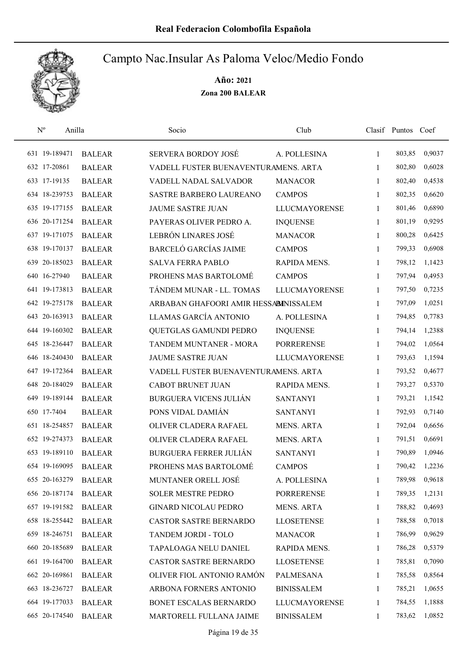

| $N^{\rm o}$   | Anilla        | Socio                                 | Club                 |              | Clasif Puntos Coef |        |
|---------------|---------------|---------------------------------------|----------------------|--------------|--------------------|--------|
| 631 19-189471 | <b>BALEAR</b> | SERVERA BORDOY JOSÉ                   | A. POLLESINA         | $\mathbf{1}$ | 803,85             | 0,9037 |
| 632 17-20861  | <b>BALEAR</b> | VADELL FUSTER BUENAVENTURAMENS. ARTA  |                      | 1            | 802,80             | 0,6028 |
| 633 17-19135  | <b>BALEAR</b> | VADELL NADAL SALVADOR                 | <b>MANACOR</b>       | $\mathbf{1}$ | 802,40             | 0,4538 |
| 634 18-239753 | <b>BALEAR</b> | <b>SASTRE BARBERO LAUREANO</b>        | <b>CAMPOS</b>        | $\mathbf{1}$ | 802,35             | 0,6620 |
| 635 19-177155 | <b>BALEAR</b> | <b>JAUME SASTRE JUAN</b>              | <b>LLUCMAYORENSE</b> | $\mathbf{1}$ | 801,46             | 0,6890 |
| 636 20-171254 | <b>BALEAR</b> | PAYERAS OLIVER PEDRO A.               | <b>INQUENSE</b>      | 1            | 801,19             | 0,9295 |
| 637 19-171075 | <b>BALEAR</b> | LEBRÓN LINARES JOSÉ                   | <b>MANACOR</b>       | 1            | 800,28             | 0,6425 |
| 638 19-170137 | <b>BALEAR</b> | <b>BARCELÓ GARCÍAS JAIME</b>          | <b>CAMPOS</b>        | 1            | 799,33             | 0,6908 |
| 639 20-185023 | <b>BALEAR</b> | <b>SALVA FERRA PABLO</b>              | RAPIDA MENS.         | 1            | 798,12             | 1,1423 |
| 640 16-27940  | <b>BALEAR</b> | PROHENS MAS BARTOLOMÉ                 | <b>CAMPOS</b>        | 1            | 797,94             | 0,4953 |
| 641 19-173813 | <b>BALEAR</b> | TÁNDEM MUNAR - LL. TOMAS              | <b>LLUCMAYORENSE</b> | 1            | 797,50             | 0,7235 |
| 642 19-275178 | <b>BALEAR</b> | ARBABAN GHAFOORI AMIR HESSABINISSALEM |                      | 1            | 797,09             | 1,0251 |
| 643 20-163913 | <b>BALEAR</b> | LLAMAS GARCÍA ANTONIO                 | A. POLLESINA         | 1            | 794,85             | 0,7783 |
| 644 19-160302 | <b>BALEAR</b> | QUETGLAS GAMUNDI PEDRO                | <b>INQUENSE</b>      | 1            | 794,14             | 1,2388 |
| 645 18-236447 | <b>BALEAR</b> | TANDEM MUNTANER - MORA                | <b>PORRERENSE</b>    | $\mathbf{1}$ | 794,02             | 1,0564 |
| 646 18-240430 | <b>BALEAR</b> | <b>JAUME SASTRE JUAN</b>              | <b>LLUCMAYORENSE</b> | 1            | 793,63             | 1,1594 |
| 647 19-172364 | <b>BALEAR</b> | VADELL FUSTER BUENAVENTURAMENS. ARTA  |                      | 1            | 793,52             | 0,4677 |
| 648 20-184029 | <b>BALEAR</b> | <b>CABOT BRUNET JUAN</b>              | RAPIDA MENS.         | $\mathbf{1}$ | 793,27             | 0,5370 |
| 649 19-189144 | <b>BALEAR</b> | <b>BURGUERA VICENS JULIÁN</b>         | <b>SANTANYI</b>      | $\mathbf{1}$ | 793,21             | 1,1542 |
| 650 17-7404   | <b>BALEAR</b> | PONS VIDAL DAMIÁN                     | <b>SANTANYI</b>      | $\mathbf{1}$ | 792,93             | 0,7140 |
| 651 18-254857 | <b>BALEAR</b> | OLIVER CLADERA RAFAEL                 | <b>MENS. ARTA</b>    | 1            | 792,04             | 0,6656 |
| 652 19-274373 | <b>BALEAR</b> | OLIVER CLADERA RAFAEL                 | <b>MENS. ARTA</b>    | 1            | 791,51             | 0,6691 |
| 653 19-189110 | <b>BALEAR</b> | <b>BURGUERA FERRER JULIÁN</b>         | <b>SANTANYI</b>      | 1            | 790,89             | 1,0946 |
| 654 19-169095 | <b>BALEAR</b> | PROHENS MAS BARTOLOMÉ                 | <b>CAMPOS</b>        | 1            | 790,42             | 1,2236 |
| 655 20-163279 | <b>BALEAR</b> | MUNTANER ORELL JOSÉ                   | A. POLLESINA         | 1            | 789,98             | 0,9618 |
| 656 20-187174 | <b>BALEAR</b> | <b>SOLER MESTRE PEDRO</b>             | <b>PORRERENSE</b>    | 1            | 789,35             | 1,2131 |
| 657 19-191582 | <b>BALEAR</b> | <b>GINARD NICOLAU PEDRO</b>           | MENS. ARTA           | 1            | 788,82             | 0,4693 |
| 658 18-255442 | <b>BALEAR</b> | <b>CASTOR SASTRE BERNARDO</b>         | <b>LLOSETENSE</b>    | 1            | 788,58             | 0,7018 |
| 659 18-246751 | <b>BALEAR</b> | TANDEM JORDI - TOLO                   | <b>MANACOR</b>       | 1            | 786,99             | 0,9629 |
| 660 20-185689 | <b>BALEAR</b> | TAPALOAGA NELU DANIEL                 | RAPIDA MENS.         | $\mathbf{1}$ | 786,28             | 0,5379 |
| 661 19-164700 | <b>BALEAR</b> | <b>CASTOR SASTRE BERNARDO</b>         | <b>LLOSETENSE</b>    | 1            | 785,81             | 0,7090 |
| 662 20-169861 | <b>BALEAR</b> | OLIVER FIOL ANTONIO RAMÓN             | PALMESANA            | 1            | 785,58             | 0,8564 |
| 663 18-236727 | <b>BALEAR</b> | ARBONA FORNERS ANTONIO                | <b>BINISSALEM</b>    | 1            | 785,21             | 1,0655 |
| 664 19-177033 | <b>BALEAR</b> | BONET ESCALAS BERNARDO                | <b>LLUCMAYORENSE</b> | 1            | 784,55             | 1,1888 |
| 665 20-174540 | <b>BALEAR</b> | MARTORELL FULLANA JAIME               | <b>BINISSALEM</b>    | $\mathbf{1}$ | 783,62             | 1,0852 |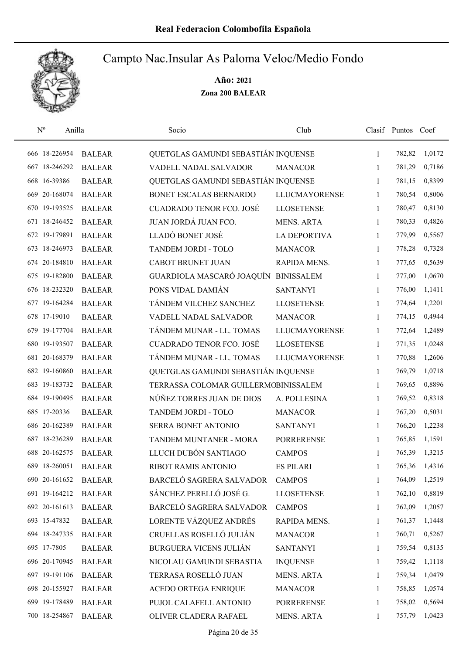

| $\mathbf{N}^{\text{o}}$ | Anilla        |               | Socio                                | Club                 |              | Clasif Puntos Coef |        |
|-------------------------|---------------|---------------|--------------------------------------|----------------------|--------------|--------------------|--------|
| 666 18-226954           |               | <b>BALEAR</b> | QUETGLAS GAMUNDI SEBASTIÁN INQUENSE  |                      | $\mathbf{1}$ | 782,82             | 1,0172 |
| 667 18-246292           |               | <b>BALEAR</b> | VADELL NADAL SALVADOR                | <b>MANACOR</b>       | 1            | 781,29             | 0,7186 |
| 668 16-39386            |               | <b>BALEAR</b> | QUETGLAS GAMUNDI SEBASTIÁN INQUENSE  |                      | $\mathbf{1}$ | 781,15             | 0,8399 |
| 669 20-168074           |               | <b>BALEAR</b> | BONET ESCALAS BERNARDO               | <b>LLUCMAYORENSE</b> | 1            | 780,54             | 0,8006 |
|                         | 670 19-193525 | <b>BALEAR</b> | <b>CUADRADO TENOR FCO. JOSÉ</b>      | <b>LLOSETENSE</b>    | $\mathbf{1}$ | 780,47             | 0,8130 |
| 671 18-246452           |               | <b>BALEAR</b> | JUAN JORDÁ JUAN FCO.                 | <b>MENS. ARTA</b>    | 1            | 780,33             | 0,4826 |
| 672 19-179891           |               | <b>BALEAR</b> | LLADÓ BONET JOSÉ                     | <b>LA DEPORTIVA</b>  | $\mathbf{1}$ | 779,99             | 0,5567 |
| 673 18-246973           |               | <b>BALEAR</b> | TANDEM JORDI - TOLO                  | <b>MANACOR</b>       | 1            | 778,28             | 0,7328 |
|                         | 674 20-184810 | <b>BALEAR</b> | <b>CABOT BRUNET JUAN</b>             | RAPIDA MENS.         | $\mathbf{1}$ | 777,65             | 0,5639 |
| 675 19-182800           |               | <b>BALEAR</b> | GUARDIOLA MASCARÓ JOAQUÍN            | <b>BINISSALEM</b>    | 1            | 777,00             | 1,0670 |
| 676 18-232320           |               | <b>BALEAR</b> | PONS VIDAL DAMIÁN                    | <b>SANTANYI</b>      | 1            | 776,00             | 1,1411 |
| 677 19-164284           |               | <b>BALEAR</b> | TÁNDEM VILCHEZ SANCHEZ               | <b>LLOSETENSE</b>    | 1            | 774,64             | 1,2201 |
| 678 17-19010            |               | <b>BALEAR</b> | VADELL NADAL SALVADOR                | <b>MANACOR</b>       | $\mathbf{1}$ | 774,15             | 0,4944 |
| 679 19-177704           |               | <b>BALEAR</b> | TÁNDEM MUNAR - LL. TOMAS             | <b>LLUCMAYORENSE</b> | 1            | 772,64             | 1,2489 |
| 680 19-193507           |               | <b>BALEAR</b> | <b>CUADRADO TENOR FCO. JOSÉ</b>      | <b>LLOSETENSE</b>    | 1            | 771,35             | 1,0248 |
| 681 20-168379           |               | <b>BALEAR</b> | TÁNDEM MUNAR - LL. TOMAS             | <b>LLUCMAYORENSE</b> | 1            | 770,88             | 1,2606 |
| 682 19-160860           |               | <b>BALEAR</b> | QUETGLAS GAMUNDI SEBASTIÁN INQUENSE  |                      | $\mathbf{1}$ | 769,79             | 1,0718 |
| 683 19-183732           |               | <b>BALEAR</b> | TERRASSA COLOMAR GUILLERMOBINISSALEM |                      | $\mathbf{1}$ | 769,65             | 0,8896 |
| 684 19-190495           |               | <b>BALEAR</b> | NÚÑEZ TORRES JUAN DE DIOS            | A. POLLESINA         | $\mathbf{1}$ | 769,52             | 0,8318 |
| 685 17-20336            |               | <b>BALEAR</b> | TANDEM JORDI - TOLO                  | <b>MANACOR</b>       | 1            | 767,20             | 0,5031 |
| 686 20-162389           |               | <b>BALEAR</b> | SERRA BONET ANTONIO                  | <b>SANTANYI</b>      | 1            | 766,20             | 1,2238 |
|                         | 687 18-236289 | <b>BALEAR</b> | TANDEM MUNTANER - MORA               | <b>PORRERENSE</b>    | 1            | 765,85             | 1,1591 |
| 688 20-162575           |               | <b>BALEAR</b> | LLUCH DUBÓN SANTIAGO                 | <b>CAMPOS</b>        | 1            | 765,39             | 1,3215 |
| 689 18-260051           |               | <b>BALEAR</b> | RIBOT RAMIS ANTONIO                  | <b>ES PILARI</b>     | 1            | 765,36             | 1,4316 |
|                         | 690 20-161652 | <b>BALEAR</b> | BARCELÓ SAGRERA SALVADOR             | <b>CAMPOS</b>        | 1            | 764,09             | 1,2519 |
|                         | 691 19-164212 | <b>BALEAR</b> | SÁNCHEZ PERELLÓ JOSÉ G.              | <b>LLOSETENSE</b>    | 1            | 762,10             | 0,8819 |
| 692 20-161613           |               | <b>BALEAR</b> | BARCELÓ SAGRERA SALVADOR             | <b>CAMPOS</b>        | 1            | 762,09             | 1,2057 |
| 693 15-47832            |               | <b>BALEAR</b> | LORENTE VÁZQUEZ ANDRÉS               | RAPIDA MENS.         | 1            | 761,37             | 1,1448 |
| 694 18-247335           |               | <b>BALEAR</b> | CRUELLAS ROSELLÓ JULIÁN              | <b>MANACOR</b>       | 1            | 760,71             | 0,5267 |
| 695 17-7805             |               | <b>BALEAR</b> | <b>BURGUERA VICENS JULIÁN</b>        | <b>SANTANYI</b>      | $\mathbf{1}$ | 759,54             | 0,8135 |
|                         | 696 20-170945 | <b>BALEAR</b> | NICOLAU GAMUNDI SEBASTIA             | <b>INQUENSE</b>      | $\mathbf{1}$ | 759,42             | 1,1118 |
|                         | 697 19-191106 | <b>BALEAR</b> | TERRASA ROSELLÓ JUAN                 | <b>MENS. ARTA</b>    | $\mathbf{1}$ | 759,34             | 1,0479 |
| 698 20-155927           |               | <b>BALEAR</b> | <b>ACEDO ORTEGA ENRIQUE</b>          | <b>MANACOR</b>       | 1            | 758,85             | 1,0574 |
|                         | 699 19-178489 | <b>BALEAR</b> | PUJOL CALAFELL ANTONIO               | <b>PORRERENSE</b>    | 1            | 758,02             | 0,5694 |
|                         | 700 18-254867 | <b>BALEAR</b> | OLIVER CLADERA RAFAEL                | MENS. ARTA           | $\mathbf{1}$ | 757,79             | 1,0423 |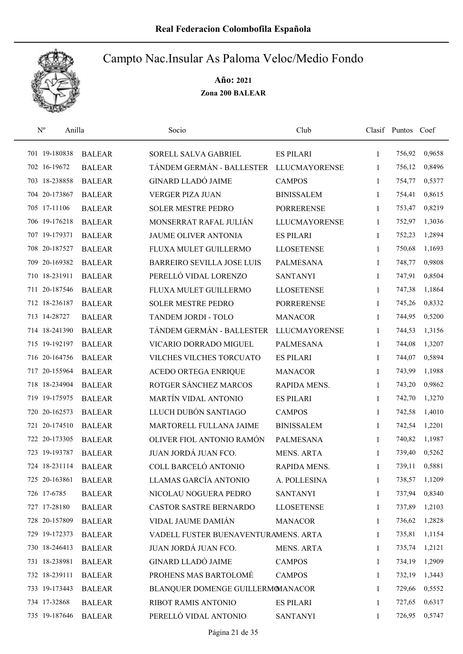

| $N^{o}$       | Anilla        | Socio                                | Club                 |              | Clasif Puntos Coef |        |
|---------------|---------------|--------------------------------------|----------------------|--------------|--------------------|--------|
| 701 19-180838 | <b>BALEAR</b> | SORELL SALVA GABRIEL                 | <b>ES PILARI</b>     | $\mathbf{1}$ | 756,92             | 0,9658 |
| 702 16-19672  | <b>BALEAR</b> | TÁNDEM GERMÁN - BALLESTER            | <b>LLUCMAYORENSE</b> | 1            | 756,12             | 0,8496 |
| 703 18-238858 | <b>BALEAR</b> | <b>GINARD LLADÓ JAIME</b>            | <b>CAMPOS</b>        | $\mathbf{1}$ | 754,77             | 0,5377 |
| 704 20-173867 | <b>BALEAR</b> | <b>VERGER PIZA JUAN</b>              | <b>BINISSALEM</b>    | 1            | 754,41             | 0,8615 |
| 705 17-11106  | <b>BALEAR</b> | <b>SOLER MESTRE PEDRO</b>            | <b>PORRERENSE</b>    | 1            | 753,47             | 0,8219 |
| 706 19-176218 | <b>BALEAR</b> | MONSERRAT RAFAL JULIÁN               | <b>LLUCMAYORENSE</b> | $\mathbf{1}$ | 752,97             | 1,3036 |
| 707 19-179371 | <b>BALEAR</b> | JAUME OLIVER ANTONIA                 | <b>ES PILARI</b>     | $\mathbf{1}$ | 752,23             | 1,2894 |
| 708 20-187527 | <b>BALEAR</b> | FLUXA MULET GUILLERMO                | <b>LLOSETENSE</b>    | 1            | 750,68             | 1,1693 |
| 709 20-169382 | <b>BALEAR</b> | <b>BARREIRO SEVILLA JOSE LUIS</b>    | <b>PALMESANA</b>     | $\mathbf{1}$ | 748,77             | 0,9808 |
| 710 18-231911 | <b>BALEAR</b> | PERELLÓ VIDAL LORENZO                | <b>SANTANYI</b>      | 1            | 747,91             | 0,8504 |
| 711 20-187546 | <b>BALEAR</b> | FLUXA MULET GUILLERMO                | <b>LLOSETENSE</b>    | 1            | 747,38             | 1,1864 |
| 712 18-236187 | <b>BALEAR</b> | <b>SOLER MESTRE PEDRO</b>            | <b>PORRERENSE</b>    | 1            | 745,26             | 0,8332 |
| 713 14-28727  | <b>BALEAR</b> | TANDEM JORDI - TOLO                  | <b>MANACOR</b>       | 1            | 744,95             | 0,5200 |
| 714 18-241390 | <b>BALEAR</b> | TÁNDEM GERMÁN - BALLESTER            | <b>LLUCMAYORENSE</b> | 1            | 744,53             | 1,3156 |
| 715 19-192197 | <b>BALEAR</b> | VICARIO DORRADO MIGUEL               | <b>PALMESANA</b>     | 1            | 744,08             | 1,3207 |
| 716 20-164756 | <b>BALEAR</b> | VILCHES VILCHES TORCUATO             | <b>ES PILARI</b>     | 1            | 744,07             | 0,5894 |
| 717 20-155964 | <b>BALEAR</b> | <b>ACEDO ORTEGA ENRIQUE</b>          | <b>MANACOR</b>       | 1            | 743,99             | 1,1988 |
| 718 18-234904 | <b>BALEAR</b> | ROTGER SÁNCHEZ MARCOS                | RAPIDA MENS.         | $\mathbf{1}$ | 743,20             | 0,9862 |
| 719 19-175975 | <b>BALEAR</b> | MARTÍN VIDAL ANTONIO                 | <b>ES PILARI</b>     | $\mathbf{1}$ | 742,70             | 1,3270 |
| 720 20-162573 | <b>BALEAR</b> | LLUCH DUBÓN SANTIAGO                 | <b>CAMPOS</b>        | $\mathbf{1}$ | 742,58             | 1,4010 |
| 721 20-174510 | <b>BALEAR</b> | MARTORELL FULLANA JAIME              | <b>BINISSALEM</b>    | 1            | 742,54             | 1,2201 |
| 722 20-173305 | <b>BALEAR</b> | OLIVER FIOL ANTONIO RAMÓN            | <b>PALMESANA</b>     | 1            | 740,82             | 1,1987 |
| 723 19-193787 | <b>BALEAR</b> | JUAN JORDÁ JUAN FCO.                 | <b>MENS. ARTA</b>    | 1            | 739,40             | 0,5262 |
| 724 18-231114 | <b>BALEAR</b> | COLL BARCELÓ ANTONIO                 | RAPIDA MENS.         | 1            | 739,11             | 0,5881 |
| 725 20-163861 | <b>BALEAR</b> | LLAMAS GARCÍA ANTONIO                | A. POLLESINA         | 1            | 738,57             | 1,1209 |
| 726 17-6785   | <b>BALEAR</b> | NICOLAU NOGUERA PEDRO                | <b>SANTANYI</b>      | 1            | 737,94             | 0,8340 |
| 727 17-28180  | <b>BALEAR</b> | CASTOR SASTRE BERNARDO               | <b>LLOSETENSE</b>    | 1            | 737,89             | 1,2103 |
| 728 20-157809 | <b>BALEAR</b> | VIDAL JAUME DAMIÁN                   | <b>MANACOR</b>       | 1            | 736,62             | 1,2828 |
| 729 19-172373 | <b>BALEAR</b> | VADELL FUSTER BUENAVENTURAMENS. ARTA |                      | 1            | 735,81             | 1,1154 |
| 730 18-246413 | <b>BALEAR</b> | JUAN JORDÁ JUAN FCO.                 | <b>MENS. ARTA</b>    | 1            | 735,74             | 1,2121 |
| 731 18-238981 | <b>BALEAR</b> | <b>GINARD LLADÓ JAIME</b>            | <b>CAMPOS</b>        | $\mathbf{1}$ | 734,19             | 1,2909 |
| 732 18-239111 | <b>BALEAR</b> | PROHENS MAS BARTOLOMÉ                | <b>CAMPOS</b>        | 1            | 732,19             | 1,3443 |
| 733 19-173443 | <b>BALEAR</b> | BLANQUER DOMENGE GUILLERMOMANACOR    |                      | 1            | 729,66             | 0,5552 |
| 734 17-32868  | <b>BALEAR</b> | RIBOT RAMIS ANTONIO                  | <b>ES PILARI</b>     | 1            | 727,65             | 0,6317 |
| 735 19-187646 | <b>BALEAR</b> | PERELLÓ VIDAL ANTONIO                | <b>SANTANYI</b>      | 1            | 726,95             | 0,5747 |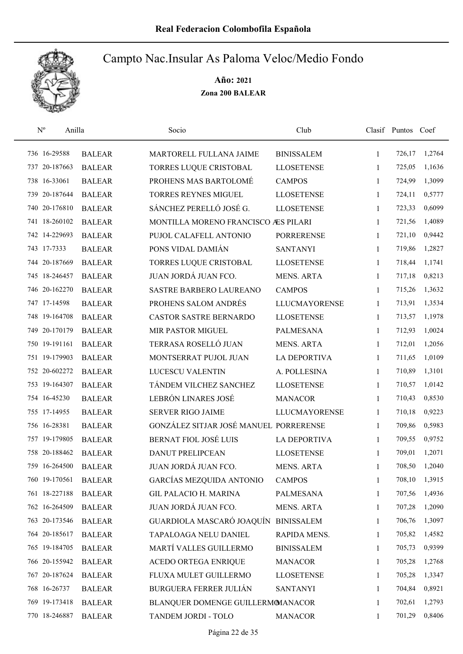

| $\rm N^o$     | Anilla        | Socio                                  | Club                 |              | Clasif Puntos Coef |        |
|---------------|---------------|----------------------------------------|----------------------|--------------|--------------------|--------|
| 736 16-29588  | <b>BALEAR</b> | MARTORELL FULLANA JAIME                | <b>BINISSALEM</b>    | 1            | 726,17             | 1,2764 |
| 737 20-187663 | <b>BALEAR</b> | TORRES LUQUE CRISTOBAL                 | <b>LLOSETENSE</b>    | 1            | 725,05             | 1,1636 |
| 738 16-33061  | <b>BALEAR</b> | PROHENS MAS BARTOLOMÉ                  | <b>CAMPOS</b>        | 1            | 724,99             | 1,3099 |
| 739 20-187644 | <b>BALEAR</b> | <b>TORRES REYNES MIGUEL</b>            | <b>LLOSETENSE</b>    | 1            | 724,11             | 0,5777 |
| 740 20-176810 | <b>BALEAR</b> | SÁNCHEZ PERELLÓ JOSÉ G.                | <b>LLOSETENSE</b>    | 1            | 723,33             | 0,6099 |
| 741 18-260102 | <b>BALEAR</b> | MONTILLA MORENO FRANCISCO AES PILARI   |                      | 1            | 721,56             | 1,4089 |
| 742 14-229693 | <b>BALEAR</b> | PUJOL CALAFELL ANTONIO                 | <b>PORRERENSE</b>    | 1            | 721,10             | 0,9442 |
| 743 17-7333   | <b>BALEAR</b> | PONS VIDAL DAMIÁN                      | <b>SANTANYI</b>      | 1            | 719,86             | 1,2827 |
| 744 20-187669 | <b>BALEAR</b> | TORRES LUQUE CRISTOBAL                 | <b>LLOSETENSE</b>    | 1            | 718,44             | 1,1741 |
| 745 18-246457 | <b>BALEAR</b> | JUAN JORDÁ JUAN FCO.                   | <b>MENS. ARTA</b>    | 1            | 717,18             | 0,8213 |
| 746 20-162270 | <b>BALEAR</b> | SASTRE BARBERO LAUREANO                | <b>CAMPOS</b>        | 1            | 715,26             | 1,3632 |
| 747 17-14598  | <b>BALEAR</b> | PROHENS SALOM ANDRÉS                   | <b>LLUCMAYORENSE</b> | 1            | 713,91             | 1,3534 |
| 748 19-164708 | <b>BALEAR</b> | <b>CASTOR SASTRE BERNARDO</b>          | <b>LLOSETENSE</b>    | 1            | 713,57             | 1,1978 |
| 749 20-170179 | <b>BALEAR</b> | MIR PASTOR MIGUEL                      | <b>PALMESANA</b>     | 1            | 712,93             | 1,0024 |
| 750 19-191161 | <b>BALEAR</b> | TERRASA ROSELLÓ JUAN                   | <b>MENS. ARTA</b>    | $\mathbf{1}$ | 712,01             | 1,2056 |
| 751 19-179903 | <b>BALEAR</b> | MONTSERRAT PUJOL JUAN                  | <b>LA DEPORTIVA</b>  | 1            | 711,65             | 1,0109 |
| 752 20-602272 | <b>BALEAR</b> | LUCESCU VALENTIN                       | A. POLLESINA         | 1            | 710,89             | 1,3101 |
| 753 19-164307 | <b>BALEAR</b> | TÁNDEM VILCHEZ SANCHEZ                 | <b>LLOSETENSE</b>    | 1            | 710,57             | 1,0142 |
| 754 16-45230  | <b>BALEAR</b> | LEBRÓN LINARES JOSÉ                    | <b>MANACOR</b>       | 1            | 710,43             | 0,8530 |
| 755 17-14955  | <b>BALEAR</b> | <b>SERVER RIGO JAIME</b>               | <b>LLUCMAYORENSE</b> | $\mathbf{1}$ | 710,18             | 0,9223 |
| 756 16-28381  | <b>BALEAR</b> | GONZÁLEZ SITJAR JOSÉ MANUEL PORRERENSE |                      | 1            | 709,86             | 0,5983 |
| 757 19-179805 | <b>BALEAR</b> | <b>BERNAT FIOL JOSÉ LUIS</b>           | <b>LA DEPORTIVA</b>  | 1            | 709,55             | 0,9752 |
| 758 20-188462 | <b>BALEAR</b> | <b>DANUT PRELIPCEAN</b>                | <b>LLOSETENSE</b>    | 1            | 709,01             | 1,2071 |
| 759 16-264500 | <b>BALEAR</b> | JUAN JORDÁ JUAN FCO.                   | <b>MENS. ARTA</b>    | 1            | 708,50             | 1,2040 |
| 760 19-170561 | <b>BALEAR</b> | GARCÍAS MEZQUIDA ANTONIO               | <b>CAMPOS</b>        | 1            | 708,10             | 1,3915 |
| 761 18-227188 | <b>BALEAR</b> | <b>GIL PALACIO H. MARINA</b>           | PALMESANA            | 1            | 707,56             | 1,4936 |
| 762 16-264509 | <b>BALEAR</b> | JUAN JORDÁ JUAN FCO.                   | MENS. ARTA           | 1            | 707,28             | 1,2090 |
| 763 20-173546 | <b>BALEAR</b> | GUARDIOLA MASCARÓ JOAQUÍN              | <b>BINISSALEM</b>    | 1            | 706,76             | 1,3097 |
| 764 20-185617 | <b>BALEAR</b> | TAPALOAGA NELU DANIEL                  | RAPIDA MENS.         | 1            | 705,82             | 1,4582 |
| 765 19-184705 | <b>BALEAR</b> | MARTÍ VALLES GUILLERMO                 | <b>BINISSALEM</b>    | 1            | 705,73             | 0,9399 |
| 766 20-155942 | <b>BALEAR</b> | ACEDO ORTEGA ENRIQUE                   | <b>MANACOR</b>       | 1            | 705,28             | 1,2768 |
| 767 20-187624 | <b>BALEAR</b> | FLUXA MULET GUILLERMO                  | <b>LLOSETENSE</b>    | 1            | 705,28             | 1,3347 |
| 768 16-26737  | <b>BALEAR</b> | <b>BURGUERA FERRER JULIÁN</b>          | <b>SANTANYI</b>      | 1            | 704,84             | 0,8921 |
| 769 19-173418 | <b>BALEAR</b> | BLANQUER DOMENGE GUILLERMOMANACOR      |                      | 1            | 702,61             | 1,2793 |
| 770 18-246887 | <b>BALEAR</b> | TANDEM JORDI - TOLO                    | <b>MANACOR</b>       | 1            | 701,29             | 0,8406 |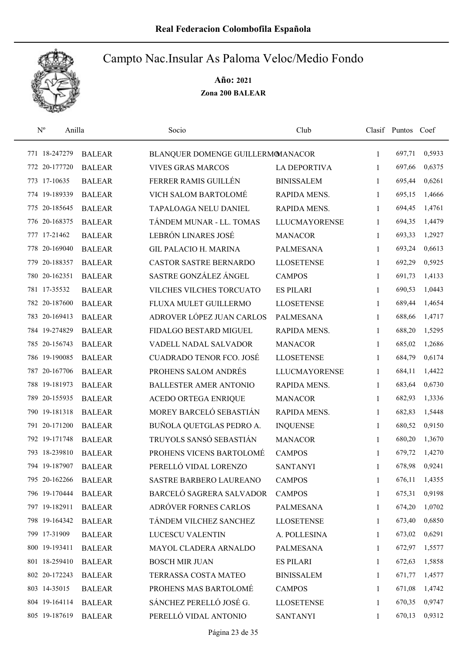

| $\mathbf{N}^{\text{o}}$ | Anilla        | Socio                             | Club                 |              | Clasif Puntos Coef |        |
|-------------------------|---------------|-----------------------------------|----------------------|--------------|--------------------|--------|
| 771 18-247279           | <b>BALEAR</b> | BLANQUER DOMENGE GUILLERMOMANACOR |                      | $\mathbf{1}$ | 697,71             | 0,5933 |
| 772 20-177720           | <b>BALEAR</b> | <b>VIVES GRAS MARCOS</b>          | <b>LA DEPORTIVA</b>  | 1            | 697,66             | 0,6375 |
| 773 17-10635            | <b>BALEAR</b> | FERRER RAMIS GUILLÉN              | <b>BINISSALEM</b>    | $\mathbf{1}$ | 695,44             | 0,6261 |
| 774 19-189339           | <b>BALEAR</b> | VICH SALOM BARTOLOMÉ              | RAPIDA MENS.         | $\mathbf{1}$ | 695,15             | 1,4666 |
| 775 20-185645           | <b>BALEAR</b> | TAPALOAGA NELU DANIEL             | RAPIDA MENS.         | 1            | 694,45             | 1,4761 |
| 776 20-168375           | <b>BALEAR</b> | TÁNDEM MUNAR - LL. TOMAS          | <b>LLUCMAYORENSE</b> | 1            | 694,35             | 1,4479 |
| 777 17-21462            | <b>BALEAR</b> | LEBRÓN LINARES JOSÉ               | <b>MANACOR</b>       | $\mathbf{1}$ | 693,33             | 1,2927 |
| 778 20-169040           | <b>BALEAR</b> | <b>GIL PALACIO H. MARINA</b>      | <b>PALMESANA</b>     | 1            | 693,24             | 0,6613 |
| 779 20-188357           | <b>BALEAR</b> | <b>CASTOR SASTRE BERNARDO</b>     | <b>LLOSETENSE</b>    | 1            | 692,29             | 0,5925 |
| 780 20-162351           | <b>BALEAR</b> | SASTRE GONZÁLEZ ÁNGEL             | <b>CAMPOS</b>        | 1            | 691,73             | 1,4133 |
| 781 17-35532            | <b>BALEAR</b> | VILCHES VILCHES TORCUATO          | <b>ES PILARI</b>     | 1            | 690,53             | 1,0443 |
| 782 20-187600           | <b>BALEAR</b> | FLUXA MULET GUILLERMO             | <b>LLOSETENSE</b>    | 1            | 689,44             | 1,4654 |
| 783 20-169413           | <b>BALEAR</b> | ADROVER LÓPEZ JUAN CARLOS         | <b>PALMESANA</b>     | 1            | 688,66             | 1,4717 |
| 784 19-274829           | <b>BALEAR</b> | FIDALGO BESTARD MIGUEL            | RAPIDA MENS.         | 1            | 688,20             | 1,5295 |
| 785 20-156743           | <b>BALEAR</b> | VADELL NADAL SALVADOR             | <b>MANACOR</b>       | 1            | 685,02             | 1,2686 |
| 786 19-190085           | <b>BALEAR</b> | <b>CUADRADO TENOR FCO. JOSÉ</b>   | <b>LLOSETENSE</b>    | 1            | 684,79             | 0,6174 |
| 787 20-167706           | <b>BALEAR</b> | PROHENS SALOM ANDRÉS              | <b>LLUCMAYORENSE</b> | 1            | 684,11             | 1,4422 |
| 788 19-181973           | <b>BALEAR</b> | <b>BALLESTER AMER ANTONIO</b>     | RAPIDA MENS.         | $\mathbf{1}$ | 683,64             | 0,6730 |
| 789 20-155935           | <b>BALEAR</b> | ACEDO ORTEGA ENRIQUE              | <b>MANACOR</b>       | $\mathbf{1}$ | 682,93             | 1,3336 |
| 790 19-181318           | <b>BALEAR</b> | MOREY BARCELÓ SEBASTIÁN           | RAPIDA MENS.         | 1            | 682,83             | 1,5448 |
| 791 20-171200           | <b>BALEAR</b> | BUÑOLA QUETGLAS PEDRO A.          | <b>INQUENSE</b>      | $\mathbf{1}$ | 680,52             | 0,9150 |
| 792 19-171748           | <b>BALEAR</b> | TRUYOLS SANSÓ SEBASTIÁN           | <b>MANACOR</b>       | 1            | 680,20             | 1,3670 |
| 793 18-239810           | <b>BALEAR</b> | PROHENS VICENS BARTOLOMÉ          | <b>CAMPOS</b>        | 1            | 679,72             | 1,4270 |
| 794 19-187907           | <b>BALEAR</b> | PERELLÓ VIDAL LORENZO             | <b>SANTANYI</b>      | 1            | 678,98             | 0,9241 |
| 795 20-162266           | <b>BALEAR</b> | SASTRE BARBERO LAUREANO           | <b>CAMPOS</b>        | 1            | 676,11             | 1,4355 |
| 796 19-170444           | <b>BALEAR</b> | BARCELÓ SAGRERA SALVADOR          | <b>CAMPOS</b>        | 1            | 675,31             | 0,9198 |
| 797 19-182911           | <b>BALEAR</b> | ADRÓVER FORNES CARLOS             | PALMESANA            | 1            | 674,20             | 1,0702 |
| 798 19-164342           | <b>BALEAR</b> | TÁNDEM VILCHEZ SANCHEZ            | <b>LLOSETENSE</b>    | 1            | 673,40             | 0,6850 |
| 799 17-31909            | <b>BALEAR</b> | LUCESCU VALENTIN                  | A. POLLESINA         | 1            | 673,02             | 0,6291 |
| 800 19-193411           | <b>BALEAR</b> | MAYOL CLADERA ARNALDO             | PALMESANA            | 1            | 672,97             | 1,5577 |
| 801 18-259410           | <b>BALEAR</b> | <b>BOSCH MIR JUAN</b>             | <b>ES PILARI</b>     | 1            | 672,63             | 1,5858 |
| 802 20-172243           | <b>BALEAR</b> | TERRASSA COSTA MATEO              | <b>BINISSALEM</b>    | 1            | 671,77             | 1,4577 |
| 803 14-35015            | <b>BALEAR</b> | PROHENS MAS BARTOLOMÉ             | <b>CAMPOS</b>        | 1            | 671,08             | 1,4742 |
| 804 19-164114           | <b>BALEAR</b> | SÁNCHEZ PERELLÓ JOSÉ G.           | <b>LLOSETENSE</b>    | 1            | 670,35             | 0,9747 |
| 805 19-187619           | <b>BALEAR</b> | PERELLÓ VIDAL ANTONIO             | <b>SANTANYI</b>      | 1            | 670,13             | 0,9312 |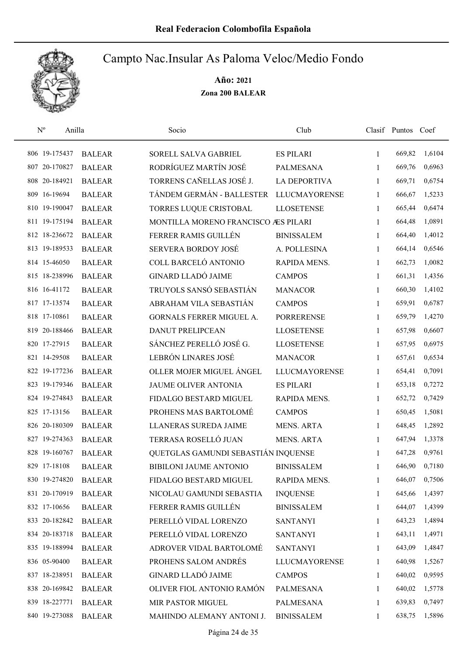

| $\mathbf{N}^{\text{o}}$ | Anilla        | Socio                                | Club                 |              | Clasif Puntos Coef |        |
|-------------------------|---------------|--------------------------------------|----------------------|--------------|--------------------|--------|
| 806 19-175437           | <b>BALEAR</b> | SORELL SALVA GABRIEL                 | <b>ES PILARI</b>     | $\mathbf{1}$ | 669,82             | 1,6104 |
| 807 20-170827           | <b>BALEAR</b> | RODRÍGUEZ MARTÍN JOSÉ                | PALMESANA            | 1            | 669,76             | 0,6963 |
| 808 20-184921           | <b>BALEAR</b> | TORRENS CAÑELLAS JOSÉ J.             | <b>LA DEPORTIVA</b>  | $\mathbf{1}$ | 669,71             | 0,6754 |
| 809 16-19694            | <b>BALEAR</b> | TÁNDEM GERMÁN - BALLESTER            | <b>LLUCMAYORENSE</b> | 1            | 666,67             | 1,5233 |
| 810 19-190047           | <b>BALEAR</b> | TORRES LUQUE CRISTOBAL               | <b>LLOSETENSE</b>    | $\mathbf{1}$ | 665,44             | 0,6474 |
| 811 19-175194           | <b>BALEAR</b> | MONTILLA MORENO FRANCISCO AES PILARI |                      | $\mathbf{1}$ | 664,48             | 1,0891 |
| 812 18-236672           | <b>BALEAR</b> | FERRER RAMIS GUILLÉN                 | <b>BINISSALEM</b>    | $\mathbf{1}$ | 664,40             | 1,4012 |
| 813 19-189533           | <b>BALEAR</b> | <b>SERVERA BORDOY JOSÉ</b>           | A. POLLESINA         | 1            | 664,14             | 0,6546 |
| 814 15-46050            | <b>BALEAR</b> | COLL BARCELÓ ANTONIO                 | RAPIDA MENS.         | $\mathbf{1}$ | 662,73             | 1,0082 |
| 815 18-238996           | <b>BALEAR</b> | <b>GINARD LLADÓ JAIME</b>            | <b>CAMPOS</b>        | 1            | 661,31             | 1,4356 |
| 816 16-41172            | <b>BALEAR</b> | TRUYOLS SANSÓ SEBASTIÁN              | <b>MANACOR</b>       | 1            | 660,30             | 1,4102 |
| 817 17-13574            | <b>BALEAR</b> | ABRAHAM VILA SEBASTIÁN               | <b>CAMPOS</b>        | 1            | 659,91             | 0,6787 |
| 818 17-10861            | <b>BALEAR</b> | <b>GORNALS FERRER MIGUEL A.</b>      | <b>PORRERENSE</b>    | 1            | 659,79             | 1,4270 |
| 819 20-188466           | <b>BALEAR</b> | <b>DANUT PRELIPCEAN</b>              | <b>LLOSETENSE</b>    | $\mathbf{1}$ | 657,98             | 0,6607 |
| 820 17-27915            | <b>BALEAR</b> | SÁNCHEZ PERELLÓ JOSÉ G.              | <b>LLOSETENSE</b>    | $\mathbf{1}$ | 657,95             | 0,6975 |
| 821 14-29508            | <b>BALEAR</b> | LEBRÓN LINARES JOSÉ                  | <b>MANACOR</b>       | 1            | 657,61             | 0,6534 |
| 822 19-177236           | <b>BALEAR</b> | OLLER MOJER MIGUEL ÁNGEL             | <b>LLUCMAYORENSE</b> | $\mathbf{1}$ | 654,41             | 0,7091 |
| 823 19-179346           | <b>BALEAR</b> | JAUME OLIVER ANTONIA                 | <b>ES PILARI</b>     | $\mathbf{1}$ | 653,18             | 0,7272 |
| 824 19-274843           | <b>BALEAR</b> | FIDALGO BESTARD MIGUEL               | RAPIDA MENS.         | 1            | 652,72             | 0,7429 |
| 825 17-13156            | <b>BALEAR</b> | PROHENS MAS BARTOLOMÉ                | <b>CAMPOS</b>        | $\mathbf{1}$ | 650,45             | 1,5081 |
| 826 20-180309           | <b>BALEAR</b> | LLANERAS SUREDA JAIME                | <b>MENS. ARTA</b>    | $\mathbf{1}$ | 648,45             | 1,2892 |
| 827 19-274363           | <b>BALEAR</b> | TERRASA ROSELLÓ JUAN                 | <b>MENS. ARTA</b>    | 1            | 647,94             | 1,3378 |
| 828 19-160767           | <b>BALEAR</b> | QUETGLAS GAMUNDI SEBASTIÁN INQUENSE  |                      | 1            | 647,28             | 0,9761 |
| 829 17-18108            | <b>BALEAR</b> | <b>BIBILONI JAUME ANTONIO</b>        | <b>BINISSALEM</b>    | 1            | 646,90             | 0,7180 |
| 830 19-274820           | <b>BALEAR</b> | FIDALGO BESTARD MIGUEL               | RAPIDA MENS.         | 1            | 646,07             | 0,7506 |
| 831 20-170919           | <b>BALEAR</b> | NICOLAU GAMUNDI SEBASTIA             | <b>INQUENSE</b>      | 1            | 645,66             | 1,4397 |
| 832 17-10656            | <b>BALEAR</b> | FERRER RAMIS GUILLÉN                 | <b>BINISSALEM</b>    | 1            | 644,07             | 1,4399 |
| 833 20-182842           | <b>BALEAR</b> | PERELLÓ VIDAL LORENZO                | <b>SANTANYI</b>      | 1            | 643,23             | 1,4894 |
| 834 20-183718           | <b>BALEAR</b> | PERELLÓ VIDAL LORENZO                | <b>SANTANYI</b>      | 1            | 643,11             | 1,4971 |
| 835 19-188994           | <b>BALEAR</b> | ADROVER VIDAL BARTOLOMÉ              | <b>SANTANYI</b>      | $\mathbf{1}$ | 643,09             | 1,4847 |
| 836 05-90400            | <b>BALEAR</b> | PROHENS SALOM ANDRÉS                 | <b>LLUCMAYORENSE</b> | 1            | 640,98             | 1,5267 |
| 837 18-238951           | <b>BALEAR</b> | <b>GINARD LLADÓ JAIME</b>            | <b>CAMPOS</b>        | 1            | 640,02             | 0,9595 |
| 838 20-169842           | <b>BALEAR</b> | OLIVER FIOL ANTONIO RAMÓN            | PALMESANA            | 1            | 640,02             | 1,5778 |
| 839 18-227771           | <b>BALEAR</b> | MIR PASTOR MIGUEL                    | PALMESANA            | 1            | 639,83             | 0,7497 |
| 840 19-273088           | <b>BALEAR</b> | MAHINDO ALEMANY ANTONI J.            | <b>BINISSALEM</b>    | 1            | 638,75             | 1,5896 |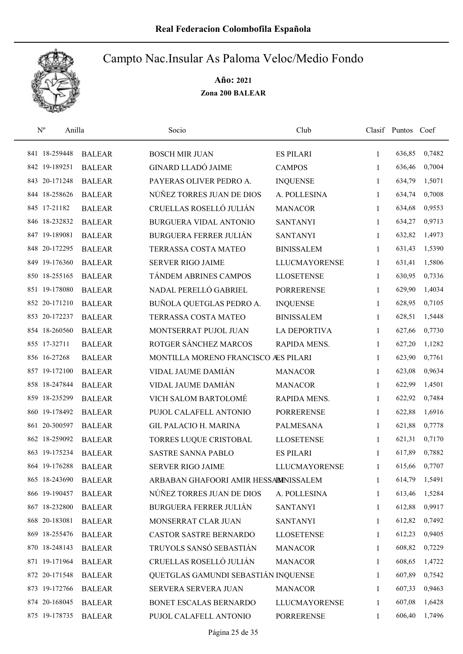

| $\mathbf{N}^{\text{o}}$ | Anilla        |               | Socio                                 | Club                 |              | Clasif Puntos | Coef   |
|-------------------------|---------------|---------------|---------------------------------------|----------------------|--------------|---------------|--------|
|                         | 841 18-259448 | <b>BALEAR</b> | <b>BOSCH MIR JUAN</b>                 | <b>ES PILARI</b>     | $\mathbf{1}$ | 636,85        | 0,7482 |
|                         | 842 19-189251 | <b>BALEAR</b> | <b>GINARD LLADÓ JAIME</b>             | <b>CAMPOS</b>        | 1            | 636,46        | 0,7004 |
|                         | 843 20-171248 | <b>BALEAR</b> | PAYERAS OLIVER PEDRO A.               | <b>INQUENSE</b>      | 1            | 634,79        | 1,5071 |
|                         | 844 18-258626 | <b>BALEAR</b> | NÚÑEZ TORRES JUAN DE DIOS             | A. POLLESINA         | 1            | 634,74        | 0,7008 |
|                         | 845 17-21182  | <b>BALEAR</b> | CRUELLAS ROSELLÓ JULIÁN               | <b>MANACOR</b>       | $\mathbf{1}$ | 634,68        | 0,9553 |
|                         | 846 18-232832 | <b>BALEAR</b> | BURGUERA VIDAL ANTONIO                | <b>SANTANYI</b>      | $\mathbf{1}$ | 634,27        | 0,9713 |
|                         | 847 19-189081 | <b>BALEAR</b> | <b>BURGUERA FERRER JULIÁN</b>         | <b>SANTANYI</b>      | $\mathbf{1}$ | 632,82        | 1,4973 |
|                         | 848 20-172295 | <b>BALEAR</b> | TERRASSA COSTA MATEO                  | <b>BINISSALEM</b>    | $\mathbf{1}$ | 631,43        | 1,5390 |
|                         | 849 19-176360 | <b>BALEAR</b> | <b>SERVER RIGO JAIME</b>              | <b>LLUCMAYORENSE</b> | 1            | 631,41        | 1,5806 |
|                         | 850 18-255165 | <b>BALEAR</b> | TÁNDEM ABRINES CAMPOS                 | <b>LLOSETENSE</b>    | 1            | 630,95        | 0,7336 |
|                         | 851 19-178080 | <b>BALEAR</b> | NADAL PERELLÓ GABRIEL                 | <b>PORRERENSE</b>    | 1            | 629,90        | 1,4034 |
|                         | 852 20-171210 | <b>BALEAR</b> | BUÑOLA QUETGLAS PEDRO A.              | <b>INQUENSE</b>      | 1            | 628,95        | 0,7105 |
|                         | 853 20-172237 | <b>BALEAR</b> | TERRASSA COSTA MATEO                  | <b>BINISSALEM</b>    | $\mathbf{1}$ | 628,51        | 1,5448 |
|                         | 854 18-260560 | <b>BALEAR</b> | MONTSERRAT PUJOL JUAN                 | <b>LA DEPORTIVA</b>  | 1            | 627,66        | 0,7730 |
| 855 17-32711            |               | <b>BALEAR</b> | ROTGER SÁNCHEZ MARCOS                 | RAPIDA MENS.         | $\mathbf{1}$ | 627,20        | 1,1282 |
|                         | 856 16-27268  | <b>BALEAR</b> | MONTILLA MORENO FRANCISCO ÆS PILARI   |                      | 1            | 623,90        | 0,7761 |
|                         | 857 19-172100 | <b>BALEAR</b> | VIDAL JAUME DAMIÁN                    | <b>MANACOR</b>       | 1            | 623,08        | 0,9634 |
|                         | 858 18-247844 | <b>BALEAR</b> | VIDAL JAUME DAMIÁN                    | <b>MANACOR</b>       | $\mathbf{1}$ | 622,99        | 1,4501 |
|                         | 859 18-235299 | <b>BALEAR</b> | VICH SALOM BARTOLOMÉ                  | RAPIDA MENS.         | $\mathbf{1}$ | 622,92        | 0,7484 |
|                         | 860 19-178492 | <b>BALEAR</b> | PUJOL CALAFELL ANTONIO                | <b>PORRERENSE</b>    | 1            | 622,88        | 1,6916 |
|                         | 861 20-300597 | <b>BALEAR</b> | <b>GIL PALACIO H. MARINA</b>          | <b>PALMESANA</b>     | $\mathbf{1}$ | 621,88        | 0,7778 |
|                         | 862 18-259092 | <b>BALEAR</b> | TORRES LUQUE CRISTOBAL                | <b>LLOSETENSE</b>    | 1            | 621,31        | 0,7170 |
|                         | 863 19-175234 | <b>BALEAR</b> | SASTRE SANNA PABLO                    | <b>ES PILARI</b>     | 1            | 617,89        | 0,7882 |
|                         | 864 19-176288 | <b>BALEAR</b> | <b>SERVER RIGO JAIME</b>              | <b>LLUCMAYORENSE</b> | 1            | 615,66        | 0,7707 |
|                         | 865 18-243690 | <b>BALEAR</b> | ARBABAN GHAFOORI AMIR HESSABINISSALEM |                      | 1            | 614,79        | 1,5491 |
|                         | 866 19-190457 | <b>BALEAR</b> | NÚÑEZ TORRES JUAN DE DIOS             | A. POLLESINA         | 1            | 613,46        | 1,5284 |
|                         | 867 18-232800 | <b>BALEAR</b> | <b>BURGUERA FERRER JULIÁN</b>         | <b>SANTANYI</b>      | 1            | 612,88        | 0,9917 |
|                         | 868 20-183081 | <b>BALEAR</b> | MONSERRAT CLAR JUAN                   | <b>SANTANYI</b>      | 1            | 612,82        | 0,7492 |
|                         | 869 18-255476 | <b>BALEAR</b> | CASTOR SASTRE BERNARDO                | <b>LLOSETENSE</b>    | 1            | 612,23        | 0,9405 |
|                         | 870 18-248143 | <b>BALEAR</b> | TRUYOLS SANSÓ SEBASTIÁN               | <b>MANACOR</b>       | 1            | 608,82        | 0,7229 |
|                         | 871 19-171964 | <b>BALEAR</b> | CRUELLAS ROSELLÓ JULIÁN               | <b>MANACOR</b>       | 1            | 608,65        | 1,4722 |
|                         | 872 20-171548 | <b>BALEAR</b> | QUETGLAS GAMUNDI SEBASTIÁN INQUENSE   |                      | 1            | 607,89        | 0,7542 |
|                         | 873 19-172766 | <b>BALEAR</b> | SERVERA SERVERA JUAN                  | <b>MANACOR</b>       | 1            | 607,33        | 0,9463 |
|                         | 874 20-168045 | <b>BALEAR</b> | BONET ESCALAS BERNARDO                | <b>LLUCMAYORENSE</b> | 1            | 607,08        | 1,6428 |
|                         | 875 19-178735 | <b>BALEAR</b> | PUJOL CALAFELL ANTONIO                | <b>PORRERENSE</b>    | 1            | 606,40        | 1,7496 |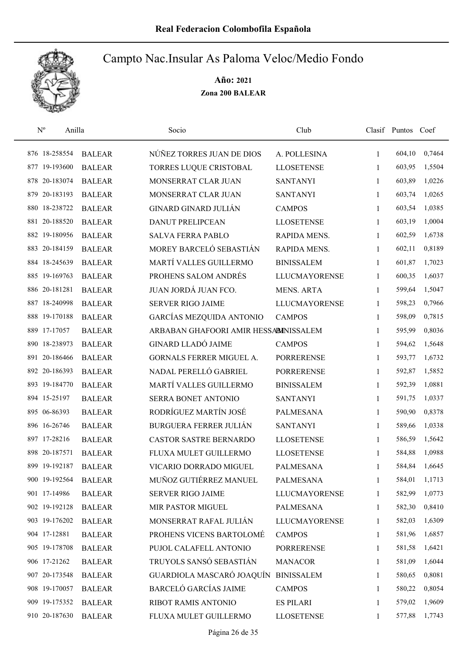

| $N^{o}$ | Anilla        |               | Socio                                 | Club                 |              | Clasif Puntos Coef |        |
|---------|---------------|---------------|---------------------------------------|----------------------|--------------|--------------------|--------|
|         | 876 18-258554 | <b>BALEAR</b> | NÚÑEZ TORRES JUAN DE DIOS             | A. POLLESINA         | $\mathbf{1}$ | 604,10             | 0,7464 |
|         | 877 19-193600 | <b>BALEAR</b> | TORRES LUQUE CRISTOBAL                | <b>LLOSETENSE</b>    | 1            | 603,95             | 1,5504 |
|         | 878 20-183074 | <b>BALEAR</b> | MONSERRAT CLAR JUAN                   | <b>SANTANYI</b>      | $\mathbf{1}$ | 603,89             | 1,0226 |
| 879     | 20-183193     | <b>BALEAR</b> | MONSERRAT CLAR JUAN                   | <b>SANTANYI</b>      | 1            | 603,74             | 1,0265 |
|         | 880 18-238722 | <b>BALEAR</b> | <b>GINARD GINARD JULIÁN</b>           | <b>CAMPOS</b>        | 1            | 603,54             | 1,0385 |
|         | 881 20-188520 | <b>BALEAR</b> | <b>DANUT PRELIPCEAN</b>               | <b>LLOSETENSE</b>    | $\mathbf{1}$ | 603,19             | 1,0004 |
|         | 882 19-180956 | <b>BALEAR</b> | <b>SALVA FERRA PABLO</b>              | RAPIDA MENS.         | $\mathbf{1}$ | 602,59             | 1,6738 |
|         | 883 20-184159 | <b>BALEAR</b> | MOREY BARCELÓ SEBASTIÁN               | RAPIDA MENS.         | 1            | 602,11             | 0,8189 |
|         | 884 18-245639 | <b>BALEAR</b> | MARTÍ VALLES GUILLERMO                | <b>BINISSALEM</b>    | 1            | 601,87             | 1,7023 |
|         | 885 19-169763 | <b>BALEAR</b> | PROHENS SALOM ANDRÉS                  | <b>LLUCMAYORENSE</b> | 1            | 600,35             | 1,6037 |
|         | 886 20-181281 | <b>BALEAR</b> | <b>JUAN JORDÁ JUAN FCO.</b>           | <b>MENS. ARTA</b>    | 1            | 599,64             | 1,5047 |
|         | 887 18-240998 | <b>BALEAR</b> | <b>SERVER RIGO JAIME</b>              | <b>LLUCMAYORENSE</b> | 1            | 598,23             | 0,7966 |
|         | 888 19-170188 | <b>BALEAR</b> | GARCÍAS MEZQUIDA ANTONIO              | <b>CAMPOS</b>        | 1            | 598,09             | 0,7815 |
|         | 889 17-17057  | <b>BALEAR</b> | ARBABAN GHAFOORI AMIR HESSABINISSALEM |                      | $\mathbf{1}$ | 595,99             | 0,8036 |
|         | 890 18-238973 | <b>BALEAR</b> | <b>GINARD LLADÓ JAIME</b>             | <b>CAMPOS</b>        | $\mathbf{1}$ | 594,62             | 1,5648 |
|         | 891 20-186466 | <b>BALEAR</b> | GORNALS FERRER MIGUEL A.              | <b>PORRERENSE</b>    | 1            | 593,77             | 1,6732 |
|         | 892 20-186393 | <b>BALEAR</b> | NADAL PERELLÓ GABRIEL                 | <b>PORRERENSE</b>    | $\mathbf{1}$ | 592,87             | 1,5852 |
|         | 893 19-184770 | <b>BALEAR</b> | MARTÍ VALLES GUILLERMO                | <b>BINISSALEM</b>    | 1            | 592,39             | 1,0881 |
|         | 894 15-25197  | <b>BALEAR</b> | SERRA BONET ANTONIO                   | <b>SANTANYI</b>      | 1            | 591,75             | 1,0337 |
|         | 895 06-86393  | <b>BALEAR</b> | RODRÍGUEZ MARTÍN JOSÉ                 | <b>PALMESANA</b>     | $\mathbf{1}$ | 590,90             | 0,8378 |
|         | 896 16-26746  | <b>BALEAR</b> | <b>BURGUERA FERRER JULIÁN</b>         | <b>SANTANYI</b>      | $\mathbf{1}$ | 589,66             | 1,0338 |
|         | 897 17-28216  | <b>BALEAR</b> | <b>CASTOR SASTRE BERNARDO</b>         | <b>LLOSETENSE</b>    | 1            | 586,59             | 1,5642 |
|         | 898 20-187571 | <b>BALEAR</b> | FLUXA MULET GUILLERMO                 | <b>LLOSETENSE</b>    | 1            | 584,88             | 1,0988 |
|         | 899 19-192187 | <b>BALEAR</b> | VICARIO DORRADO MIGUEL                | <b>PALMESANA</b>     | 1            | 584,84             | 1,6645 |
|         | 900 19-192564 | <b>BALEAR</b> | MUÑOZ GUTIÉRREZ MANUEL                | PALMESANA            | 1            | 584,01             | 1,1713 |
|         | 901 17-14986  | <b>BALEAR</b> | SERVER RIGO JAIME                     | <b>LLUCMAYORENSE</b> | 1            | 582,99             | 1,0773 |
|         | 902 19-192128 | <b>BALEAR</b> | MIR PASTOR MIGUEL                     | <b>PALMESANA</b>     | 1            | 582,30             | 0,8410 |
|         | 903 19-176202 | <b>BALEAR</b> | MONSERRAT RAFAL JULIÁN                | <b>LLUCMAYORENSE</b> | 1            | 582,03             | 1,6309 |
|         | 904 17-12881  | <b>BALEAR</b> | PROHENS VICENS BARTOLOMÉ              | <b>CAMPOS</b>        | 1            | 581,96             | 1,6857 |
|         | 905 19-178708 | <b>BALEAR</b> | PUJOL CALAFELL ANTONIO                | <b>PORRERENSE</b>    | 1            | 581,58             | 1,6421 |
|         | 906 17-21262  | <b>BALEAR</b> | TRUYOLS SANSÓ SEBASTIÁN               | <b>MANACOR</b>       | 1            | 581,09             | 1,6044 |
|         | 907 20-173548 | <b>BALEAR</b> | GUARDIOLA MASCARÓ JOAQUÍN             | <b>BINISSALEM</b>    | 1            | 580,65             | 0,8081 |
|         | 908 19-170057 | <b>BALEAR</b> | <b>BARCELÓ GARCÍAS JAIME</b>          | <b>CAMPOS</b>        | 1            | 580,22             | 0,8054 |
|         | 909 19-175352 | <b>BALEAR</b> | RIBOT RAMIS ANTONIO                   | <b>ES PILARI</b>     | 1            | 579,02             | 1,9609 |
|         | 910 20-187630 | <b>BALEAR</b> | FLUXA MULET GUILLERMO                 | <b>LLOSETENSE</b>    | 1            | 577,88             | 1,7743 |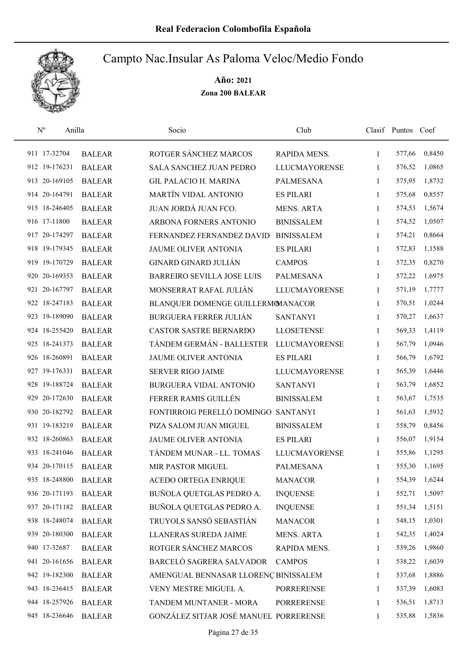

| $\mathrm{N}^{\rm o}$ | Anilla |               | Socio                                  | Club                 |              | Clasif Puntos Coef |        |
|----------------------|--------|---------------|----------------------------------------|----------------------|--------------|--------------------|--------|
| 911 17-32704         |        | <b>BALEAR</b> | ROTGER SÁNCHEZ MARCOS                  | RAPIDA MENS.         | 1            | 577,66             | 0,8450 |
| 912 19-176231        |        | <b>BALEAR</b> | SALA SANCHEZ JUAN PEDRO                | <b>LLUCMAYORENSE</b> | 1            | 576,52             | 1,0865 |
| 913 20-169105        |        | <b>BALEAR</b> | <b>GIL PALACIO H. MARINA</b>           | PALMESANA            | 1            | 575,95             | 1,8732 |
| 914 20-164791        |        | <b>BALEAR</b> | MARTÍN VIDAL ANTONIO                   | <b>ES PILARI</b>     | 1            | 575,68             | 0,8557 |
| 915 18-246405        |        | <b>BALEAR</b> | JUAN JORDÁ JUAN FCO.                   | <b>MENS. ARTA</b>    | 1            | 574,53             | 1,5674 |
| 916 17-11800         |        | <b>BALEAR</b> | ARBONA FORNERS ANTONIO                 | <b>BINISSALEM</b>    | $\mathbf{1}$ | 574,52             | 1,0507 |
| 917 20-174297        |        | <b>BALEAR</b> | FERNANDEZ FERNANDEZ DAVID              | <b>BINISSALEM</b>    | $\mathbf{1}$ | 574,21             | 0,8664 |
| 918 19-179345        |        | <b>BALEAR</b> | JAUME OLIVER ANTONIA                   | <b>ES PILARI</b>     | 1            | 572,83             | 1,1588 |
| 919 19-170729        |        | <b>BALEAR</b> | <b>GINARD GINARD JULIÁN</b>            | <b>CAMPOS</b>        | 1            | 572,35             | 0,8270 |
| 920 20-169353        |        | <b>BALEAR</b> | <b>BARREIRO SEVILLA JOSE LUIS</b>      | <b>PALMESANA</b>     | $\mathbf{1}$ | 572,22             | 1,6975 |
| 921 20-167797        |        | <b>BALEAR</b> | MONSERRAT RAFAL JULIÁN                 | <b>LLUCMAYORENSE</b> | 1            | 571,19             | 1,7777 |
| 922 18-247183        |        | <b>BALEAR</b> | BLANQUER DOMENGE GUILLERMOMANACOR      |                      | 1            | 570,51             | 1,0244 |
| 923 19-189090        |        | <b>BALEAR</b> | <b>BURGUERA FERRER JULIÁN</b>          | <b>SANTANYI</b>      | 1            | 570,27             | 1,6637 |
| 924 18-255420        |        | <b>BALEAR</b> | CASTOR SASTRE BERNARDO                 | <b>LLOSETENSE</b>    | 1            | 569,33             | 1,4119 |
| 925 18-241373        |        | <b>BALEAR</b> | TÁNDEM GERMÁN - BALLESTER              | <b>LLUCMAYORENSE</b> | 1            | 567,79             | 1,0946 |
| 926 18-260891        |        | <b>BALEAR</b> | JAUME OLIVER ANTONIA                   | <b>ES PILARI</b>     | 1            | 566,79             | 1,6792 |
| 927 19-176331        |        | <b>BALEAR</b> | <b>SERVER RIGO JAIME</b>               | <b>LLUCMAYORENSE</b> | $\mathbf{1}$ | 565,39             | 1,6446 |
| 928 19-188724        |        | <b>BALEAR</b> | BURGUERA VIDAL ANTONIO                 | <b>SANTANYI</b>      | 1            | 563,79             | 1,6852 |
| 929 20-172630        |        | <b>BALEAR</b> | FERRER RAMIS GUILLÉN                   | <b>BINISSALEM</b>    | 1            | 563,67             | 1,7535 |
| 930 20-182792        |        | <b>BALEAR</b> | FONTIRROIG PERELLÓ DOMINGO             | <b>SANTANYI</b>      | $\mathbf{1}$ | 561,63             | 1,5932 |
| 931 19-183219        |        | <b>BALEAR</b> | PIZA SALOM JUAN MIGUEL                 | <b>BINISSALEM</b>    | 1            | 558,79             | 0,8456 |
| 932 18-260863        |        | <b>BALEAR</b> | JAUME OLIVER ANTONIA                   | <b>ES PILARI</b>     | 1            | 556,07             | 1,9154 |
| 933 18-241046        |        | <b>BALEAR</b> | TÁNDEM MUNAR - LL. TOMAS               | <b>LLUCMAYORENSE</b> | 1            | 555,86             | 1,1295 |
| 934 20-170115        |        | <b>BALEAR</b> | MIR PASTOR MIGUEL                      | <b>PALMESANA</b>     | 1            | 555,30             | 1,1695 |
| 935 18-248800        |        | <b>BALEAR</b> | ACEDO ORTEGA ENRIQUE                   | <b>MANACOR</b>       | 1            | 554,39             | 1,6244 |
| 936 20-171193        |        | <b>BALEAR</b> | BUÑOLA QUETGLAS PEDRO A.               | <b>INQUENSE</b>      | 1            | 552,71             | 1,5097 |
| 937 20-171182        |        | <b>BALEAR</b> | BUÑOLA QUETGLAS PEDRO A.               | <b>INQUENSE</b>      | 1            | 551,34             | 1,5151 |
| 938 18-248074        |        | <b>BALEAR</b> | TRUYOLS SANSÓ SEBASTIÁN                | <b>MANACOR</b>       | 1            | 548,15             | 1,0301 |
| 939 20-180300        |        | <b>BALEAR</b> | LLANERAS SUREDA JAIME                  | <b>MENS. ARTA</b>    | 1            | 542,35             | 1,4024 |
| 940 17-32687         |        | <b>BALEAR</b> | ROTGER SÁNCHEZ MARCOS                  | RAPIDA MENS.         | 1            | 539,26             | 1,9860 |
| 941 20-161656        |        | <b>BALEAR</b> | BARCELÓ SAGRERA SALVADOR               | <b>CAMPOS</b>        | $\mathbf{1}$ | 538,22             | 1,6039 |
| 942 19-182300        |        | <b>BALEAR</b> | AMENGUAL BENNASAR LLORENÇ BINISSALEM   |                      | 1            | 537,68             | 1,8886 |
| 943 18-236415        |        | <b>BALEAR</b> | VENY MESTRE MIGUEL A.                  | <b>PORRERENSE</b>    | 1            | 537,39             | 1,6083 |
| 944 18-257926        |        | <b>BALEAR</b> | TANDEM MUNTANER - MORA                 | <b>PORRERENSE</b>    | 1            | 536,51             | 1,8713 |
| 945 18-236646        |        | <b>BALEAR</b> | GONZÁLEZ SITJAR JOSÉ MANUEL PORRERENSE |                      | 1            | 535,88             | 1,5836 |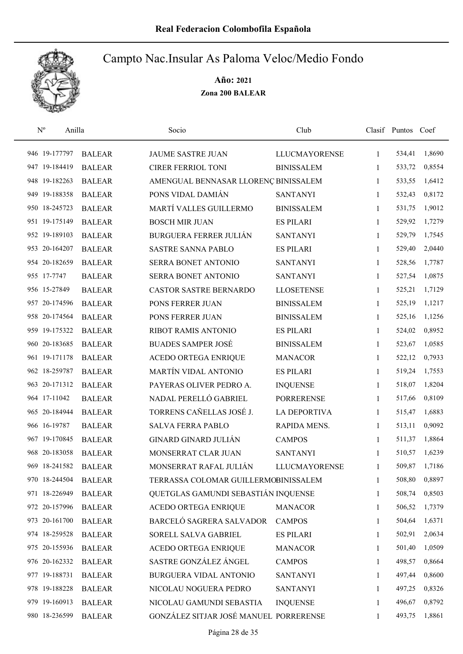

| $N^{\rm o}$   | Anilla        | Socio                                  | Club                 |              | Clasif Puntos Coef |        |
|---------------|---------------|----------------------------------------|----------------------|--------------|--------------------|--------|
| 946 19-177797 | <b>BALEAR</b> | <b>JAUME SASTRE JUAN</b>               | <b>LLUCMAYORENSE</b> | 1            | 534,41             | 1,8690 |
| 947 19-184419 | <b>BALEAR</b> | <b>CIRER FERRIOL TONI</b>              | <b>BINISSALEM</b>    | 1            | 533,72             | 0,8554 |
| 948 19-182263 | <b>BALEAR</b> | AMENGUAL BENNASAR LLORENÇ BINISSALEM   |                      | 1            | 533,55             | 1,6412 |
| 949 19-188358 | <b>BALEAR</b> | PONS VIDAL DAMIÁN                      | <b>SANTANYI</b>      | 1            | 532,43             | 0,8172 |
| 950 18-245723 | <b>BALEAR</b> | MARTÍ VALLES GUILLERMO                 | <b>BINISSALEM</b>    | 1            | 531,75             | 1,9012 |
| 951 19-175149 | <b>BALEAR</b> | <b>BOSCH MIR JUAN</b>                  | <b>ES PILARI</b>     | $\mathbf{1}$ | 529,92             | 1,7279 |
| 952 19-189103 | <b>BALEAR</b> | <b>BURGUERA FERRER JULIÁN</b>          | <b>SANTANYI</b>      | $\mathbf{1}$ | 529,79             | 1,7545 |
| 953 20-164207 | <b>BALEAR</b> | <b>SASTRE SANNA PABLO</b>              | <b>ES PILARI</b>     | $\mathbf{1}$ | 529,40             | 2,0440 |
| 954 20-182659 | <b>BALEAR</b> | SERRA BONET ANTONIO                    | <b>SANTANYI</b>      | 1            | 528,56             | 1,7787 |
| 955 17-7747   | <b>BALEAR</b> | SERRA BONET ANTONIO                    | <b>SANTANYI</b>      | 1            | 527,54             | 1,0875 |
| 956 15-27849  | <b>BALEAR</b> | CASTOR SASTRE BERNARDO                 | <b>LLOSETENSE</b>    | 1            | 525,21             | 1,7129 |
| 957 20-174596 | <b>BALEAR</b> | PONS FERRER JUAN                       | <b>BINISSALEM</b>    | 1            | 525,19             | 1,1217 |
| 958 20-174564 | <b>BALEAR</b> | PONS FERRER JUAN                       | <b>BINISSALEM</b>    | 1            | 525,16             | 1,1256 |
| 959 19-175322 | <b>BALEAR</b> | <b>RIBOT RAMIS ANTONIO</b>             | <b>ES PILARI</b>     | 1            | 524,02             | 0,8952 |
| 960 20-183685 | <b>BALEAR</b> | <b>BUADES SAMPER JOSÉ</b>              | <b>BINISSALEM</b>    | 1            | 523,67             | 1,0585 |
| 961 19-171178 | <b>BALEAR</b> | ACEDO ORTEGA ENRIQUE                   | <b>MANACOR</b>       | 1            | 522,12             | 0,7933 |
| 962 18-259787 | <b>BALEAR</b> | <b>MARTÍN VIDAL ANTONIO</b>            | <b>ES PILARI</b>     | $\mathbf{1}$ | 519,24             | 1,7553 |
| 963 20-171312 | <b>BALEAR</b> | PAYERAS OLIVER PEDRO A.                | <b>INQUENSE</b>      | $\mathbf{1}$ | 518,07             | 1,8204 |
| 964 17-11042  | <b>BALEAR</b> | NADAL PERELLÓ GABRIEL                  | <b>PORRERENSE</b>    | 1            | 517,66             | 0,8109 |
| 965 20-184944 | <b>BALEAR</b> | TORRENS CAÑELLAS JOSÉ J.               | <b>LA DEPORTIVA</b>  | 1            | 515,47             | 1,6883 |
| 966 16-19787  | <b>BALEAR</b> | <b>SALVA FERRA PABLO</b>               | RAPIDA MENS.         | $\mathbf{1}$ | 513,11             | 0,9092 |
| 967 19-170845 | <b>BALEAR</b> | <b>GINARD GINARD JULIÁN</b>            | <b>CAMPOS</b>        | 1            | 511,37             | 1,8864 |
| 968 20-183058 | <b>BALEAR</b> | MONSERRAT CLAR JUAN                    | <b>SANTANYI</b>      | 1            | 510,57             | 1,6239 |
| 969 18-241582 | <b>BALEAR</b> | MONSERRAT RAFAL JULIÁN                 | <b>LLUCMAYORENSE</b> | 1            | 509,87             | 1,7186 |
| 970 18-244504 | <b>BALEAR</b> | TERRASSA COLOMAR GUILLERMOBINISSALEM   |                      | 1            | 508,80             | 0,8897 |
| 971 18-226949 | <b>BALEAR</b> | QUETGLAS GAMUNDI SEBASTIÁN INQUENSE    |                      | 1            | 508,74             | 0,8503 |
| 972 20-157996 | <b>BALEAR</b> | ACEDO ORTEGA ENRIQUE                   | <b>MANACOR</b>       | 1            | 506,52             | 1,7379 |
| 973 20-161700 | <b>BALEAR</b> | BARCELÓ SAGRERA SALVADOR               | <b>CAMPOS</b>        | 1            | 504,64             | 1,6371 |
| 974 18-259528 | <b>BALEAR</b> | SORELL SALVA GABRIEL                   | <b>ES PILARI</b>     | 1            | 502,91             | 2,0634 |
| 975 20-155936 | <b>BALEAR</b> | <b>ACEDO ORTEGA ENRIQUE</b>            | <b>MANACOR</b>       | 1            | 501,40             | 1,0509 |
| 976 20-162332 | <b>BALEAR</b> | SASTRE GONZÁLEZ ÁNGEL                  | <b>CAMPOS</b>        | 1            | 498,57             | 0,8664 |
| 977 19-188731 | <b>BALEAR</b> | BURGUERA VIDAL ANTONIO                 | <b>SANTANYI</b>      | 1            | 497,44             | 0,8600 |
| 978 19-188228 | <b>BALEAR</b> | NICOLAU NOGUERA PEDRO                  | <b>SANTANYI</b>      | 1            | 497,25             | 0,8326 |
| 979 19-160913 | <b>BALEAR</b> | NICOLAU GAMUNDI SEBASTIA               | <b>INQUENSE</b>      | 1            | 496,67             | 0,8792 |
| 980 18-236599 | <b>BALEAR</b> | GONZÁLEZ SITJAR JOSÉ MANUEL PORRERENSE |                      | 1            | 493,75             | 1,8861 |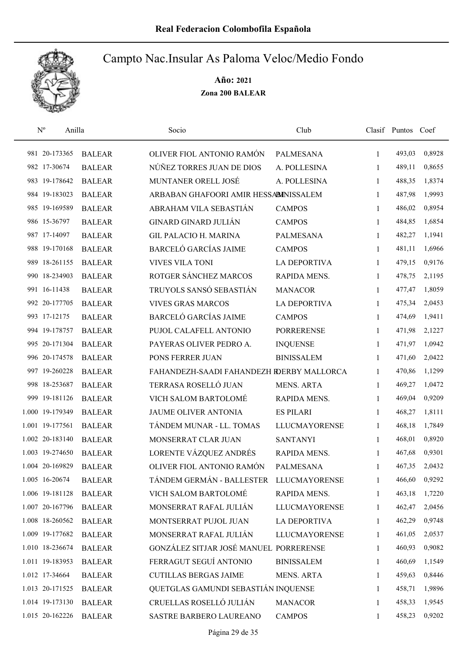

| $\mathbf{N}^{\text{o}}$<br>Anilla |               | Socio                                     | Club                 |              | Clasif Puntos Coef |        |
|-----------------------------------|---------------|-------------------------------------------|----------------------|--------------|--------------------|--------|
| 981 20-173365                     | <b>BALEAR</b> | OLIVER FIOL ANTONIO RAMÓN                 | <b>PALMESANA</b>     | $\mathbf{1}$ | 493,03             | 0,8928 |
| 982 17-30674                      | <b>BALEAR</b> | NÚÑEZ TORRES JUAN DE DIOS                 | A. POLLESINA         | 1            | 489,11             | 0,8655 |
| 983 19-178642                     | <b>BALEAR</b> | MUNTANER ORELL JOSÉ                       | A. POLLESINA         | $\mathbf{1}$ | 488,35             | 1,8374 |
| 984 19-183023                     | <b>BALEAR</b> | ARBABAN GHAFOORI AMIR HESSABINISSALEM     |                      | 1            | 487,98             | 1,9993 |
| 985 19-169589                     | <b>BALEAR</b> | ABRAHAM VILA SEBASTIÁN                    | <b>CAMPOS</b>        | $\mathbf{1}$ | 486,02             | 0,8954 |
| 986 15-36797                      | <b>BALEAR</b> | <b>GINARD GINARD JULIÁN</b>               | <b>CAMPOS</b>        | $\mathbf{1}$ | 484,85             | 1,6854 |
| 987 17-14097                      | <b>BALEAR</b> | <b>GIL PALACIO H. MARINA</b>              | <b>PALMESANA</b>     | $\mathbf{1}$ | 482,27             | 1,1941 |
| 988 19-170168                     | <b>BALEAR</b> | <b>BARCELÓ GARCÍAS JAIME</b>              | <b>CAMPOS</b>        | $\mathbf{1}$ | 481,11             | 1,6966 |
| 989 18-261155                     | <b>BALEAR</b> | <b>VIVES VILA TONI</b>                    | <b>LA DEPORTIVA</b>  | $\mathbf{1}$ | 479,15             | 0,9176 |
| 990 18-234903                     | <b>BALEAR</b> | ROTGER SÁNCHEZ MARCOS                     | RAPIDA MENS.         | 1            | 478,75             | 2,1195 |
| 991 16-11438                      | <b>BALEAR</b> | TRUYOLS SANSÓ SEBASTIÁN                   | <b>MANACOR</b>       | 1            | 477,47             | 1,8059 |
| 992 20-177705                     | <b>BALEAR</b> | <b>VIVES GRAS MARCOS</b>                  | <b>LA DEPORTIVA</b>  | 1            | 475,34             | 2,0453 |
| 993 17-12175                      | <b>BALEAR</b> | <b>BARCELÓ GARCÍAS JAIME</b>              | <b>CAMPOS</b>        | 1            | 474,69             | 1,9411 |
| 994 19-178757                     | <b>BALEAR</b> | PUJOL CALAFELL ANTONIO                    | <b>PORRERENSE</b>    | $\mathbf{1}$ | 471,98             | 2,1227 |
| 995 20-171304                     | <b>BALEAR</b> | PAYERAS OLIVER PEDRO A.                   | <b>INQUENSE</b>      | 1            | 471,97             | 1,0942 |
| 996 20-174578                     | <b>BALEAR</b> | PONS FERRER JUAN                          | <b>BINISSALEM</b>    | 1            | 471,60             | 2,0422 |
| 997 19-260228                     | <b>BALEAR</b> | FAHANDEZH-SAADI FAHANDEZH RDERBY MALLORCA |                      | $\mathbf{1}$ | 470,86             | 1,1299 |
| 998 18-253687                     | <b>BALEAR</b> | TERRASA ROSELLÓ JUAN                      | <b>MENS. ARTA</b>    | $\mathbf{1}$ | 469,27             | 1,0472 |
| 999 19-181126                     | <b>BALEAR</b> | VICH SALOM BARTOLOMÉ                      | RAPIDA MENS.         | 1            | 469,04             | 0,9209 |
| 1.000 19-179349                   | <b>BALEAR</b> | JAUME OLIVER ANTONIA                      | <b>ES PILARI</b>     | $\mathbf{1}$ | 468,27             | 1,8111 |
| 1.001 19-177561                   | <b>BALEAR</b> | TÁNDEM MUNAR - LL. TOMAS                  | <b>LLUCMAYORENSE</b> | 1            | 468,18             | 1,7849 |
| 1.002 20-183140                   | <b>BALEAR</b> | MONSERRAT CLAR JUAN                       | <b>SANTANYI</b>      | 1            | 468,01             | 0,8920 |
| 1.003 19-274650                   | <b>BALEAR</b> | LORENTE VÁZQUEZ ANDRÉS                    | RAPIDA MENS.         | 1            | 467,68             | 0,9301 |
| 1.004 20-169829                   | <b>BALEAR</b> | OLIVER FIOL ANTONIO RAMÓN                 | <b>PALMESANA</b>     | 1            | 467,35             | 2,0432 |
| 1.005 16-20674                    | <b>BALEAR</b> | TÁNDEM GERMÁN - BALLESTER LLUCMAYORENSE   |                      | 1            | 466,60             | 0,9292 |
| 1.006 19-181128                   | <b>BALEAR</b> | VICH SALOM BARTOLOMÉ                      | RAPIDA MENS.         | 1            | 463,18             | 1,7220 |
| 1.007 20-167796                   | <b>BALEAR</b> | MONSERRAT RAFAL JULIÁN                    | <b>LLUCMAYORENSE</b> | 1            | 462,47             | 2,0456 |
| 1.008 18-260562                   | <b>BALEAR</b> | MONTSERRAT PUJOL JUAN                     | LA DEPORTIVA         | 1            | 462,29             | 0,9748 |
| 1.009 19-177682                   | <b>BALEAR</b> | MONSERRAT RAFAL JULIÁN                    | <b>LLUCMAYORENSE</b> | 1            | 461,05             | 2,0537 |
| 1.010 18-236674                   | <b>BALEAR</b> | GONZÁLEZ SITJAR JOSÉ MANUEL PORRERENSE    |                      | 1            | 460,93             | 0,9082 |
| 1.011 19-183953                   | <b>BALEAR</b> | FERRAGUT SEGUÍ ANTONIO                    | <b>BINISSALEM</b>    | 1            | 460,69             | 1,1549 |
| 1.012 17-34664                    | <b>BALEAR</b> | <b>CUTILLAS BERGAS JAIME</b>              | <b>MENS. ARTA</b>    | 1            | 459,63             | 0,8446 |
| 1.013 20-171525                   | <b>BALEAR</b> | QUETGLAS GAMUNDI SEBASTIÁN INQUENSE       |                      | 1            | 458,71             | 1,9896 |
| 1.014 19-173130                   | <b>BALEAR</b> | CRUELLAS ROSELLÓ JULIÁN                   | <b>MANACOR</b>       | 1            | 458,33             | 1,9545 |
| 1.015 20-162226                   | <b>BALEAR</b> | SASTRE BARBERO LAUREANO                   | <b>CAMPOS</b>        | 1            | 458,23             | 0,9202 |
|                                   |               |                                           |                      |              |                    |        |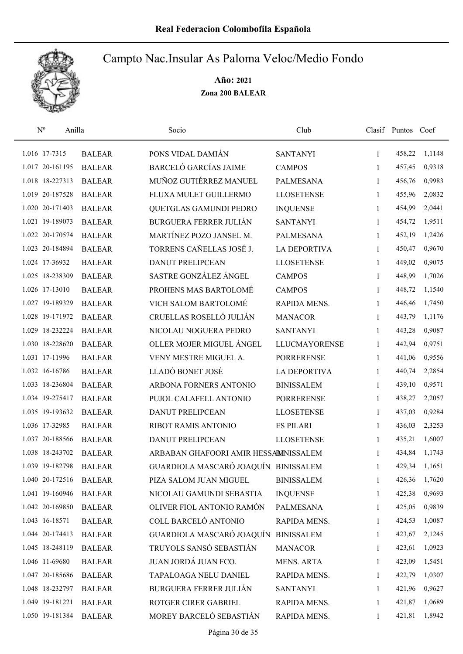

| $\mathbf{N}^{\text{o}}$ | Anilla        | Socio                                 | Club                 |              | Clasif Puntos Coef |        |
|-------------------------|---------------|---------------------------------------|----------------------|--------------|--------------------|--------|
| 1.016 17-7315           | <b>BALEAR</b> | PONS VIDAL DAMIÁN                     | <b>SANTANYI</b>      | 1            | 458,22             | 1,1148 |
| 1.017 20-161195         | <b>BALEAR</b> | <b>BARCELÓ GARCÍAS JAIME</b>          | <b>CAMPOS</b>        | 1            | 457,45             | 0,9318 |
| 1.018 18-227313         | <b>BALEAR</b> | MUÑOZ GUTIÉRREZ MANUEL                | <b>PALMESANA</b>     | $\mathbf{1}$ | 456,76             | 0,9983 |
| 1.019 20-187528         | <b>BALEAR</b> | FLUXA MULET GUILLERMO                 | <b>LLOSETENSE</b>    | 1            | 455,96             | 2,0832 |
| 1.020 20-171403         | <b>BALEAR</b> | QUETGLAS GAMUNDI PEDRO                | <b>INQUENSE</b>      | 1            | 454,99             | 2,0441 |
| 1.021 19-189073         | <b>BALEAR</b> | <b>BURGUERA FERRER JULIÁN</b>         | <b>SANTANYI</b>      | 1            | 454,72             | 1,9511 |
| 1.022 20-170574         | <b>BALEAR</b> | MARTÍNEZ POZO JANSEL M.               | <b>PALMESANA</b>     | $\mathbf{1}$ | 452,19             | 1,2426 |
| 1.023 20-184894         | <b>BALEAR</b> | TORRENS CAÑELLAS JOSÉ J.              | <b>LA DEPORTIVA</b>  | 1            | 450,47             | 0,9670 |
| 1.024 17-36932          | <b>BALEAR</b> | <b>DANUT PRELIPCEAN</b>               | <b>LLOSETENSE</b>    | 1            | 449,02             | 0,9075 |
| 1.025 18-238309         | <b>BALEAR</b> | SASTRE GONZÁLEZ ÁNGEL                 | <b>CAMPOS</b>        | 1            | 448,99             | 1,7026 |
| 1.026 17-13010          | <b>BALEAR</b> | PROHENS MAS BARTOLOMÉ                 | <b>CAMPOS</b>        | 1            | 448,72             | 1,1540 |
| 1.027 19-189329         | <b>BALEAR</b> | VICH SALOM BARTOLOMÉ                  | RAPIDA MENS.         | 1            | 446,46             | 1,7450 |
| 1.028 19-171972         | <b>BALEAR</b> | CRUELLAS ROSELLÓ JULIÁN               | <b>MANACOR</b>       | 1            | 443,79             | 1,1176 |
| 1.029 18-232224         | <b>BALEAR</b> | NICOLAU NOGUERA PEDRO                 | <b>SANTANYI</b>      | 1            | 443,28             | 0,9087 |
| 1.030 18-228620         | <b>BALEAR</b> | OLLER MOJER MIGUEL ÁNGEL              | <b>LLUCMAYORENSE</b> | 1            | 442,94             | 0,9751 |
| 1.031 17-11996          | <b>BALEAR</b> | VENY MESTRE MIGUEL A.                 | <b>PORRERENSE</b>    | 1            | 441,06             | 0,9556 |
| 1.032 16-16786          | <b>BALEAR</b> | LLADÓ BONET JOSÉ                      | <b>LA DEPORTIVA</b>  | 1            | 440,74             | 2,2854 |
| 1.033 18-236804         | <b>BALEAR</b> | ARBONA FORNERS ANTONIO                | <b>BINISSALEM</b>    | 1            | 439,10             | 0,9571 |
| 1.034 19-275417         | <b>BALEAR</b> | PUJOL CALAFELL ANTONIO                | <b>PORRERENSE</b>    | 1            | 438,27             | 2,2057 |
| 1.035 19-193632         | <b>BALEAR</b> | <b>DANUT PRELIPCEAN</b>               | <b>LLOSETENSE</b>    | 1            | 437,03             | 0,9284 |
| 1.036 17-32985          | <b>BALEAR</b> | RIBOT RAMIS ANTONIO                   | <b>ES PILARI</b>     | 1            | 436,03             | 2,3253 |
| 1.037 20-188566         | <b>BALEAR</b> | <b>DANUT PRELIPCEAN</b>               | <b>LLOSETENSE</b>    | 1            | 435,21             | 1,6007 |
| 1.038 18-243702         | <b>BALEAR</b> | ARBABAN GHAFOORI AMIR HESSABINISSALEM |                      | 1            | 434,84             | 1,1743 |
| 1.039 19-182798         | <b>BALEAR</b> | GUARDIOLA MASCARÓ JOAQUÍN BINISSALEM  |                      | 1            | 429,34             | 1,1651 |
| 1.040 20-172516         | <b>BALEAR</b> | PIZA SALOM JUAN MIGUEL                | <b>BINISSALEM</b>    | 1            | 426,36             | 1,7620 |
| 1.041 19-160946         | <b>BALEAR</b> | NICOLAU GAMUNDI SEBASTIA              | <b>INQUENSE</b>      | 1            | 425,38             | 0,9693 |
| 1.042 20-169850         | <b>BALEAR</b> | OLIVER FIOL ANTONIO RAMÓN             | <b>PALMESANA</b>     | 1            | 425,05             | 0,9839 |
| 1.043 16-18571          | <b>BALEAR</b> | COLL BARCELÓ ANTONIO                  | RAPIDA MENS.         | 1            | 424,53             | 1,0087 |
| 1.044 20-174413         | <b>BALEAR</b> | GUARDIOLA MASCARÓ JOAQUÍN             | <b>BINISSALEM</b>    | 1            | 423,67             | 2,1245 |
| 1.045 18-248119         | <b>BALEAR</b> | TRUYOLS SANSÓ SEBASTIÁN               | <b>MANACOR</b>       | 1            | 423,61             | 1,0923 |
| 1.046 11-69680          | <b>BALEAR</b> | JUAN JORDÁ JUAN FCO.                  | MENS. ARTA           | 1            | 423,09             | 1,5451 |
| 1.047 20-185686         | <b>BALEAR</b> | TAPALOAGA NELU DANIEL                 | RAPIDA MENS.         | $\mathbf{1}$ | 422,79             | 1,0307 |
| 1.048 18-232797         | <b>BALEAR</b> | <b>BURGUERA FERRER JULIÁN</b>         | <b>SANTANYI</b>      | 1            | 421,96             | 0,9627 |
| 1.049 19-181221         | <b>BALEAR</b> | ROTGER CIRER GABRIEL                  | RAPIDA MENS.         | 1            | 421,87             | 1,0689 |
| 1.050 19-181384         | <b>BALEAR</b> | MOREY BARCELÓ SEBASTIÁN               | RAPIDA MENS.         | 1            | 421,81             | 1,8942 |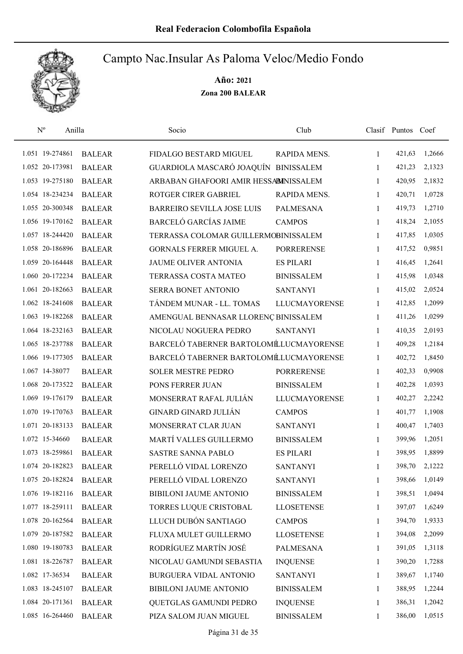

| $N^{o}$<br>Anilla |               | Socio                                  | Club                 |              | Clasif Puntos Coef |        |
|-------------------|---------------|----------------------------------------|----------------------|--------------|--------------------|--------|
| 1.051 19-274861   | <b>BALEAR</b> | FIDALGO BESTARD MIGUEL                 | RAPIDA MENS.         | 1            | 421,63             | 1,2666 |
| 1.052 20-173981   | <b>BALEAR</b> | GUARDIOLA MASCARÓ JOAQUÍN BINISSALEM   |                      | 1            | 421,23             | 2,1323 |
| 1.053 19-275180   | <b>BALEAR</b> | ARBABAN GHAFOORI AMIR HESSABINISSALEM  |                      | 1            | 420,95             | 2,1832 |
| 1.054 18-234234   | <b>BALEAR</b> | ROTGER CIRER GABRIEL                   | RAPIDA MENS.         | 1            | 420,71             | 1,0728 |
| 1.055 20-300348   | <b>BALEAR</b> | <b>BARREIRO SEVILLA JOSE LUIS</b>      | PALMESANA            | 1            | 419,73             | 1,2710 |
| 1.056 19-170162   | <b>BALEAR</b> | <b>BARCELÓ GARCÍAS JAIME</b>           | <b>CAMPOS</b>        | $\mathbf{1}$ | 418,24             | 2,1055 |
| 1.057 18-244420   | <b>BALEAR</b> | TERRASSA COLOMAR GUILLERMOBINISSALEM   |                      | $\mathbf{1}$ | 417,85             | 1,0305 |
| 1.058 20-186896   | <b>BALEAR</b> | GORNALS FERRER MIGUEL A.               | <b>PORRERENSE</b>    | $\mathbf{1}$ | 417,52             | 0,9851 |
| 1.059 20-164448   | <b>BALEAR</b> | <b>JAUME OLIVER ANTONIA</b>            | <b>ES PILARI</b>     | 1            | 416,45             | 1,2641 |
| 1.060 20-172234   | <b>BALEAR</b> | TERRASSA COSTA MATEO                   | <b>BINISSALEM</b>    | 1            | 415,98             | 1,0348 |
| 1.061 20-182663   | <b>BALEAR</b> | <b>SERRA BONET ANTONIO</b>             | <b>SANTANYI</b>      | 1            | 415,02             | 2,0524 |
| 1.062 18-241608   | <b>BALEAR</b> | TÁNDEM MUNAR - LL. TOMAS               | <b>LLUCMAYORENSE</b> | $\mathbf{1}$ | 412,85             | 1,2099 |
| 1.063 19-182268   | <b>BALEAR</b> | AMENGUAL BENNASAR LLORENÇ BINISSALEM   |                      | 1            | 411,26             | 1,0299 |
| 1.064 18-232163   | <b>BALEAR</b> | NICOLAU NOGUERA PEDRO                  | <b>SANTANYI</b>      | $\mathbf{1}$ | 410,35             | 2,0193 |
| 1.065 18-237788   | <b>BALEAR</b> | BARCELÓ TABERNER BARTOLOMÉLUCMAYORENSE |                      | 1            | 409,28             | 1,2184 |
| 1.066 19-177305   | <b>BALEAR</b> | BARCELÓ TABERNER BARTOLOMÉLUCMAYORENSE |                      | 1            | 402,72             | 1,8450 |
| 1.067 14-38077    | <b>BALEAR</b> | <b>SOLER MESTRE PEDRO</b>              | <b>PORRERENSE</b>    | 1            | 402,33             | 0,9908 |
| 1.068 20-173522   | <b>BALEAR</b> | PONS FERRER JUAN                       | <b>BINISSALEM</b>    | 1            | 402,28             | 1,0393 |
| 1.069 19-176179   | <b>BALEAR</b> | MONSERRAT RAFAL JULIÁN                 | <b>LLUCMAYORENSE</b> | 1            | 402,27             | 2,2242 |
| 1.070 19-170763   | <b>BALEAR</b> | <b>GINARD GINARD JULIÁN</b>            | <b>CAMPOS</b>        | $\mathbf{1}$ | 401,77             | 1,1908 |
| 1.071 20-183133   | <b>BALEAR</b> | MONSERRAT CLAR JUAN                    | <b>SANTANYI</b>      | $\mathbf{1}$ | 400,47             | 1,7403 |
| 1.072 15-34660    | <b>BALEAR</b> | MARTÍ VALLES GUILLERMO                 | <b>BINISSALEM</b>    | 1            | 399,96             | 1,2051 |
| 1.073 18-259861   | <b>BALEAR</b> | <b>SASTRE SANNA PABLO</b>              | <b>ES PILARI</b>     | 1            | 398,95             | 1,8899 |
| 1.074 20-182823   | <b>BALEAR</b> | PERELLÓ VIDAL LORENZO                  | <b>SANTANYI</b>      | 1            | 398,70             | 2,1222 |
| 1.075 20-182824   | <b>BALEAR</b> | PERELLÓ VIDAL LORENZO                  | <b>SANTANYI</b>      | 1            | 398,66             | 1,0149 |
| 1.076 19-182116   | <b>BALEAR</b> | BIBILONI JAUME ANTONIO                 | <b>BINISSALEM</b>    | 1            | 398,51             | 1,0494 |
| 1.077 18-259111   | <b>BALEAR</b> | TORRES LUQUE CRISTOBAL                 | <b>LLOSETENSE</b>    | 1            | 397,07             | 1,6249 |
| 1.078 20-162564   | <b>BALEAR</b> | LLUCH DUBÓN SANTIAGO                   | <b>CAMPOS</b>        | 1            | 394,70             | 1,9333 |
| 1.079 20-187582   | <b>BALEAR</b> | FLUXA MULET GUILLERMO                  | <b>LLOSETENSE</b>    | 1            | 394,08             | 2,2099 |
| 1.080 19-180783   | <b>BALEAR</b> | RODRÍGUEZ MARTÍN JOSÉ                  | PALMESANA            | 1            | 391,05             | 1,3118 |
| 1.081 18-226787   | <b>BALEAR</b> | NICOLAU GAMUNDI SEBASTIA               | <b>INQUENSE</b>      | 1            | 390,20             | 1,7288 |
| 1.082 17-36534    | <b>BALEAR</b> | BURGUERA VIDAL ANTONIO                 | <b>SANTANYI</b>      | 1            | 389,67             | 1,1740 |
| 1.083 18-245107   | <b>BALEAR</b> | BIBILONI JAUME ANTONIO                 | <b>BINISSALEM</b>    | 1            | 388,95             | 1,2244 |
| 1.084 20-171361   | <b>BALEAR</b> | QUETGLAS GAMUNDI PEDRO                 | <b>INQUENSE</b>      | 1            | 386,31             | 1,2042 |
| 1.085 16-264460   | <b>BALEAR</b> | PIZA SALOM JUAN MIGUEL                 | <b>BINISSALEM</b>    | 1            | 386,00             | 1,0515 |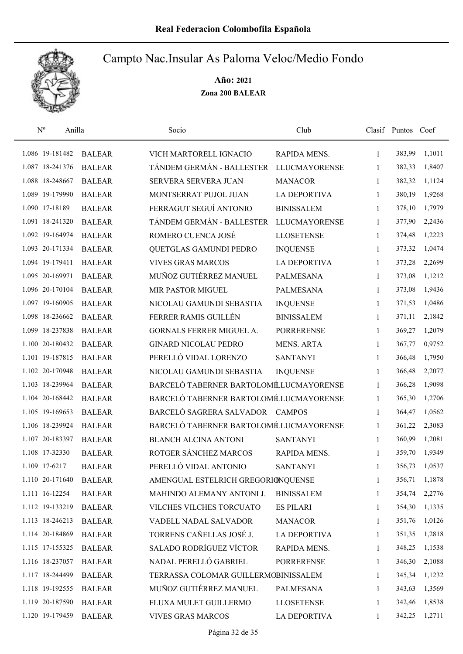

| $\mathbf{N}^{\mathrm{o}}$<br>Anilla |               | Socio                                  | Club                 |              | Clasif Puntos Coef |        |
|-------------------------------------|---------------|----------------------------------------|----------------------|--------------|--------------------|--------|
| 1.086 19-181482                     | <b>BALEAR</b> | VICH MARTORELL IGNACIO                 | RAPIDA MENS.         | 1            | 383,99             | 1,1011 |
| 1.087 18-241376                     | <b>BALEAR</b> | TÁNDEM GERMÁN - BALLESTER              | <b>LLUCMAYORENSE</b> | 1            | 382,33             | 1,8407 |
| 1.088 18-248667                     | <b>BALEAR</b> | <b>SERVERA SERVERA JUAN</b>            | <b>MANACOR</b>       | $\mathbf{1}$ | 382,32             | 1,1124 |
| 1.089 19-179990                     | <b>BALEAR</b> | MONTSERRAT PUJOL JUAN                  | <b>LA DEPORTIVA</b>  | $\mathbf{1}$ | 380,19             | 1,9268 |
| 1.090 17-18189                      | <b>BALEAR</b> | FERRAGUT SEGUÍ ANTONIO                 | <b>BINISSALEM</b>    | $\mathbf{1}$ | 378,10             | 1,7979 |
| 1.091 18-241320                     | <b>BALEAR</b> | TÁNDEM GERMÁN - BALLESTER              | <b>LLUCMAYORENSE</b> | $\mathbf{1}$ | 377,90             | 2,2436 |
| 1.092 19-164974                     | <b>BALEAR</b> | ROMERO CUENCA JOSÉ                     | <b>LLOSETENSE</b>    | $\mathbf{1}$ | 374,48             | 1,2223 |
| 1.093 20-171334                     | <b>BALEAR</b> | QUETGLAS GAMUNDI PEDRO                 | <b>INQUENSE</b>      | $\mathbf{1}$ | 373,32             | 1,0474 |
| 1.094 19-179411                     | <b>BALEAR</b> | <b>VIVES GRAS MARCOS</b>               | <b>LA DEPORTIVA</b>  | 1            | 373,28             | 2,2699 |
| 1.095 20-169971                     | <b>BALEAR</b> | MUÑOZ GUTIÉRREZ MANUEL                 | <b>PALMESANA</b>     | 1            | 373,08             | 1,1212 |
| 1.096 20-170104                     | <b>BALEAR</b> | <b>MIR PASTOR MIGUEL</b>               | <b>PALMESANA</b>     | 1            | 373,08             | 1,9436 |
| 1.097 19-160905                     | <b>BALEAR</b> | NICOLAU GAMUNDI SEBASTIA               | <b>INQUENSE</b>      | $\mathbf{1}$ | 371,53             | 1,0486 |
| 1.098 18-236662                     | <b>BALEAR</b> | FERRER RAMIS GUILLÉN                   | <b>BINISSALEM</b>    | 1            | 371,11             | 2,1842 |
| 1.099 18-237838                     | <b>BALEAR</b> | GORNALS FERRER MIGUEL A.               | <b>PORRERENSE</b>    | $\mathbf{1}$ | 369,27             | 1,2079 |
| 1.100 20-180432                     | <b>BALEAR</b> | <b>GINARD NICOLAU PEDRO</b>            | <b>MENS. ARTA</b>    | $\mathbf{1}$ | 367,77             | 0,9752 |
| 1.101 19-187815                     | <b>BALEAR</b> | PERELLÓ VIDAL LORENZO                  | <b>SANTANYI</b>      | $\mathbf{1}$ | 366,48             | 1,7950 |
| 1.102 20-170948                     | <b>BALEAR</b> | NICOLAU GAMUNDI SEBASTIA               | <b>INQUENSE</b>      | $\mathbf{1}$ | 366,48             | 2,2077 |
| 1.103 18-239964                     | <b>BALEAR</b> | BARCELÓ TABERNER BARTOLOMÉLUCMAYORENSE |                      | $\mathbf{1}$ | 366,28             | 1,9098 |
| 1.104 20-168442                     | <b>BALEAR</b> | BARCELÓ TABERNER BARTOLOMÉLUCMAYORENSE |                      | $\mathbf{1}$ | 365,30             | 1,2706 |
| 1.105 19-169653                     | <b>BALEAR</b> | BARCELÓ SAGRERA SALVADOR CAMPOS        |                      | $\mathbf{1}$ | 364,47             | 1,0562 |
| 1.106 18-239924                     | <b>BALEAR</b> | BARCELÓ TABERNER BARTOLOMÉLUCMAYORENSE |                      | $\mathbf{1}$ | 361,22             | 2,3083 |
| 1.107 20-183397                     | <b>BALEAR</b> | <b>BLANCH ALCINA ANTONI</b>            | <b>SANTANYI</b>      | 1            | 360,99             | 1,2081 |
| 1.108 17-32330                      | <b>BALEAR</b> | ROTGER SÁNCHEZ MARCOS                  | RAPIDA MENS.         | $\mathbf{1}$ | 359,70             | 1,9349 |
| 1.109 17-6217                       | <b>BALEAR</b> | PERELLÓ VIDAL ANTONIO                  | <b>SANTANYI</b>      | 1            | 356,73             | 1,0537 |
| 1.110 20-171640                     | <b>BALEAR</b> | AMENGUAL ESTELRICH GREGORIONQUENSE     |                      | 1            | 356,71             | 1,1878 |
| 1.111 16-12254                      | <b>BALEAR</b> | MAHINDO ALEMANY ANTONI J.              | <b>BINISSALEM</b>    | 1            | 354,74             | 2,2776 |
| 1.112 19-133219                     | <b>BALEAR</b> | VILCHES VILCHES TORCUATO               | <b>ES PILARI</b>     | 1            | 354,30             | 1,1335 |
| 1.113 18-246213                     | <b>BALEAR</b> | VADELL NADAL SALVADOR                  | <b>MANACOR</b>       | 1            | 351,76             | 1,0126 |
| 1.114 20-184869                     | <b>BALEAR</b> | TORRENS CAÑELLAS JOSÉ J.               | <b>LA DEPORTIVA</b>  | 1            | 351,35             | 1,2818 |
| 1.115 17-155325                     | <b>BALEAR</b> | <b>SALADO RODRÍGUEZ VÍCTOR</b>         | RAPIDA MENS.         | 1            | 348,25             | 1,1538 |
| 1.116 18-237057                     | <b>BALEAR</b> | NADAL PERELLÓ GABRIEL                  | <b>PORRERENSE</b>    | 1            | 346,30             | 2,1088 |
| 1.117 18-244499                     | <b>BALEAR</b> | TERRASSA COLOMAR GUILLERMOBINISSALEM   |                      | 1            | 345,34             | 1,1232 |
| 1.118 19-192555                     | <b>BALEAR</b> | MUÑOZ GUTIÉRREZ MANUEL                 | <b>PALMESANA</b>     | 1            | 343,63             | 1,3569 |
| 1.119 20-187590                     | <b>BALEAR</b> | FLUXA MULET GUILLERMO                  | <b>LLOSETENSE</b>    | 1            | 342,46             | 1,8538 |
| 1.120 19-179459                     | <b>BALEAR</b> | <b>VIVES GRAS MARCOS</b>               | LA DEPORTIVA         | 1            | 342,25             | 1,2711 |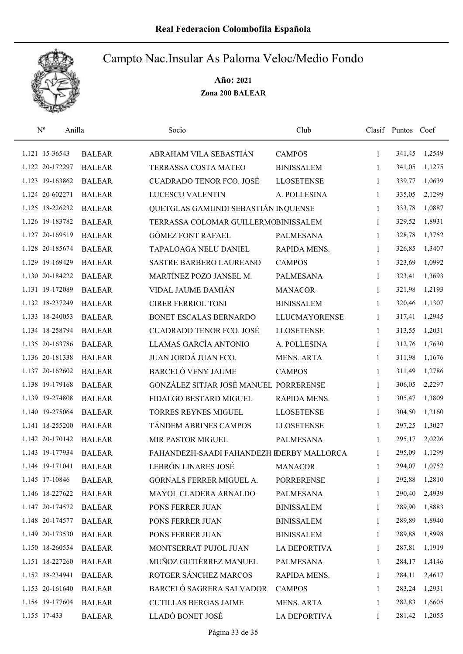

| $\mathbf{N}^{\mathrm{o}}$<br>Anilla |               | Socio                                     | Club                 |              | Clasif Puntos Coef |        |
|-------------------------------------|---------------|-------------------------------------------|----------------------|--------------|--------------------|--------|
| 1.121 15-36543                      | <b>BALEAR</b> | ABRAHAM VILA SEBASTIÁN                    | <b>CAMPOS</b>        | $\mathbf{1}$ | 341,45             | 1,2549 |
| 1.122 20-172297                     | <b>BALEAR</b> | TERRASSA COSTA MATEO                      | <b>BINISSALEM</b>    | 1            | 341,05             | 1,1275 |
| 1.123 19-163862                     | <b>BALEAR</b> | <b>CUADRADO TENOR FCO. JOSÉ</b>           | <b>LLOSETENSE</b>    | $\mathbf{1}$ | 339,77             | 1,0639 |
| 1.124 20-602271                     | <b>BALEAR</b> | <b>LUCESCU VALENTIN</b>                   | A. POLLESINA         | $\mathbf{1}$ | 335,05             | 2,1299 |
| 1.125 18-226232                     | <b>BALEAR</b> | QUETGLAS GAMUNDI SEBASTIÁN INQUENSE       |                      | $\mathbf{1}$ | 333,78             | 1,0887 |
| 1.126 19-183782                     | <b>BALEAR</b> | TERRASSA COLOMAR GUILLERMOBINISSALEM      |                      | $\mathbf{1}$ | 329,52             | 1,8931 |
| 1.127 20-169519                     | <b>BALEAR</b> | <b>GÓMEZ FONT RAFAEL</b>                  | <b>PALMESANA</b>     | $\mathbf{1}$ | 328,78             | 1,3752 |
| 1.128 20-185674                     | <b>BALEAR</b> | TAPALOAGA NELU DANIEL                     | RAPIDA MENS.         | $\mathbf{1}$ | 326,85             | 1,3407 |
| 1.129 19-169429                     | <b>BALEAR</b> | SASTRE BARBERO LAUREANO                   | <b>CAMPOS</b>        | 1            | 323,69             | 1,0992 |
| 1.130 20-184222                     | <b>BALEAR</b> | MARTÍNEZ POZO JANSEL M.                   | PALMESANA            | 1            | 323,41             | 1,3693 |
| 1.131 19-172089                     | <b>BALEAR</b> | VIDAL JAUME DAMIÁN                        | <b>MANACOR</b>       | 1            | 321,98             | 1,2193 |
| 1.132 18-237249                     | <b>BALEAR</b> | <b>CIRER FERRIOL TONI</b>                 | <b>BINISSALEM</b>    | 1            | 320,46             | 1,1307 |
| 1.133 18-240053                     | <b>BALEAR</b> | BONET ESCALAS BERNARDO                    | <b>LLUCMAYORENSE</b> | 1            | 317,41             | 1,2945 |
| 1.134 18-258794                     | <b>BALEAR</b> | <b>CUADRADO TENOR FCO. JOSÉ</b>           | <b>LLOSETENSE</b>    | $\mathbf{1}$ | 313,55             | 1,2031 |
| 1.135 20-163786                     | <b>BALEAR</b> | LLAMAS GARCÍA ANTONIO                     | A. POLLESINA         | $\mathbf{1}$ | 312,76             | 1,7630 |
| 1.136 20-181338                     | <b>BALEAR</b> | JUAN JORDÁ JUAN FCO.                      | <b>MENS. ARTA</b>    | 1            | 311,98             | 1,1676 |
| 1.137 20-162602                     | <b>BALEAR</b> | <b>BARCELÓ VENY JAUME</b>                 | <b>CAMPOS</b>        | $\mathbf{1}$ | 311,49             | 1,2786 |
| 1.138 19-179168                     | <b>BALEAR</b> | GONZÁLEZ SITJAR JOSÉ MANUEL PORRERENSE    |                      | $\mathbf{1}$ | 306,05             | 2,2297 |
| 1.139 19-274808                     | <b>BALEAR</b> | FIDALGO BESTARD MIGUEL                    | RAPIDA MENS.         | $\mathbf{1}$ | 305,47             | 1,3809 |
| 1.140 19-275064                     | <b>BALEAR</b> | <b>TORRES REYNES MIGUEL</b>               | <b>LLOSETENSE</b>    | $\mathbf{1}$ | 304,50             | 1,2160 |
| 1.141 18-255200                     | <b>BALEAR</b> | TÁNDEM ABRINES CAMPOS                     | <b>LLOSETENSE</b>    | $\mathbf{1}$ | 297,25             | 1,3027 |
| 1.142 20-170142                     | <b>BALEAR</b> | MIR PASTOR MIGUEL                         | <b>PALMESANA</b>     | 1            | 295,17             | 2,0226 |
| 1.143 19-177934                     | <b>BALEAR</b> | FAHANDEZH-SAADI FAHANDEZH RDERBY MALLORCA |                      | $\mathbf{1}$ | 295,09             | 1,1299 |
| 1.144 19-171041                     | <b>BALEAR</b> | LEBRÓN LINARES JOSÉ                       | <b>MANACOR</b>       | 1            | 294,07             | 1,0752 |
| 1.145 17-10846                      | <b>BALEAR</b> | GORNALS FERRER MIGUEL A.                  | <b>PORRERENSE</b>    | 1            | 292,88             | 1,2810 |
| 1.146 18-227622                     | <b>BALEAR</b> | MAYOL CLADERA ARNALDO                     | <b>PALMESANA</b>     | 1            | 290,40             | 2,4939 |
| 1.147 20-174572                     | <b>BALEAR</b> | PONS FERRER JUAN                          | <b>BINISSALEM</b>    | 1            | 289,90             | 1,8883 |
| 1.148 20-174577                     | <b>BALEAR</b> | PONS FERRER JUAN                          | <b>BINISSALEM</b>    | 1            | 289,89             | 1,8940 |
| 1.149 20-173530                     | <b>BALEAR</b> | PONS FERRER JUAN                          | <b>BINISSALEM</b>    | 1            | 289,88             | 1,8998 |
| 1.150 18-260554                     | <b>BALEAR</b> | MONTSERRAT PUJOL JUAN                     | LA DEPORTIVA         | 1            | 287,81             | 1,1919 |
| 1.151 18-227260                     | <b>BALEAR</b> | MUÑOZ GUTIÉRREZ MANUEL                    | PALMESANA            | $\mathbf{1}$ | 284,17             | 1,4146 |
| 1.152 18-234941                     | <b>BALEAR</b> | ROTGER SÁNCHEZ MARCOS                     | RAPIDA MENS.         | 1            | 284,11             | 2,4617 |
| 1.153 20-161640                     | <b>BALEAR</b> | BARCELÓ SAGRERA SALVADOR                  | <b>CAMPOS</b>        | 1            | 283,24             | 1,2931 |
| 1.154 19-177604                     | <b>BALEAR</b> | <b>CUTILLAS BERGAS JAIME</b>              | <b>MENS. ARTA</b>    | 1            | 282,83             | 1,6605 |
| 1.155 17-433                        | <b>BALEAR</b> | LLADÓ BONET JOSÉ                          | <b>LA DEPORTIVA</b>  | 1            | 281,42             | 1,2055 |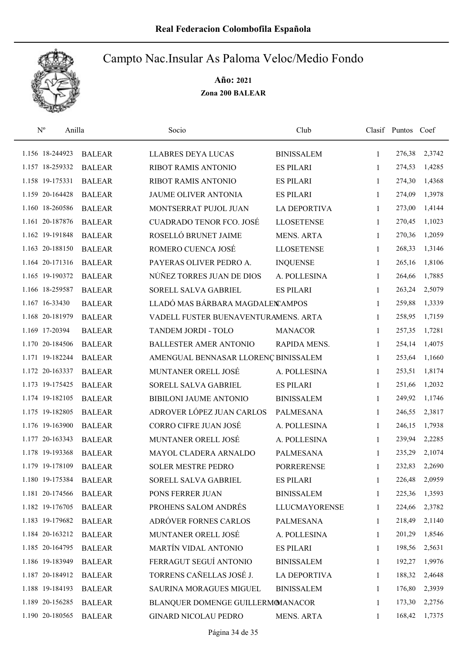

| $\mathbf{N}^{\text{o}}$<br>Anilla |               | Socio                                | Club                 |              | Clasif Puntos Coef |        |
|-----------------------------------|---------------|--------------------------------------|----------------------|--------------|--------------------|--------|
| 1.156 18-244923                   | <b>BALEAR</b> | <b>LLABRES DEYA LUCAS</b>            | <b>BINISSALEM</b>    | $\mathbf{1}$ | 276,38             | 2,3742 |
| 1.157 18-259332                   | <b>BALEAR</b> | RIBOT RAMIS ANTONIO                  | <b>ES PILARI</b>     | 1            | 274,53             | 1,4285 |
| 1.158 19-175331                   | <b>BALEAR</b> | RIBOT RAMIS ANTONIO                  | <b>ES PILARI</b>     | $\mathbf{1}$ | 274,30             | 1,4368 |
| 1.159 20-164428                   | <b>BALEAR</b> | JAUME OLIVER ANTONIA                 | <b>ES PILARI</b>     | 1            | 274,09             | 1,3978 |
| 1.160 18-260586                   | <b>BALEAR</b> | MONTSERRAT PUJOL JUAN                | <b>LA DEPORTIVA</b>  | $\mathbf{1}$ | 273,00             | 1,4144 |
| 1.161 20-187876                   | <b>BALEAR</b> | <b>CUADRADO TENOR FCO. JOSÉ</b>      | <b>LLOSETENSE</b>    | $\mathbf{1}$ | 270,45             | 1,1023 |
| 1.162 19-191848                   | <b>BALEAR</b> | ROSELLÓ BRUNET JAIME                 | <b>MENS. ARTA</b>    | $\mathbf{1}$ | 270,36             | 1,2059 |
| 1.163 20-188150                   | <b>BALEAR</b> | ROMERO CUENCA JOSÉ                   | <b>LLOSETENSE</b>    | $\mathbf{1}$ | 268,33             | 1,3146 |
| 1.164 20-171316                   | <b>BALEAR</b> | PAYERAS OLIVER PEDRO A.              | <b>INQUENSE</b>      | 1            | 265,16             | 1,8106 |
| 1.165 19-190372                   | <b>BALEAR</b> | NÚÑEZ TORRES JUAN DE DIOS            | A. POLLESINA         | 1            | 264,66             | 1,7885 |
| 1.166 18-259587                   | <b>BALEAR</b> | SORELL SALVA GABRIEL                 | <b>ES PILARI</b>     | 1            | 263,24             | 2,5079 |
| 1.167 16-33430                    | <b>BALEAR</b> | LLADÓ MAS BÁRBARA MAGDALEN AMPOS     |                      | 1            | 259,88             | 1,3339 |
| 1.168 20-181979                   | <b>BALEAR</b> | VADELL FUSTER BUENAVENTURAMENS. ARTA |                      | 1            | 258,95             | 1,7159 |
| 1.169 17-20394                    | <b>BALEAR</b> | TANDEM JORDI - TOLO                  | <b>MANACOR</b>       | 1            | 257,35             | 1,7281 |
| 1.170 20-184506                   | <b>BALEAR</b> | <b>BALLESTER AMER ANTONIO</b>        | RAPIDA MENS.         | 1            | 254,14             | 1,4075 |
| 1.171 19-182244                   | <b>BALEAR</b> | AMENGUAL BENNASAR LLORENÇ BINISSALEM |                      | 1            | 253,64             | 1,1660 |
| 1.172 20-163337                   | <b>BALEAR</b> | MUNTANER ORELL JOSÉ                  | A. POLLESINA         | 1            | 253,51             | 1,8174 |
| 1.173 19-175425                   | <b>BALEAR</b> | SORELL SALVA GABRIEL                 | <b>ES PILARI</b>     | $\mathbf{1}$ | 251,66             | 1,2032 |
| 1.174 19-182105                   | <b>BALEAR</b> | BIBILONI JAUME ANTONIO               | <b>BINISSALEM</b>    | 1            | 249,92             | 1,1746 |
| 1.175 19-182805                   | <b>BALEAR</b> | ADROVER LÓPEZ JUAN CARLOS            | <b>PALMESANA</b>     | $\mathbf{1}$ | 246,55             | 2,3817 |
| 1.176 19-163900                   | <b>BALEAR</b> | CORRO CIFRE JUAN JOSÉ                | A. POLLESINA         | $\mathbf{1}$ | 246,15             | 1,7938 |
| 1.177 20-163343                   | <b>BALEAR</b> | MUNTANER ORELL JOSÉ                  | A. POLLESINA         | 1            | 239,94             | 2,2285 |
| 1.178 19-193368                   | <b>BALEAR</b> | MAYOL CLADERA ARNALDO                | <b>PALMESANA</b>     | 1            | 235,29             | 2,1074 |
| 1.179 19-178109                   | <b>BALEAR</b> | <b>SOLER MESTRE PEDRO</b>            | <b>PORRERENSE</b>    | 1            | 232,83             | 2,2690 |
| 1.180 19-175384                   | <b>BALEAR</b> | SORELL SALVA GABRIEL                 | <b>ES PILARI</b>     | 1            | 226,48             | 2,0959 |
| 1.181 20-174566                   | <b>BALEAR</b> | PONS FERRER JUAN                     | <b>BINISSALEM</b>    | 1            | 225,36             | 1,3593 |
| 1.182 19-176705                   | <b>BALEAR</b> | PROHENS SALOM ANDRÉS                 | <b>LLUCMAYORENSE</b> | 1            | 224,66             | 2,3782 |
| 1.183 19-179682                   | <b>BALEAR</b> | ADRÓVER FORNES CARLOS                | PALMESANA            | 1            | 218,49             | 2,1140 |
| 1.184 20-163212                   | <b>BALEAR</b> | MUNTANER ORELL JOSÉ                  | A. POLLESINA         | 1            | 201,29             | 1,8546 |
| 1.185 20-164795                   | <b>BALEAR</b> | MARTÍN VIDAL ANTONIO                 | <b>ES PILARI</b>     | 1            | 198,56             | 2,5631 |
| 1.186 19-183949                   | <b>BALEAR</b> | FERRAGUT SEGUÍ ANTONIO               | <b>BINISSALEM</b>    | 1            | 192,27             | 1,9976 |
| 1.187 20-184912                   | <b>BALEAR</b> | TORRENS CAÑELLAS JOSÉ J.             | <b>LA DEPORTIVA</b>  | 1            | 188,32             | 2,4648 |
| 1.188 19-184193                   | <b>BALEAR</b> | SAURINA MORAGUES MIGUEL              | <b>BINISSALEM</b>    | 1            | 176,80             | 2,3939 |
| 1.189 20-156285                   | <b>BALEAR</b> | BLANQUER DOMENGE GUILLERMOMANACOR    |                      | 1            | 173,30             | 2,2756 |
| 1.190 20-180565                   | <b>BALEAR</b> | <b>GINARD NICOLAU PEDRO</b>          | MENS. ARTA           | 1            | 168,42             | 1,7375 |